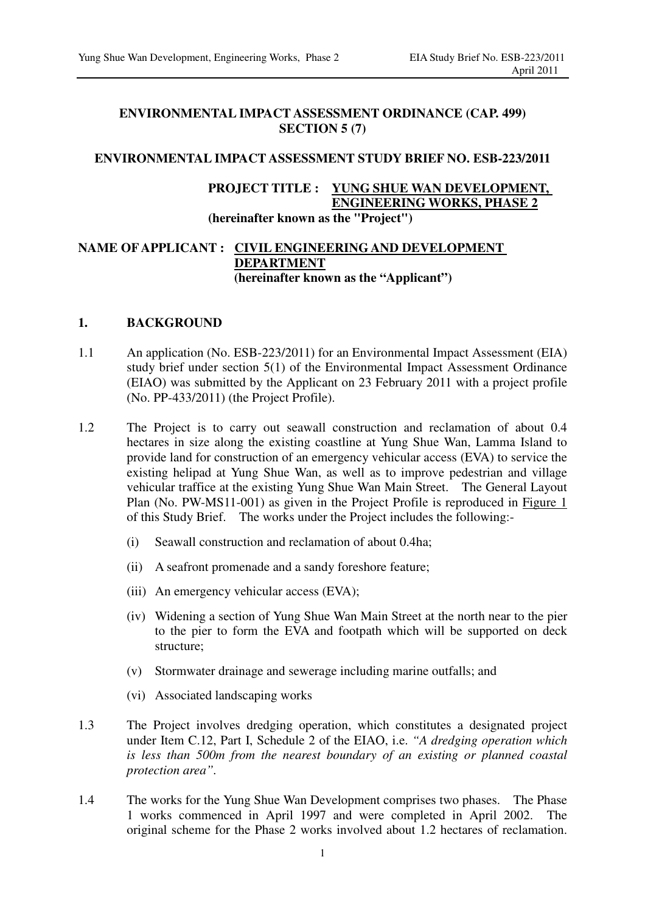## **ENVIRONMENTAL IMPACT ASSESSMENT ORDINANCE (CAP. 499) SECTION 5 (7)**

## **ENVIRONMENTAL IMPACT ASSESSMENT STUDY BRIEF NO. ESB-223/2011**

## **PROJECT TITLE : YUNG SHUE WAN DEVELOPMENT, ENGINEERING WORKS, PHASE 2 (hereinafter known as the "Project")**

## **NAME OF APPLICANT : CIVIL ENGINEERING AND DEVELOPMENT DEPARTMENT (hereinafter known as the "Applicant")**

## **1. BACKGROUND**

- 1.1 An application (No. ESB-223/2011) for an Environmental Impact Assessment (EIA) study brief under section 5(1) of the Environmental Impact Assessment Ordinance (EIAO) was submitted by the Applicant on 23 February 2011 with a project profile (No. PP-433/2011) (the Project Profile).
- 1.2 The Project is to carry out seawall construction and reclamation of about 0.4 hectares in size along the existing coastline at Yung Shue Wan, Lamma Island to provide land for construction of an emergency vehicular access (EVA) to service the existing helipad at Yung Shue Wan, as well as to improve pedestrian and village vehicular traffice at the existing Yung Shue Wan Main Street. The General Layout Plan (No. PW-MS11-001) as given in the Project Profile is reproduced in Figure 1 of this Study Brief. The works under the Project includes the following:-
	- (i) Seawall construction and reclamation of about 0.4ha;
	- (ii) A seafront promenade and a sandy foreshore feature;
	- (iii) An emergency vehicular access (EVA);
	- (iv) Widening a section of Yung Shue Wan Main Street at the north near to the pier to the pier to form the EVA and footpath which will be supported on deck structure;
	- (v) Stormwater drainage and sewerage including marine outfalls; and
	- (vi) Associated landscaping works
- 1.3 The Project involves dredging operation, which constitutes a designated project under Item C.12, Part I, Schedule 2 of the EIAO, i.e. *"A dredging operation which is less than 500m from the nearest boundary of an existing or planned coastal protection area".*
- 1.4 The works for the Yung Shue Wan Development comprises two phases. The Phase 1 works commenced in April 1997 and were completed in April 2002. The original scheme for the Phase 2 works involved about 1.2 hectares of reclamation.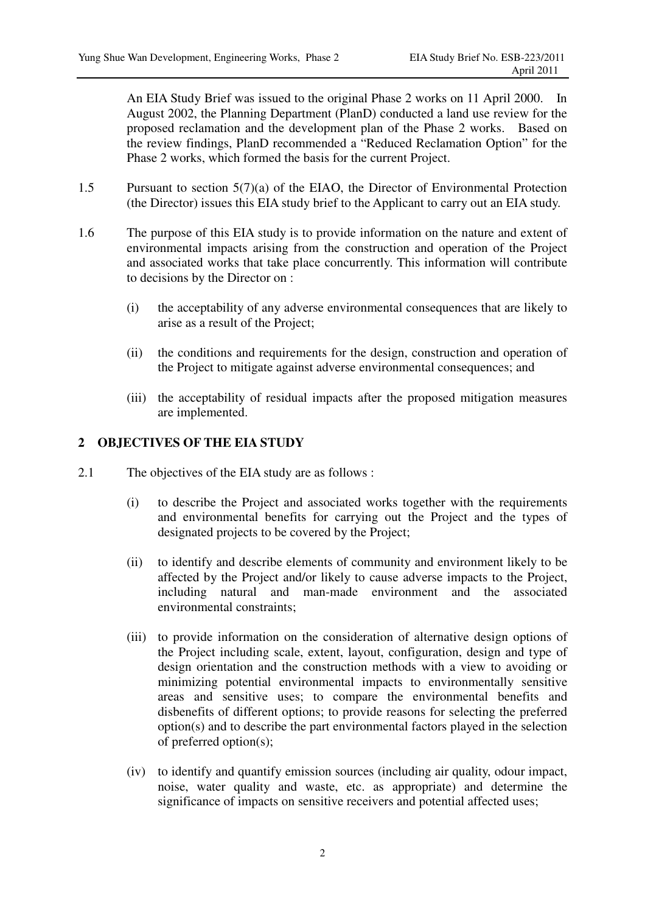An EIA Study Brief was issued to the original Phase 2 works on 11 April 2000. In August 2002, the Planning Department (PlanD) conducted a land use review for the proposed reclamation and the development plan of the Phase 2 works. Based on the review findings, PlanD recommended a "Reduced Reclamation Option" for the Phase 2 works, which formed the basis for the current Project.

- 1.5 Pursuant to section 5(7)(a) of the EIAO, the Director of Environmental Protection (the Director) issues this EIA study brief to the Applicant to carry out an EIA study.
- 1.6 The purpose of this EIA study is to provide information on the nature and extent of environmental impacts arising from the construction and operation of the Project and associated works that take place concurrently. This information will contribute to decisions by the Director on :
	- (i) the acceptability of any adverse environmental consequences that are likely to arise as a result of the Project;
	- (ii) the conditions and requirements for the design, construction and operation of the Project to mitigate against adverse environmental consequences; and
	- (iii) the acceptability of residual impacts after the proposed mitigation measures are implemented.

## **2 OBJECTIVES OF THE EIA STUDY**

- 2.1 The objectives of the EIA study are as follows :
	- (i) to describe the Project and associated works together with the requirements and environmental benefits for carrying out the Project and the types of designated projects to be covered by the Project;
	- (ii) to identify and describe elements of community and environment likely to be affected by the Project and/or likely to cause adverse impacts to the Project, including natural and man-made environment and the associated environmental constraints;
	- (iii) to provide information on the consideration of alternative design options of the Project including scale, extent, layout, configuration, design and type of design orientation and the construction methods with a view to avoiding or minimizing potential environmental impacts to environmentally sensitive areas and sensitive uses; to compare the environmental benefits and disbenefits of different options; to provide reasons for selecting the preferred option(s) and to describe the part environmental factors played in the selection of preferred option(s);
	- (iv) to identify and quantify emission sources (including air quality, odour impact, noise, water quality and waste, etc. as appropriate) and determine the significance of impacts on sensitive receivers and potential affected uses;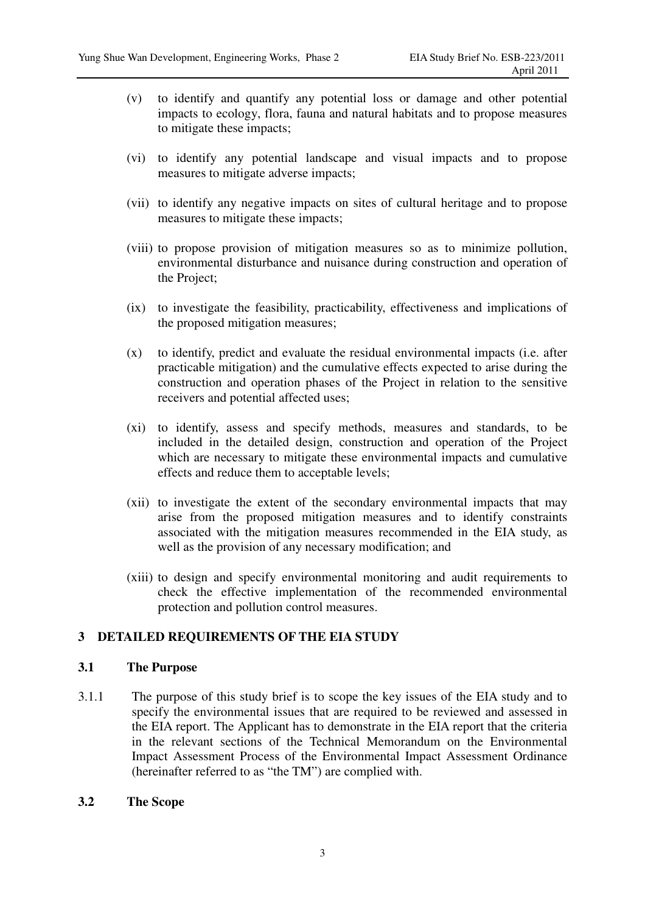- (v) to identify and quantify any potential loss or damage and other potential impacts to ecology, flora, fauna and natural habitats and to propose measures to mitigate these impacts;
- (vi) to identify any potential landscape and visual impacts and to propose measures to mitigate adverse impacts;
- (vii) to identify any negative impacts on sites of cultural heritage and to propose measures to mitigate these impacts;
- (viii) to propose provision of mitigation measures so as to minimize pollution, environmental disturbance and nuisance during construction and operation of the Project;
- (ix) to investigate the feasibility, practicability, effectiveness and implications of the proposed mitigation measures;
- (x) to identify, predict and evaluate the residual environmental impacts (i.e. after practicable mitigation) and the cumulative effects expected to arise during the construction and operation phases of the Project in relation to the sensitive receivers and potential affected uses;
- (xi) to identify, assess and specify methods, measures and standards, to be included in the detailed design, construction and operation of the Project which are necessary to mitigate these environmental impacts and cumulative effects and reduce them to acceptable levels;
- (xii) to investigate the extent of the secondary environmental impacts that may arise from the proposed mitigation measures and to identify constraints associated with the mitigation measures recommended in the EIA study, as well as the provision of any necessary modification; and
- (xiii) to design and specify environmental monitoring and audit requirements to check the effective implementation of the recommended environmental protection and pollution control measures.

## **3 DETAILED REQUIREMENTS OF THE EIA STUDY**

#### **3.1 The Purpose**

3.1.1 The purpose of this study brief is to scope the key issues of the EIA study and to specify the environmental issues that are required to be reviewed and assessed in the EIA report. The Applicant has to demonstrate in the EIA report that the criteria in the relevant sections of the Technical Memorandum on the Environmental Impact Assessment Process of the Environmental Impact Assessment Ordinance (hereinafter referred to as "the TM") are complied with.

## **3.2 The Scope**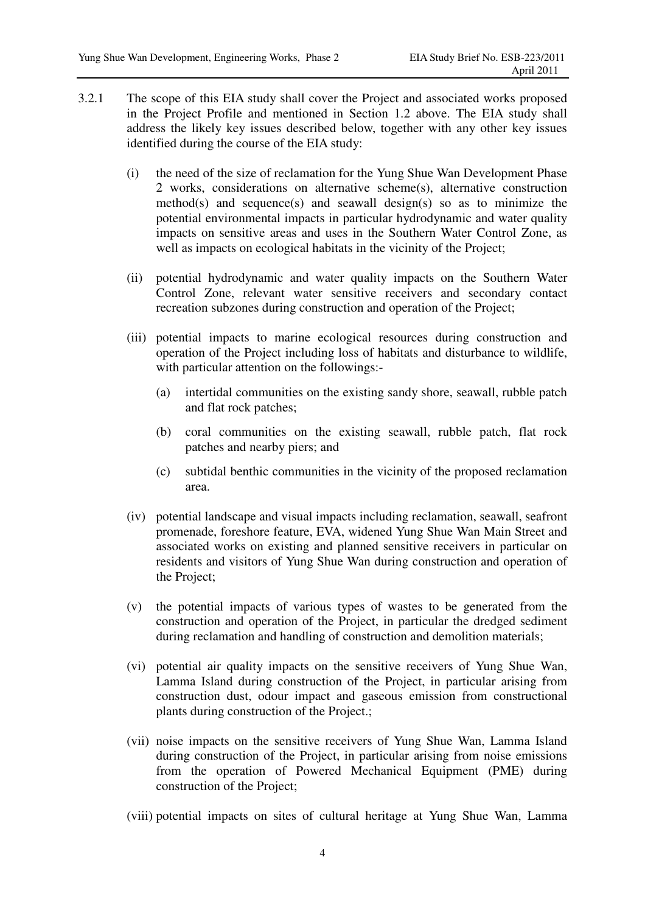- 3.2.1 The scope of this EIA study shall cover the Project and associated works proposed in the Project Profile and mentioned in Section 1.2 above. The EIA study shall address the likely key issues described below, together with any other key issues identified during the course of the EIA study:
	- (i) the need of the size of reclamation for the Yung Shue Wan Development Phase 2 works, considerations on alternative scheme(s), alternative construction method(s) and sequence(s) and seawall design(s) so as to minimize the potential environmental impacts in particular hydrodynamic and water quality impacts on sensitive areas and uses in the Southern Water Control Zone, as well as impacts on ecological habitats in the vicinity of the Project;
	- (ii) potential hydrodynamic and water quality impacts on the Southern Water Control Zone, relevant water sensitive receivers and secondary contact recreation subzones during construction and operation of the Project;
	- (iii) potential impacts to marine ecological resources during construction and operation of the Project including loss of habitats and disturbance to wildlife, with particular attention on the followings:-
		- (a) intertidal communities on the existing sandy shore, seawall, rubble patch and flat rock patches;
		- (b) coral communities on the existing seawall, rubble patch, flat rock patches and nearby piers; and
		- (c) subtidal benthic communities in the vicinity of the proposed reclamation area.
	- (iv) potential landscape and visual impacts including reclamation, seawall, seafront promenade, foreshore feature, EVA, widened Yung Shue Wan Main Street and associated works on existing and planned sensitive receivers in particular on residents and visitors of Yung Shue Wan during construction and operation of the Project;
	- (v) the potential impacts of various types of wastes to be generated from the construction and operation of the Project, in particular the dredged sediment during reclamation and handling of construction and demolition materials;
	- (vi) potential air quality impacts on the sensitive receivers of Yung Shue Wan, Lamma Island during construction of the Project, in particular arising from construction dust, odour impact and gaseous emission from constructional plants during construction of the Project.;
	- (vii) noise impacts on the sensitive receivers of Yung Shue Wan, Lamma Island during construction of the Project, in particular arising from noise emissions from the operation of Powered Mechanical Equipment (PME) during construction of the Project;
	- (viii) potential impacts on sites of cultural heritage at Yung Shue Wan, Lamma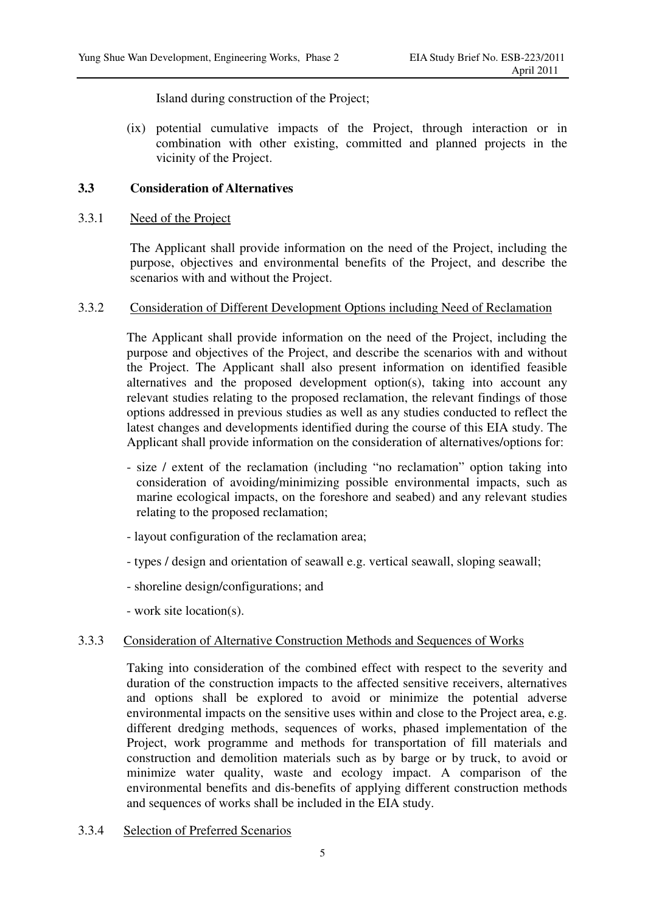Island during construction of the Project;

(ix) potential cumulative impacts of the Project, through interaction or in combination with other existing, committed and planned projects in the vicinity of the Project.

## **3.3 Consideration of Alternatives**

## 3.3.1 Need of the Project

The Applicant shall provide information on the need of the Project, including the purpose, objectives and environmental benefits of the Project, and describe the scenarios with and without the Project.

### 3.3.2 Consideration of Different Development Options including Need of Reclamation

The Applicant shall provide information on the need of the Project, including the purpose and objectives of the Project, and describe the scenarios with and without the Project. The Applicant shall also present information on identified feasible alternatives and the proposed development option(s), taking into account any relevant studies relating to the proposed reclamation, the relevant findings of those options addressed in previous studies as well as any studies conducted to reflect the latest changes and developments identified during the course of this EIA study. The Applicant shall provide information on the consideration of alternatives/options for:

- size / extent of the reclamation (including "no reclamation" option taking into consideration of avoiding/minimizing possible environmental impacts, such as marine ecological impacts, on the foreshore and seabed) and any relevant studies relating to the proposed reclamation;
- layout configuration of the reclamation area;
- types / design and orientation of seawall e.g. vertical seawall, sloping seawall;
- shoreline design/configurations; and
- work site location(s).

## 3.3.3 Consideration of Alternative Construction Methods and Sequences of Works

Taking into consideration of the combined effect with respect to the severity and duration of the construction impacts to the affected sensitive receivers, alternatives and options shall be explored to avoid or minimize the potential adverse environmental impacts on the sensitive uses within and close to the Project area, e.g. different dredging methods, sequences of works, phased implementation of the Project, work programme and methods for transportation of fill materials and construction and demolition materials such as by barge or by truck, to avoid or minimize water quality, waste and ecology impact. A comparison of the environmental benefits and dis-benefits of applying different construction methods and sequences of works shall be included in the EIA study.

3.3.4 Selection of Preferred Scenarios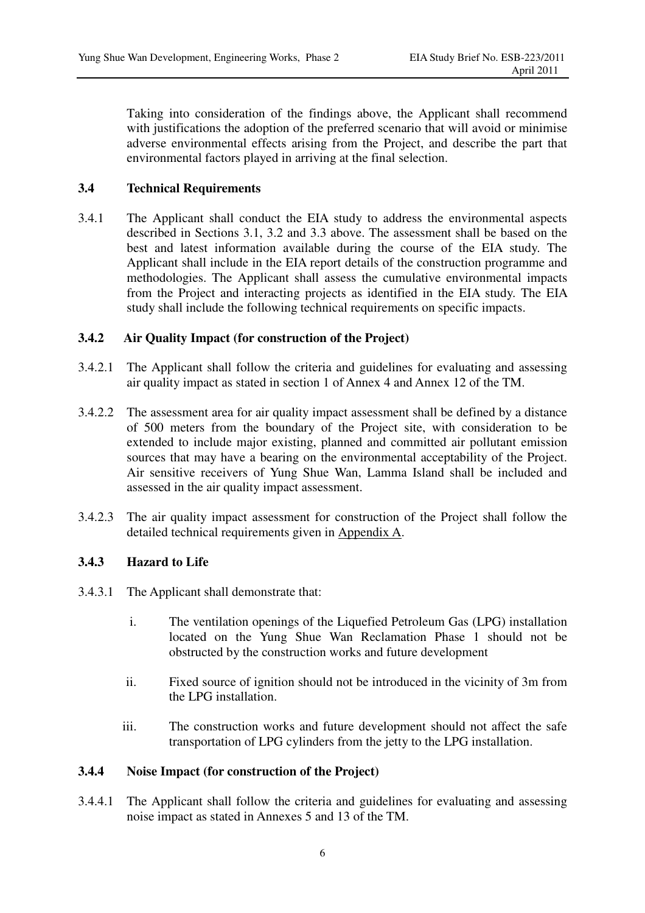Taking into consideration of the findings above, the Applicant shall recommend with justifications the adoption of the preferred scenario that will avoid or minimise adverse environmental effects arising from the Project, and describe the part that environmental factors played in arriving at the final selection.

## **3.4 Technical Requirements**

3.4.1 The Applicant shall conduct the EIA study to address the environmental aspects described in Sections 3.1, 3.2 and 3.3 above. The assessment shall be based on the best and latest information available during the course of the EIA study. The Applicant shall include in the EIA report details of the construction programme and methodologies. The Applicant shall assess the cumulative environmental impacts from the Project and interacting projects as identified in the EIA study. The EIA study shall include the following technical requirements on specific impacts.

## **3.4.2 Air Quality Impact (for construction of the Project)**

- 3.4.2.1 The Applicant shall follow the criteria and guidelines for evaluating and assessing air quality impact as stated in section 1 of Annex 4 and Annex 12 of the TM.
- 3.4.2.2 The assessment area for air quality impact assessment shall be defined by a distance of 500 meters from the boundary of the Project site, with consideration to be extended to include major existing, planned and committed air pollutant emission sources that may have a bearing on the environmental acceptability of the Project. Air sensitive receivers of Yung Shue Wan, Lamma Island shall be included and assessed in the air quality impact assessment.
- 3.4.2.3 The air quality impact assessment for construction of the Project shall follow the detailed technical requirements given in Appendix A.

## **3.4.3 Hazard to Life**

- 3.4.3.1 The Applicant shall demonstrate that:
	- i. The ventilation openings of the Liquefied Petroleum Gas (LPG) installation located on the Yung Shue Wan Reclamation Phase 1 should not be obstructed by the construction works and future development
	- ii. Fixed source of ignition should not be introduced in the vicinity of 3m from the LPG installation.
	- iii. The construction works and future development should not affect the safe transportation of LPG cylinders from the jetty to the LPG installation.

## **3.4.4 Noise Impact (for construction of the Project)**

3.4.4.1 The Applicant shall follow the criteria and guidelines for evaluating and assessing noise impact as stated in Annexes 5 and 13 of the TM.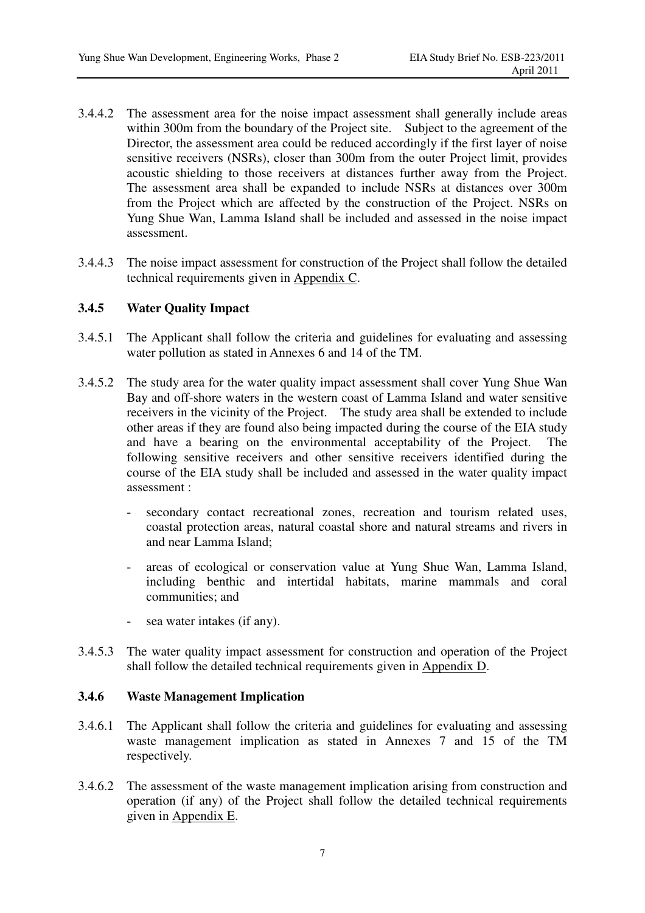- 3.4.4.2 The assessment area for the noise impact assessment shall generally include areas within 300m from the boundary of the Project site. Subject to the agreement of the Director, the assessment area could be reduced accordingly if the first layer of noise sensitive receivers (NSRs), closer than 300m from the outer Project limit, provides acoustic shielding to those receivers at distances further away from the Project. The assessment area shall be expanded to include NSRs at distances over 300m from the Project which are affected by the construction of the Project. NSRs on Yung Shue Wan, Lamma Island shall be included and assessed in the noise impact assessment.
- 3.4.4.3 The noise impact assessment for construction of the Project shall follow the detailed technical requirements given in Appendix C.

## **3.4.5 Water Quality Impact**

- 3.4.5.1 The Applicant shall follow the criteria and guidelines for evaluating and assessing water pollution as stated in Annexes 6 and 14 of the TM.
- 3.4.5.2 The study area for the water quality impact assessment shall cover Yung Shue Wan Bay and off-shore waters in the western coast of Lamma Island and water sensitive receivers in the vicinity of the Project. The study area shall be extended to include other areas if they are found also being impacted during the course of the EIA study and have a bearing on the environmental acceptability of the Project. The following sensitive receivers and other sensitive receivers identified during the course of the EIA study shall be included and assessed in the water quality impact assessment :
	- secondary contact recreational zones, recreation and tourism related uses, coastal protection areas, natural coastal shore and natural streams and rivers in and near Lamma Island;
	- areas of ecological or conservation value at Yung Shue Wan, Lamma Island, including benthic and intertidal habitats, marine mammals and coral communities; and
	- sea water intakes (if any).
- 3.4.5.3 The water quality impact assessment for construction and operation of the Project shall follow the detailed technical requirements given in Appendix D.

## **3.4.6 Waste Management Implication**

- 3.4.6.1 The Applicant shall follow the criteria and guidelines for evaluating and assessing waste management implication as stated in Annexes 7 and 15 of the TM respectively.
- 3.4.6.2 The assessment of the waste management implication arising from construction and operation (if any) of the Project shall follow the detailed technical requirements given in Appendix E.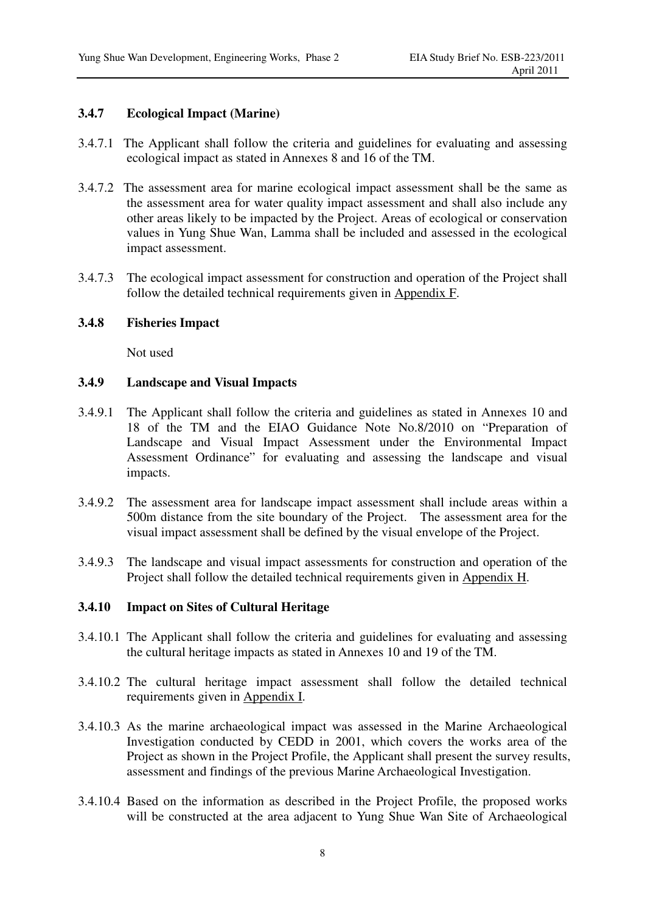## **3.4.7 Ecological Impact (Marine)**

- 3.4.7.1 The Applicant shall follow the criteria and guidelines for evaluating and assessing ecological impact as stated in Annexes 8 and 16 of the TM.
- 3.4.7.2 The assessment area for marine ecological impact assessment shall be the same as the assessment area for water quality impact assessment and shall also include any other areas likely to be impacted by the Project. Areas of ecological or conservation values in Yung Shue Wan, Lamma shall be included and assessed in the ecological impact assessment.
- 3.4.7.3 The ecological impact assessment for construction and operation of the Project shall follow the detailed technical requirements given in Appendix F.

### **3.4.8 Fisheries Impact**

Not used

### **3.4.9 Landscape and Visual Impacts**

- 3.4.9.1 The Applicant shall follow the criteria and guidelines as stated in Annexes 10 and 18 of the TM and the EIAO Guidance Note No.8/2010 on "Preparation of Landscape and Visual Impact Assessment under the Environmental Impact Assessment Ordinance" for evaluating and assessing the landscape and visual impacts.
- 3.4.9.2 The assessment area for landscape impact assessment shall include areas within a 500m distance from the site boundary of the Project. The assessment area for the visual impact assessment shall be defined by the visual envelope of the Project.
- 3.4.9.3 The landscape and visual impact assessments for construction and operation of the Project shall follow the detailed technical requirements given in Appendix H.

#### **3.4.10 Impact on Sites of Cultural Heritage**

- 3.4.10.1 The Applicant shall follow the criteria and guidelines for evaluating and assessing the cultural heritage impacts as stated in Annexes 10 and 19 of the TM.
- 3.4.10.2 The cultural heritage impact assessment shall follow the detailed technical requirements given in Appendix I.
- 3.4.10.3 As the marine archaeological impact was assessed in the Marine Archaeological Investigation conducted by CEDD in 2001, which covers the works area of the Project as shown in the Project Profile, the Applicant shall present the survey results, assessment and findings of the previous Marine Archaeological Investigation.
- 3.4.10.4 Based on the information as described in the Project Profile, the proposed works will be constructed at the area adjacent to Yung Shue Wan Site of Archaeological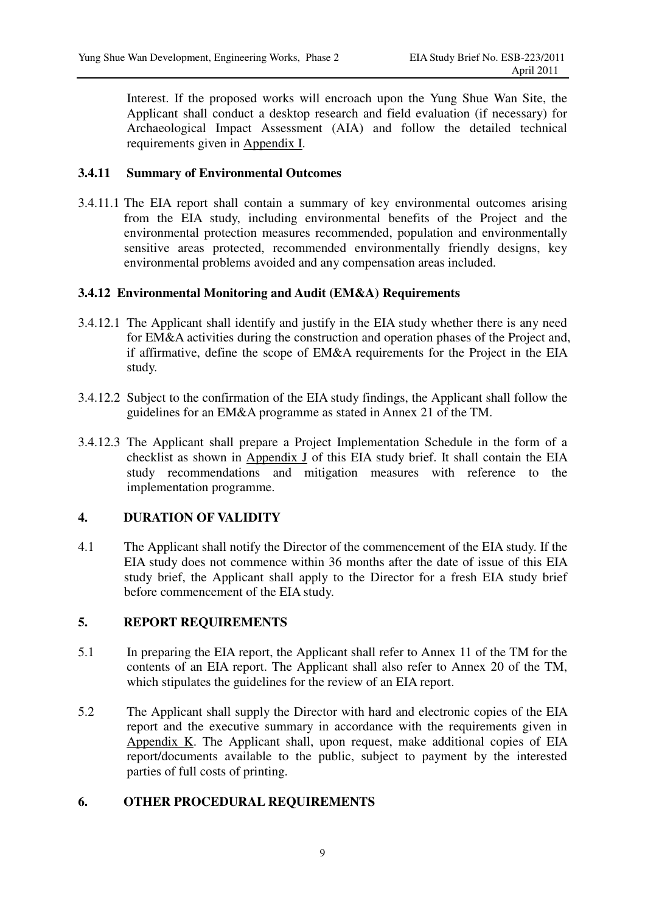Interest. If the proposed works will encroach upon the Yung Shue Wan Site, the Applicant shall conduct a desktop research and field evaluation (if necessary) for Archaeological Impact Assessment (AIA) and follow the detailed technical requirements given in Appendix I.

## **3.4.11 Summary of Environmental Outcomes**

3.4.11.1 The EIA report shall contain a summary of key environmental outcomes arising from the EIA study, including environmental benefits of the Project and the environmental protection measures recommended, population and environmentally sensitive areas protected, recommended environmentally friendly designs, key environmental problems avoided and any compensation areas included.

## **3.4.12 Environmental Monitoring and Audit (EM&A) Requirements**

- 3.4.12.1 The Applicant shall identify and justify in the EIA study whether there is any need for EM&A activities during the construction and operation phases of the Project and, if affirmative, define the scope of EM&A requirements for the Project in the EIA study.
- 3.4.12.2 Subject to the confirmation of the EIA study findings, the Applicant shall follow the guidelines for an EM&A programme as stated in Annex 21 of the TM.
- 3.4.12.3 The Applicant shall prepare a Project Implementation Schedule in the form of a checklist as shown in Appendix J of this EIA study brief. It shall contain the EIA study recommendations and mitigation measures with reference to the implementation programme.

## **4. DURATION OF VALIDITY**

4.1 The Applicant shall notify the Director of the commencement of the EIA study. If the EIA study does not commence within 36 months after the date of issue of this EIA study brief, the Applicant shall apply to the Director for a fresh EIA study brief before commencement of the EIA study.

## **5. REPORT REQUIREMENTS**

- 5.1 In preparing the EIA report, the Applicant shall refer to Annex 11 of the TM for the contents of an EIA report. The Applicant shall also refer to Annex 20 of the TM, which stipulates the guidelines for the review of an EIA report.
- 5.2 The Applicant shall supply the Director with hard and electronic copies of the EIA report and the executive summary in accordance with the requirements given in Appendix K. The Applicant shall, upon request, make additional copies of EIA report/documents available to the public, subject to payment by the interested parties of full costs of printing.

## **6. OTHER PROCEDURAL REQUIREMENTS**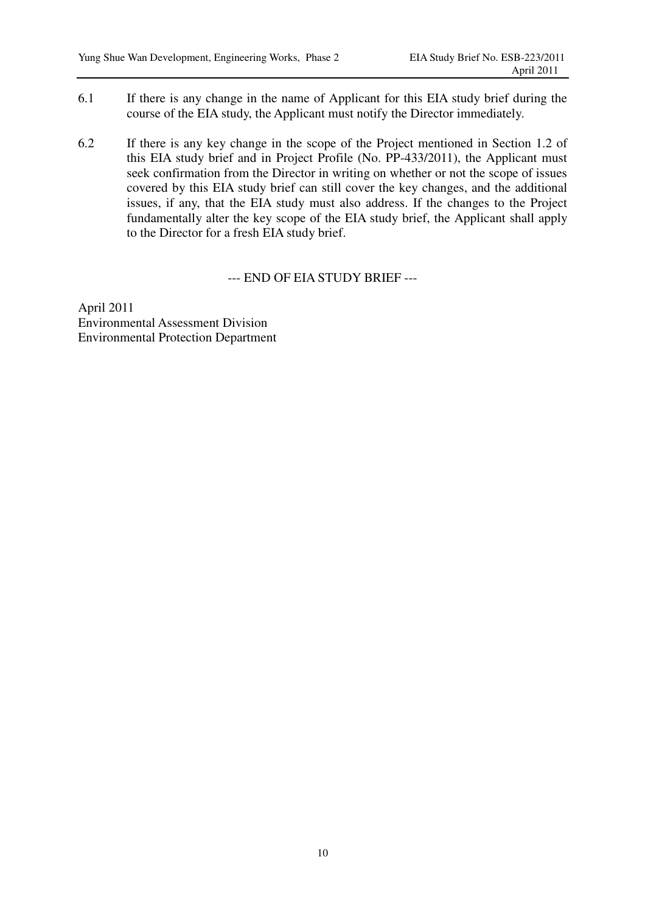- 6.1 If there is any change in the name of Applicant for this EIA study brief during the course of the EIA study, the Applicant must notify the Director immediately.
- 6.2 If there is any key change in the scope of the Project mentioned in Section 1.2 of this EIA study brief and in Project Profile (No. PP-433/2011), the Applicant must seek confirmation from the Director in writing on whether or not the scope of issues covered by this EIA study brief can still cover the key changes, and the additional issues, if any, that the EIA study must also address. If the changes to the Project fundamentally alter the key scope of the EIA study brief, the Applicant shall apply to the Director for a fresh EIA study brief.

#### --- END OF EIA STUDY BRIEF ---

April 2011 Environmental Assessment Division Environmental Protection Department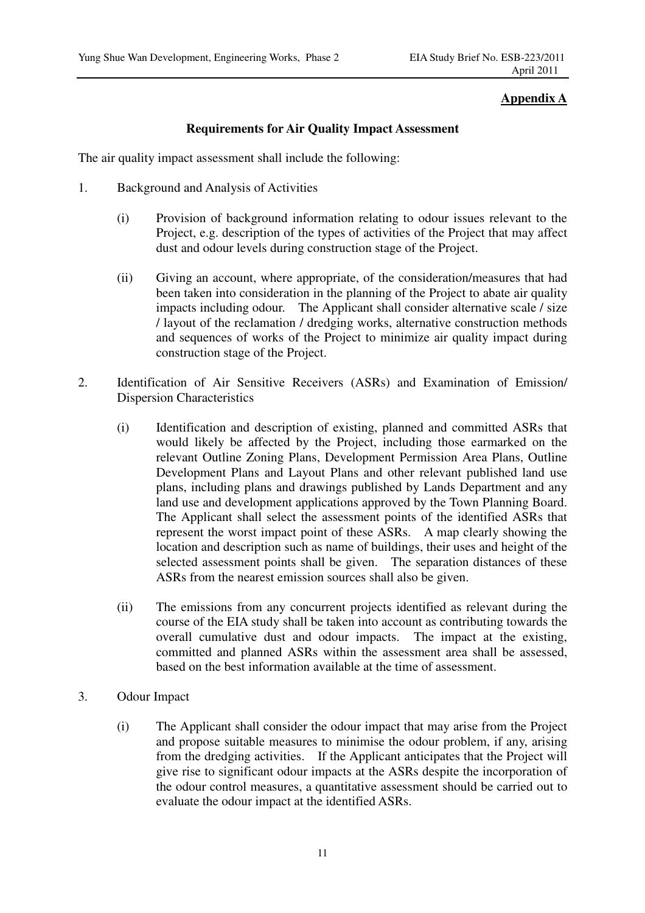## **Appendix A**

## **Requirements for Air Quality Impact Assessment**

The air quality impact assessment shall include the following:

- 1. Background and Analysis of Activities
	- (i) Provision of background information relating to odour issues relevant to the Project, e.g. description of the types of activities of the Project that may affect dust and odour levels during construction stage of the Project.
	- (ii) Giving an account, where appropriate, of the consideration/measures that had been taken into consideration in the planning of the Project to abate air quality impacts including odour. The Applicant shall consider alternative scale / size / layout of the reclamation / dredging works, alternative construction methods and sequences of works of the Project to minimize air quality impact during construction stage of the Project.
- 2. Identification of Air Sensitive Receivers (ASRs) and Examination of Emission/ Dispersion Characteristics
	- (i) Identification and description of existing, planned and committed ASRs that would likely be affected by the Project, including those earmarked on the relevant Outline Zoning Plans, Development Permission Area Plans, Outline Development Plans and Layout Plans and other relevant published land use plans, including plans and drawings published by Lands Department and any land use and development applications approved by the Town Planning Board. The Applicant shall select the assessment points of the identified ASRs that represent the worst impact point of these ASRs. A map clearly showing the location and description such as name of buildings, their uses and height of the selected assessment points shall be given. The separation distances of these ASRs from the nearest emission sources shall also be given.
	- (ii) The emissions from any concurrent projects identified as relevant during the course of the EIA study shall be taken into account as contributing towards the overall cumulative dust and odour impacts. The impact at the existing, committed and planned ASRs within the assessment area shall be assessed, based on the best information available at the time of assessment.
- 3. Odour Impact
	- (i) The Applicant shall consider the odour impact that may arise from the Project and propose suitable measures to minimise the odour problem, if any, arising from the dredging activities. If the Applicant anticipates that the Project will give rise to significant odour impacts at the ASRs despite the incorporation of the odour control measures, a quantitative assessment should be carried out to evaluate the odour impact at the identified ASRs.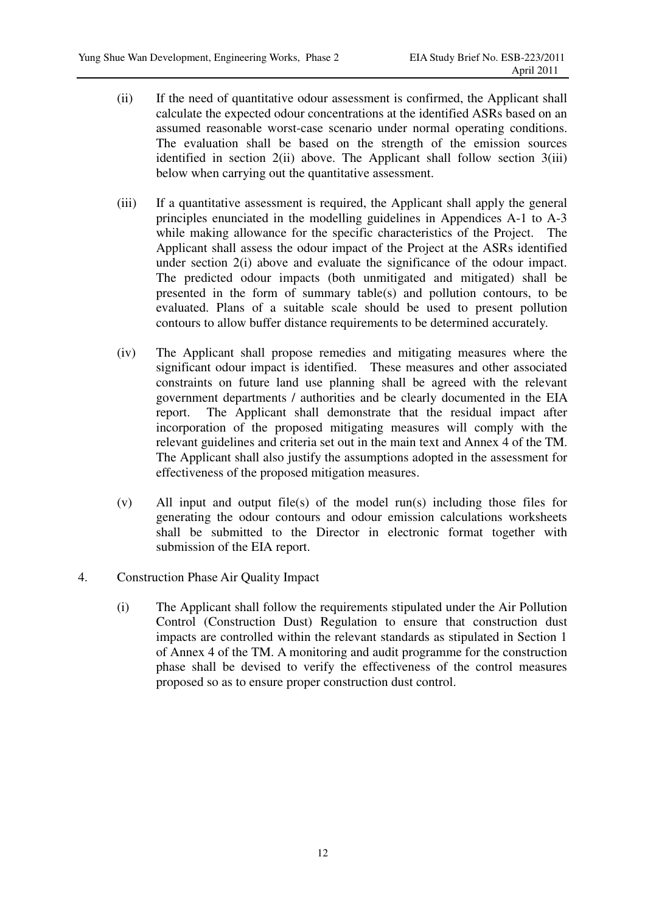- (ii) If the need of quantitative odour assessment is confirmed, the Applicant shall calculate the expected odour concentrations at the identified ASRs based on an assumed reasonable worst-case scenario under normal operating conditions. The evaluation shall be based on the strength of the emission sources identified in section 2(ii) above. The Applicant shall follow section 3(iii) below when carrying out the quantitative assessment.
- (iii) If a quantitative assessment is required, the Applicant shall apply the general principles enunciated in the modelling guidelines in Appendices A-1 to A-3 while making allowance for the specific characteristics of the Project. The Applicant shall assess the odour impact of the Project at the ASRs identified under section 2(i) above and evaluate the significance of the odour impact. The predicted odour impacts (both unmitigated and mitigated) shall be presented in the form of summary table(s) and pollution contours, to be evaluated. Plans of a suitable scale should be used to present pollution contours to allow buffer distance requirements to be determined accurately.
- (iv) The Applicant shall propose remedies and mitigating measures where the significant odour impact is identified. These measures and other associated constraints on future land use planning shall be agreed with the relevant government departments / authorities and be clearly documented in the EIA report. The Applicant shall demonstrate that the residual impact after incorporation of the proposed mitigating measures will comply with the relevant guidelines and criteria set out in the main text and Annex 4 of the TM. The Applicant shall also justify the assumptions adopted in the assessment for effectiveness of the proposed mitigation measures.
- (v) All input and output file(s) of the model run(s) including those files for generating the odour contours and odour emission calculations worksheets shall be submitted to the Director in electronic format together with submission of the EIA report.
- 4. Construction Phase Air Quality Impact
	- (i) The Applicant shall follow the requirements stipulated under the Air Pollution Control (Construction Dust) Regulation to ensure that construction dust impacts are controlled within the relevant standards as stipulated in Section 1 of Annex 4 of the TM. A monitoring and audit programme for the construction phase shall be devised to verify the effectiveness of the control measures proposed so as to ensure proper construction dust control.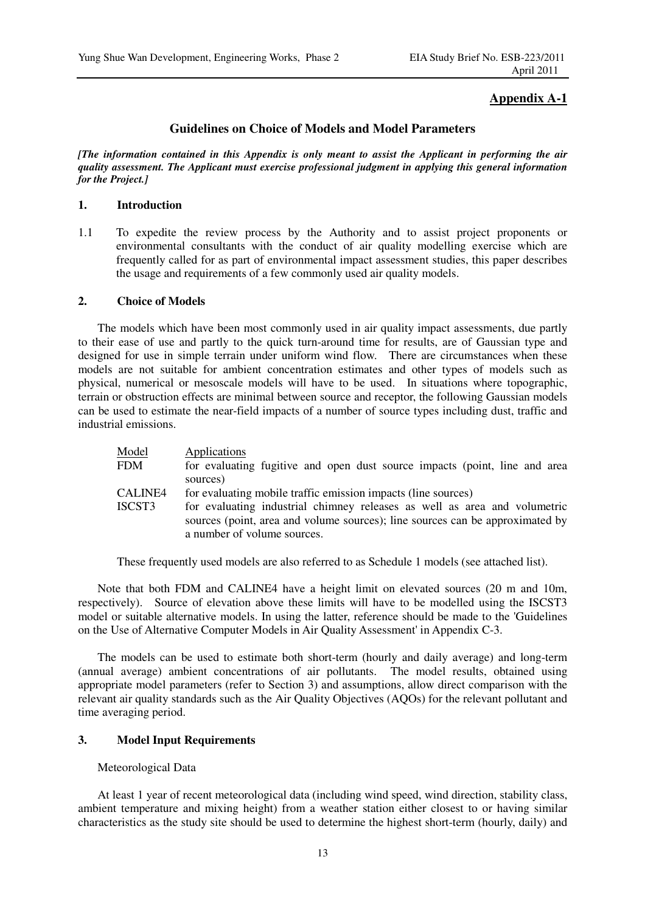### **Appendix A-1**

#### **Guidelines on Choice of Models and Model Parameters**

*[The information contained in this Appendix is only meant to assist the Applicant in performing the air quality assessment. The Applicant must exercise professional judgment in applying this general information for the Project.]* 

#### **1. Introduction**

1.1 To expedite the review process by the Authority and to assist project proponents or environmental consultants with the conduct of air quality modelling exercise which are frequently called for as part of environmental impact assessment studies, this paper describes the usage and requirements of a few commonly used air quality models.

#### **2. Choice of Models**

The models which have been most commonly used in air quality impact assessments, due partly to their ease of use and partly to the quick turn-around time for results, are of Gaussian type and designed for use in simple terrain under uniform wind flow. There are circumstances when these models are not suitable for ambient concentration estimates and other types of models such as physical, numerical or mesoscale models will have to be used. In situations where topographic, terrain or obstruction effects are minimal between source and receptor, the following Gaussian models can be used to estimate the near-field impacts of a number of source types including dust, traffic and industrial emissions.

| Model<br><b>FDM</b> | Applications<br>for evaluating fugitive and open dust source impacts (point, line and area                                                                                                |
|---------------------|-------------------------------------------------------------------------------------------------------------------------------------------------------------------------------------------|
|                     | sources)                                                                                                                                                                                  |
| CALINE4             | for evaluating mobile traffic emission impacts (line sources)                                                                                                                             |
| ISCST3              | for evaluating industrial chimney releases as well as area and volumetric<br>sources (point, area and volume sources); line sources can be approximated by<br>a number of volume sources. |

These frequently used models are also referred to as Schedule 1 models (see attached list).

Note that both FDM and CALINE4 have a height limit on elevated sources (20 m and 10m, respectively). Source of elevation above these limits will have to be modelled using the ISCST3 model or suitable alternative models. In using the latter, reference should be made to the 'Guidelines on the Use of Alternative Computer Models in Air Quality Assessment' in Appendix C-3.

The models can be used to estimate both short-term (hourly and daily average) and long-term (annual average) ambient concentrations of air pollutants. The model results, obtained using appropriate model parameters (refer to Section 3) and assumptions, allow direct comparison with the relevant air quality standards such as the Air Quality Objectives (AQOs) for the relevant pollutant and time averaging period.

#### **3. Model Input Requirements**

#### Meteorological Data

At least 1 year of recent meteorological data (including wind speed, wind direction, stability class, ambient temperature and mixing height) from a weather station either closest to or having similar characteristics as the study site should be used to determine the highest short-term (hourly, daily) and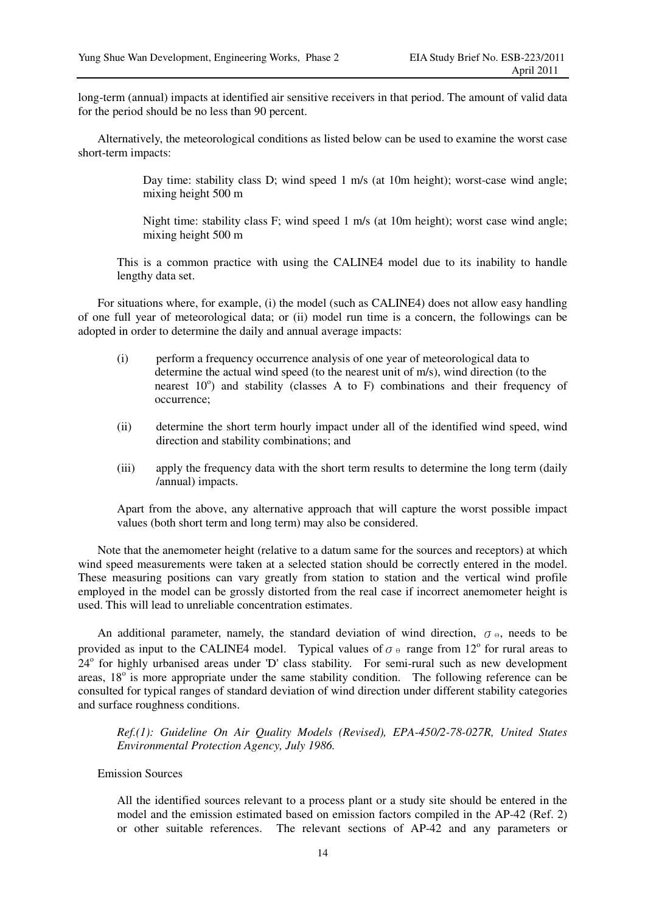long-term (annual) impacts at identified air sensitive receivers in that period. The amount of valid data for the period should be no less than 90 percent.

Alternatively, the meteorological conditions as listed below can be used to examine the worst case short-term impacts:

> Day time: stability class D; wind speed 1 m/s (at 10m height); worst-case wind angle; mixing height 500 m

> Night time: stability class F; wind speed 1 m/s (at 10m height); worst case wind angle; mixing height 500 m

This is a common practice with using the CALINE4 model due to its inability to handle lengthy data set.

For situations where, for example, (i) the model (such as CALINE4) does not allow easy handling of one full year of meteorological data; or (ii) model run time is a concern, the followings can be adopted in order to determine the daily and annual average impacts:

- (i) perform a frequency occurrence analysis of one year of meteorological data to determine the actual wind speed (to the nearest unit of m/s), wind direction (to the nearest  $10^{\circ}$ ) and stability (classes A to F) combinations and their frequency of occurrence;
- (ii) determine the short term hourly impact under all of the identified wind speed, wind direction and stability combinations; and
- (iii) apply the frequency data with the short term results to determine the long term (daily /annual) impacts.

Apart from the above, any alternative approach that will capture the worst possible impact values (both short term and long term) may also be considered.

Note that the anemometer height (relative to a datum same for the sources and receptors) at which wind speed measurements were taken at a selected station should be correctly entered in the model. These measuring positions can vary greatly from station to station and the vertical wind profile employed in the model can be grossly distorted from the real case if incorrect anemometer height is used. This will lead to unreliable concentration estimates.

An additional parameter, namely, the standard deviation of wind direction,  $\sigma_{\theta}$ , needs to be provided as input to the CALINE4 model. Typical values of  $\sigma \theta$  range from 12<sup>o</sup> for rural areas to 24° for highly urbanised areas under 'D' class stability. For semi-rural such as new development areas,  $18^{\circ}$  is more appropriate under the same stability condition. The following reference can be consulted for typical ranges of standard deviation of wind direction under different stability categories and surface roughness conditions.

*Ref.(1): Guideline On Air Quality Models (Revised), EPA-450/2-78-027R, United States Environmental Protection Agency, July 1986.* 

#### Emission Sources

All the identified sources relevant to a process plant or a study site should be entered in the model and the emission estimated based on emission factors compiled in the AP-42 (Ref. 2) or other suitable references. The relevant sections of AP-42 and any parameters or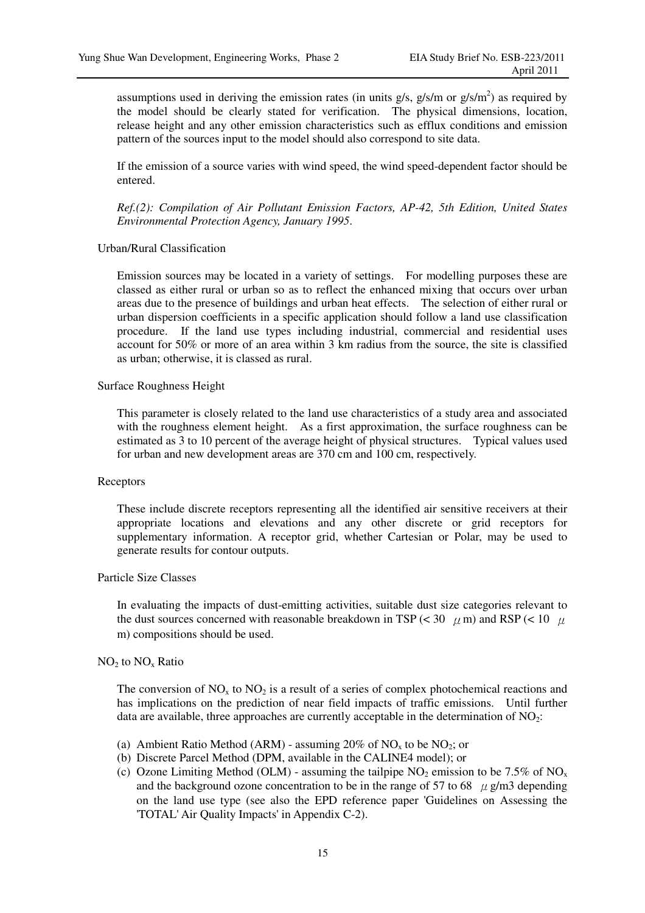assumptions used in deriving the emission rates (in units  $g/s$ ,  $g/s/m$  or  $g/s/m<sup>2</sup>$ ) as required by the model should be clearly stated for verification. The physical dimensions, location, release height and any other emission characteristics such as efflux conditions and emission pattern of the sources input to the model should also correspond to site data.

If the emission of a source varies with wind speed, the wind speed-dependent factor should be entered.

*Ref.(2): Compilation of Air Pollutant Emission Factors, AP-42, 5th Edition, United States Environmental Protection Agency, January 1995*.

#### Urban/Rural Classification

Emission sources may be located in a variety of settings. For modelling purposes these are classed as either rural or urban so as to reflect the enhanced mixing that occurs over urban areas due to the presence of buildings and urban heat effects. The selection of either rural or urban dispersion coefficients in a specific application should follow a land use classification procedure. If the land use types including industrial, commercial and residential uses account for 50% or more of an area within 3 km radius from the source, the site is classified as urban; otherwise, it is classed as rural.

#### Surface Roughness Height

This parameter is closely related to the land use characteristics of a study area and associated with the roughness element height. As a first approximation, the surface roughness can be estimated as 3 to 10 percent of the average height of physical structures. Typical values used for urban and new development areas are 370 cm and 100 cm, respectively.

#### **Receptors**

These include discrete receptors representing all the identified air sensitive receivers at their appropriate locations and elevations and any other discrete or grid receptors for supplementary information. A receptor grid, whether Cartesian or Polar, may be used to generate results for contour outputs.

#### Particle Size Classes

In evaluating the impacts of dust-emitting activities, suitable dust size categories relevant to the dust sources concerned with reasonable breakdown in TSP ( $<$  30  $\mu$  m) and RSP ( $<$  10  $\mu$ m) compositions should be used.

#### $NO<sub>2</sub>$  to  $NO<sub>x</sub>$  Ratio

The conversion of  $NO<sub>x</sub>$  to  $NO<sub>2</sub>$  is a result of a series of complex photochemical reactions and has implications on the prediction of near field impacts of traffic emissions. Until further data are available, three approaches are currently acceptable in the determination of  $NO<sub>2</sub>$ :

- (a) Ambient Ratio Method (ARM) assuming 20% of  $NO<sub>x</sub>$  to be  $NO<sub>2</sub>$ ; or
- (b) Discrete Parcel Method (DPM, available in the CALINE4 model); or
- (c) Ozone Limiting Method (OLM) assuming the tailpipe  $NO_2$  emission to be 7.5% of  $NO_x$ and the background ozone concentration to be in the range of 57 to 68  $\mu$  g/m3 depending on the land use type (see also the EPD reference paper 'Guidelines on Assessing the 'TOTAL' Air Quality Impacts' in Appendix C-2).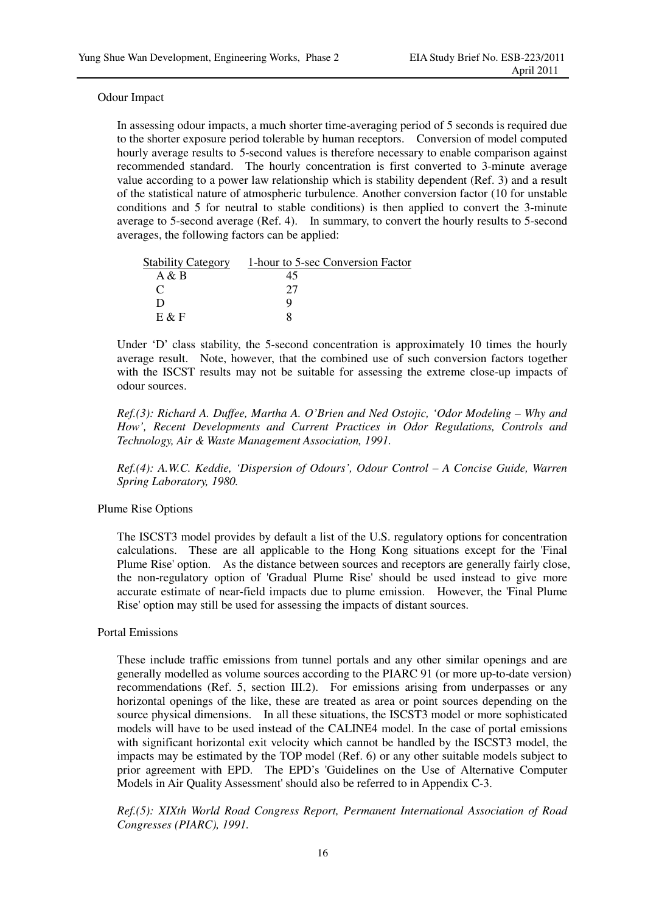#### Odour Impact

In assessing odour impacts, a much shorter time-averaging period of 5 seconds is required due to the shorter exposure period tolerable by human receptors. Conversion of model computed hourly average results to 5-second values is therefore necessary to enable comparison against recommended standard. The hourly concentration is first converted to 3-minute average value according to a power law relationship which is stability dependent (Ref. 3) and a result of the statistical nature of atmospheric turbulence. Another conversion factor (10 for unstable conditions and 5 for neutral to stable conditions) is then applied to convert the 3-minute average to 5-second average (Ref. 4). In summary, to convert the hourly results to 5-second averages, the following factors can be applied:

| <b>Stability Category</b> | 1-hour to 5-sec Conversion Factor |
|---------------------------|-----------------------------------|
| A & B                     | 45                                |
|                           | 77                                |
| ו ו                       | u                                 |
| $E \& F$                  |                                   |

Under 'D' class stability, the 5-second concentration is approximately 10 times the hourly average result. Note, however, that the combined use of such conversion factors together with the ISCST results may not be suitable for assessing the extreme close-up impacts of odour sources.

*Ref.(3): Richard A. Duffee, Martha A. O'Brien and Ned Ostojic, 'Odor Modeling – Why and How', Recent Developments and Current Practices in Odor Regulations, Controls and Technology, Air & Waste Management Association, 1991.* 

*Ref.(4): A.W.C. Keddie, 'Dispersion of Odours', Odour Control – A Concise Guide, Warren Spring Laboratory, 1980.* 

#### Plume Rise Options

The ISCST3 model provides by default a list of the U.S. regulatory options for concentration calculations. These are all applicable to the Hong Kong situations except for the 'Final Plume Rise' option. As the distance between sources and receptors are generally fairly close, the non-regulatory option of 'Gradual Plume Rise' should be used instead to give more accurate estimate of near-field impacts due to plume emission. However, the 'Final Plume Rise' option may still be used for assessing the impacts of distant sources.

#### Portal Emissions

These include traffic emissions from tunnel portals and any other similar openings and are generally modelled as volume sources according to the PIARC 91 (or more up-to-date version) recommendations (Ref. 5, section III.2). For emissions arising from underpasses or any horizontal openings of the like, these are treated as area or point sources depending on the source physical dimensions. In all these situations, the ISCST3 model or more sophisticated models will have to be used instead of the CALINE4 model. In the case of portal emissions with significant horizontal exit velocity which cannot be handled by the ISCST3 model, the impacts may be estimated by the TOP model (Ref. 6) or any other suitable models subject to prior agreement with EPD. The EPD's 'Guidelines on the Use of Alternative Computer Models in Air Quality Assessment' should also be referred to in Appendix C-3.

*Ref.(5): XIXth World Road Congress Report, Permanent International Association of Road Congresses (PIARC), 1991.*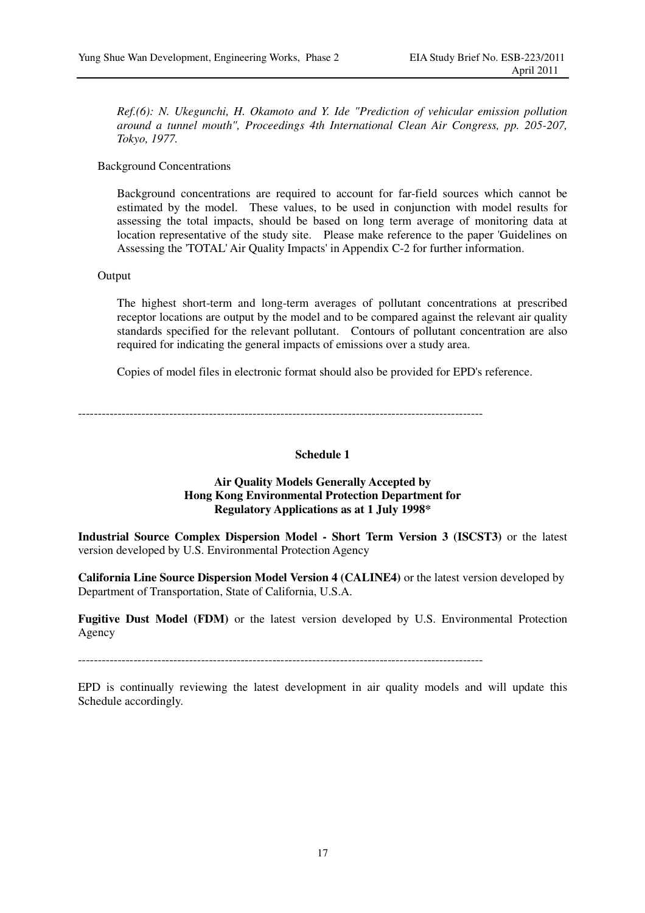*Ref.(6): N. Ukegunchi, H. Okamoto and Y. Ide "Prediction of vehicular emission pollution around a tunnel mouth", Proceedings 4th International Clean Air Congress, pp. 205-207, Tokyo, 1977.* 

Background Concentrations

Background concentrations are required to account for far-field sources which cannot be estimated by the model. These values, to be used in conjunction with model results for assessing the total impacts, should be based on long term average of monitoring data at location representative of the study site. Please make reference to the paper 'Guidelines on Assessing the 'TOTAL' Air Quality Impacts' in Appendix C-2 for further information.

#### Output

The highest short-term and long-term averages of pollutant concentrations at prescribed receptor locations are output by the model and to be compared against the relevant air quality standards specified for the relevant pollutant. Contours of pollutant concentration are also required for indicating the general impacts of emissions over a study area.

Copies of model files in electronic format should also be provided for EPD's reference.

------------------------------------------------------------------------------------------------------

#### **Schedule 1**

#### **Air Quality Models Generally Accepted by Hong Kong Environmental Protection Department for Regulatory Applications as at 1 July 1998\***

**Industrial Source Complex Dispersion Model - Short Term Version 3 (ISCST3)** or the latest version developed by U.S. Environmental Protection Agency

**California Line Source Dispersion Model Version 4 (CALINE4)** or the latest version developed by Department of Transportation, State of California, U.S.A.

**Fugitive Dust Model (FDM)** or the latest version developed by U.S. Environmental Protection Agency

------------------------------------------------------------------------------------------------------

EPD is continually reviewing the latest development in air quality models and will update this Schedule accordingly.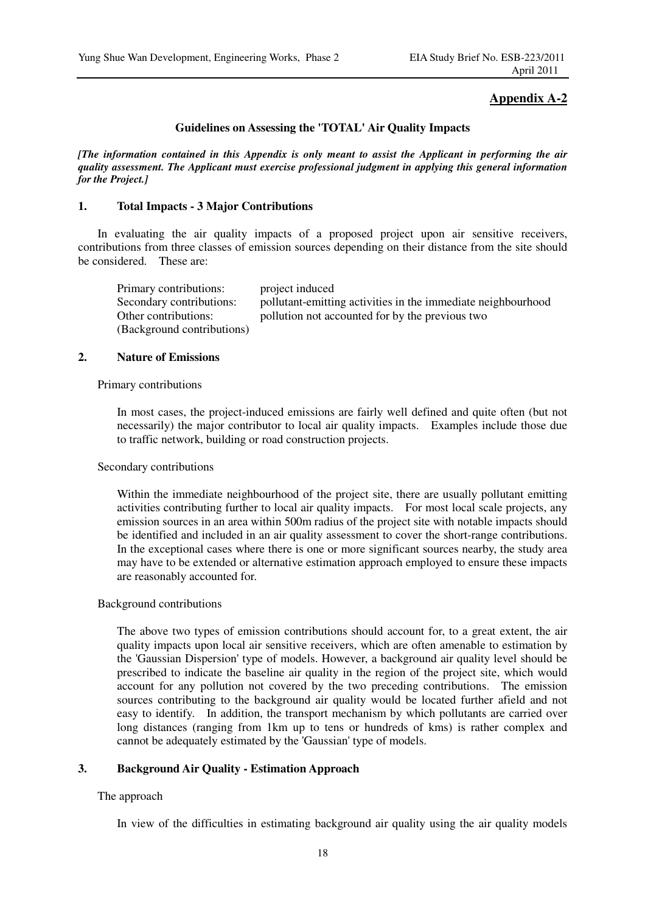### **Appendix A-2**

#### **Guidelines on Assessing the 'TOTAL' Air Quality Impacts**

*[The information contained in this Appendix is only meant to assist the Applicant in performing the air quality assessment. The Applicant must exercise professional judgment in applying this general information for the Project.]* 

#### **1. Total Impacts - 3 Major Contributions**

In evaluating the air quality impacts of a proposed project upon air sensitive receivers, contributions from three classes of emission sources depending on their distance from the site should be considered. These are:

| Primary contributions:     | project induced                                              |
|----------------------------|--------------------------------------------------------------|
| Secondary contributions:   | pollutant-emitting activities in the immediate neighbourhood |
| Other contributions:       | pollution not accounted for by the previous two              |
| (Background contributions) |                                                              |

#### **2. Nature of Emissions**

#### Primary contributions

In most cases, the project-induced emissions are fairly well defined and quite often (but not necessarily) the major contributor to local air quality impacts. Examples include those due to traffic network, building or road construction projects.

#### Secondary contributions

Within the immediate neighbourhood of the project site, there are usually pollutant emitting activities contributing further to local air quality impacts. For most local scale projects, any emission sources in an area within 500m radius of the project site with notable impacts should be identified and included in an air quality assessment to cover the short-range contributions. In the exceptional cases where there is one or more significant sources nearby, the study area may have to be extended or alternative estimation approach employed to ensure these impacts are reasonably accounted for.

#### Background contributions

The above two types of emission contributions should account for, to a great extent, the air quality impacts upon local air sensitive receivers, which are often amenable to estimation by the 'Gaussian Dispersion' type of models. However, a background air quality level should be prescribed to indicate the baseline air quality in the region of the project site, which would account for any pollution not covered by the two preceding contributions. The emission sources contributing to the background air quality would be located further afield and not easy to identify. In addition, the transport mechanism by which pollutants are carried over long distances (ranging from 1km up to tens or hundreds of kms) is rather complex and cannot be adequately estimated by the 'Gaussian' type of models.

#### **3. Background Air Quality - Estimation Approach**

#### The approach

In view of the difficulties in estimating background air quality using the air quality models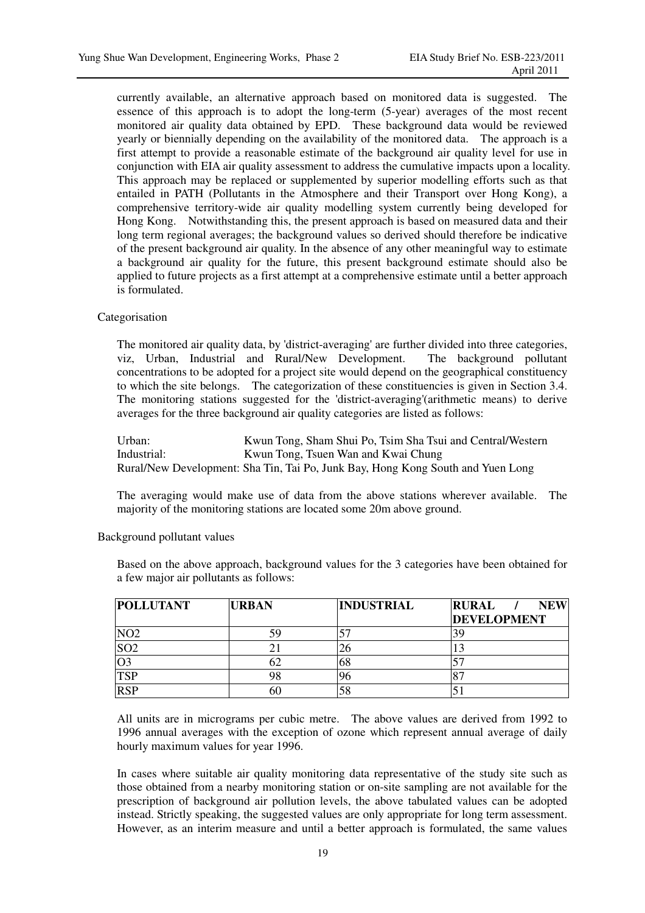currently available, an alternative approach based on monitored data is suggested. The essence of this approach is to adopt the long-term (5-year) averages of the most recent monitored air quality data obtained by EPD. These background data would be reviewed yearly or biennially depending on the availability of the monitored data. The approach is a first attempt to provide a reasonable estimate of the background air quality level for use in conjunction with EIA air quality assessment to address the cumulative impacts upon a locality. This approach may be replaced or supplemented by superior modelling efforts such as that entailed in PATH (Pollutants in the Atmosphere and their Transport over Hong Kong), a comprehensive territory-wide air quality modelling system currently being developed for Hong Kong. Notwithstanding this, the present approach is based on measured data and their long term regional averages; the background values so derived should therefore be indicative of the present background air quality. In the absence of any other meaningful way to estimate a background air quality for the future, this present background estimate should also be applied to future projects as a first attempt at a comprehensive estimate until a better approach is formulated.

#### Categorisation

The monitored air quality data, by 'district-averaging' are further divided into three categories, viz, Urban, Industrial and Rural/New Development. The background pollutant concentrations to be adopted for a project site would depend on the geographical constituency to which the site belongs. The categorization of these constituencies is given in Section 3.4. The monitoring stations suggested for the 'district-averaging'(arithmetic means) to derive averages for the three background air quality categories are listed as follows:

Urban: Kwun Tong, Sham Shui Po, Tsim Sha Tsui and Central/Western Industrial: Kwun Tong, Tsuen Wan and Kwai Chung Rural/New Development: Sha Tin, Tai Po, Junk Bay, Hong Kong South and Yuen Long

The averaging would make use of data from the above stations wherever available. The majority of the monitoring stations are located some 20m above ground.

| <b>POLLUTANT</b> | <b>URBAN</b> | <b>INDUSTRIAL</b> | <b>RURAL</b><br><b>NEW</b><br><b>DEVELOPMENT</b> |
|------------------|--------------|-------------------|--------------------------------------------------|
| NO <sub>2</sub>  | 59           |                   |                                                  |
| SO <sub>2</sub>  |              |                   |                                                  |
| O <sub>3</sub>   | 62           | 68                |                                                  |
| <b>TSP</b>       | 98           |                   |                                                  |
| <b>RSP</b>       | 60           | 58                |                                                  |

Background pollutant values

Based on the above approach, background values for the 3 categories have been obtained for a few major air pollutants as follows:

All units are in micrograms per cubic metre. The above values are derived from 1992 to 1996 annual averages with the exception of ozone which represent annual average of daily hourly maximum values for year 1996.

In cases where suitable air quality monitoring data representative of the study site such as those obtained from a nearby monitoring station or on-site sampling are not available for the prescription of background air pollution levels, the above tabulated values can be adopted instead. Strictly speaking, the suggested values are only appropriate for long term assessment. However, as an interim measure and until a better approach is formulated, the same values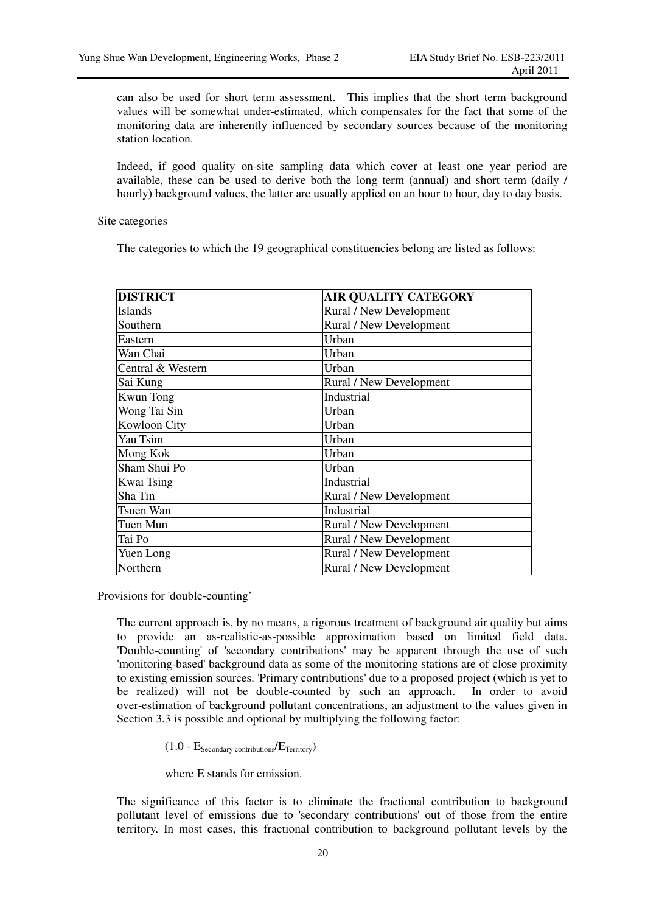can also be used for short term assessment. This implies that the short term background values will be somewhat under-estimated, which compensates for the fact that some of the monitoring data are inherently influenced by secondary sources because of the monitoring station location.

Indeed, if good quality on-site sampling data which cover at least one year period are available, these can be used to derive both the long term (annual) and short term (daily / hourly) background values, the latter are usually applied on an hour to hour, day to day basis.

Site categories

The categories to which the 19 geographical constituencies belong are listed as follows:

| <b>DISTRICT</b>   | <b>AIR QUALITY CATEGORY</b> |
|-------------------|-----------------------------|
| Islands           | Rural / New Development     |
| Southern          | Rural / New Development     |
| Eastern           | Urban                       |
| Wan Chai          | Urban                       |
| Central & Western | Urban                       |
| Sai Kung          | Rural / New Development     |
| <b>Kwun Tong</b>  | Industrial                  |
| Wong Tai Sin      | Urban                       |
| Kowloon City      | Urban                       |
| Yau Tsim          | Urban                       |
| Mong Kok          | Urban                       |
| Sham Shui Po      | Urban                       |
| Kwai Tsing        | Industrial                  |
| Sha Tin           | Rural / New Development     |
| Tsuen Wan         | Industrial                  |
| Tuen Mun          | Rural / New Development     |
| Tai Po            | Rural / New Development     |
| Yuen Long         | Rural / New Development     |
| Northern          | Rural / New Development     |

Provisions for 'double-counting'

The current approach is, by no means, a rigorous treatment of background air quality but aims to provide an as-realistic-as-possible approximation based on limited field data. 'Double-counting' of 'secondary contributions' may be apparent through the use of such 'monitoring-based' background data as some of the monitoring stations are of close proximity to existing emission sources. 'Primary contributions' due to a proposed project (which is yet to be realized) will not be double-counted by such an approach. In order to avoid over-estimation of background pollutant concentrations, an adjustment to the values given in Section 3.3 is possible and optional by multiplying the following factor:

 $(1.0 - E_{\text{Secondary contributions}}/E_{\text{Territory}})$ 

where E stands for emission.

The significance of this factor is to eliminate the fractional contribution to background pollutant level of emissions due to 'secondary contributions' out of those from the entire territory. In most cases, this fractional contribution to background pollutant levels by the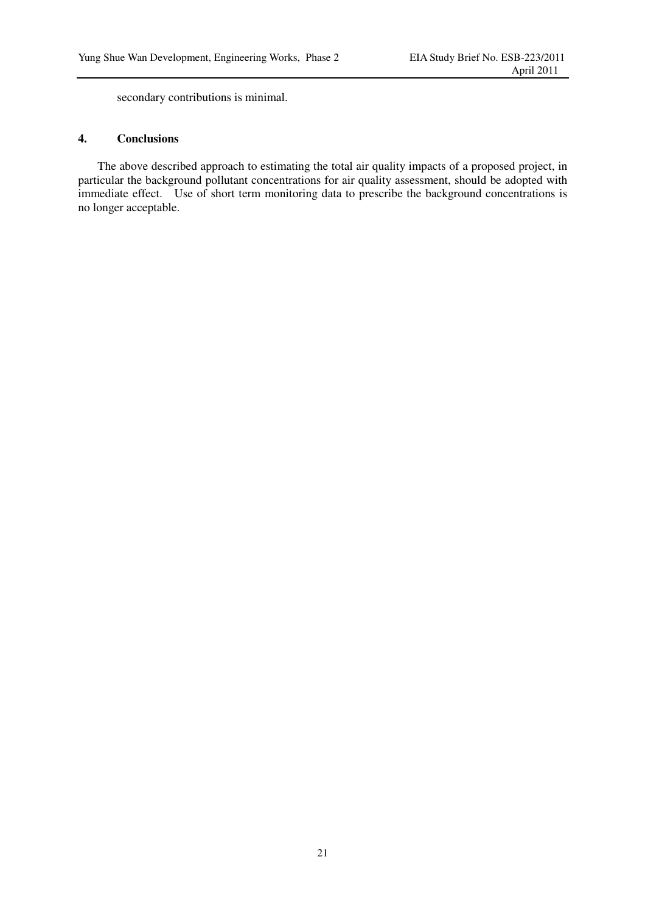secondary contributions is minimal.

## **4. Conclusions**

The above described approach to estimating the total air quality impacts of a proposed project, in particular the background pollutant concentrations for air quality assessment, should be adopted with immediate effect. Use of short term monitoring data to prescribe the background concentrations is no longer acceptable.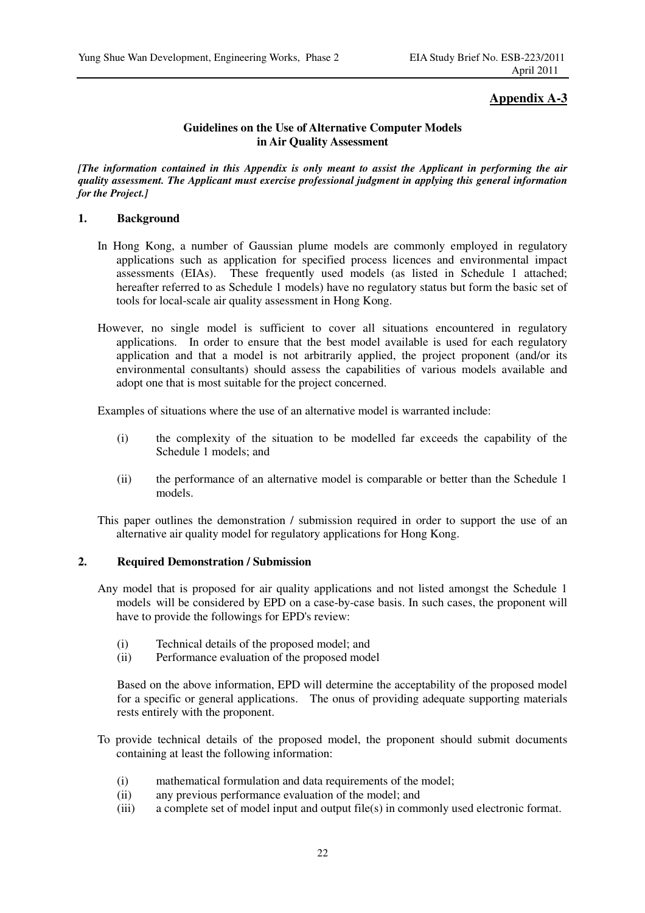## **Appendix A-3**

#### **Guidelines on the Use of Alternative Computer Models in Air Quality Assessment**

*[The information contained in this Appendix is only meant to assist the Applicant in performing the air quality assessment. The Applicant must exercise professional judgment in applying this general information for the Project.]* 

#### **1. Background**

- In Hong Kong, a number of Gaussian plume models are commonly employed in regulatory applications such as application for specified process licences and environmental impact assessments (EIAs). These frequently used models (as listed in Schedule 1 attached; hereafter referred to as Schedule 1 models) have no regulatory status but form the basic set of tools for local-scale air quality assessment in Hong Kong.
- However, no single model is sufficient to cover all situations encountered in regulatory applications. In order to ensure that the best model available is used for each regulatory application and that a model is not arbitrarily applied, the project proponent (and/or its environmental consultants) should assess the capabilities of various models available and adopt one that is most suitable for the project concerned.

Examples of situations where the use of an alternative model is warranted include:

- (i) the complexity of the situation to be modelled far exceeds the capability of the Schedule 1 models; and
- (ii) the performance of an alternative model is comparable or better than the Schedule 1 models.

This paper outlines the demonstration / submission required in order to support the use of an alternative air quality model for regulatory applications for Hong Kong.

#### **2. Required Demonstration / Submission**

- Any model that is proposed for air quality applications and not listed amongst the Schedule 1 models will be considered by EPD on a case-by-case basis. In such cases, the proponent will have to provide the followings for EPD's review:
	- (i) Technical details of the proposed model; and
	- (ii) Performance evaluation of the proposed model

Based on the above information, EPD will determine the acceptability of the proposed model for a specific or general applications. The onus of providing adequate supporting materials rests entirely with the proponent.

- To provide technical details of the proposed model, the proponent should submit documents containing at least the following information:
	- (i) mathematical formulation and data requirements of the model;
	- (ii) any previous performance evaluation of the model; and
	- (iii) a complete set of model input and output file(s) in commonly used electronic format.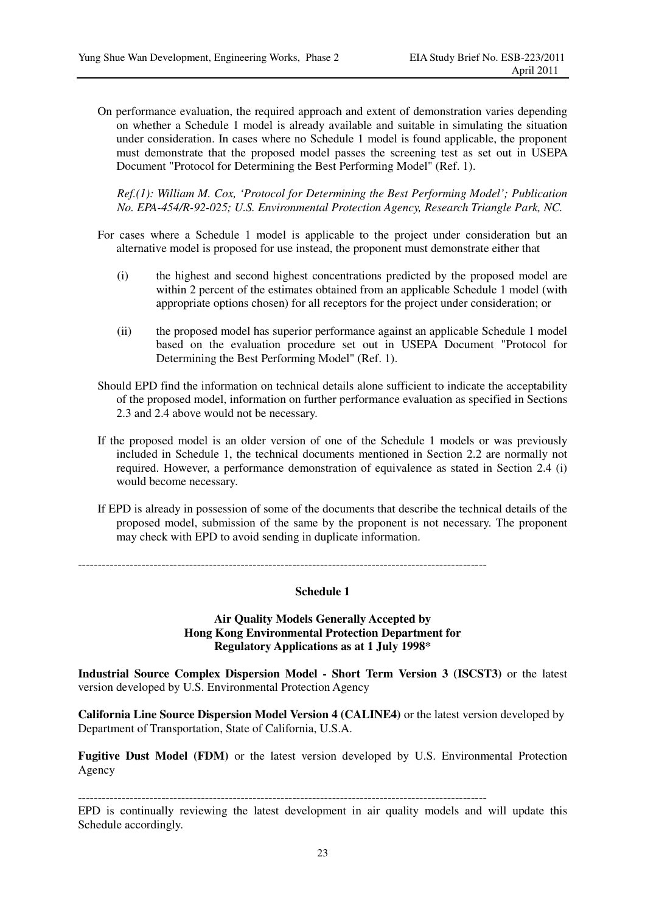On performance evaluation, the required approach and extent of demonstration varies depending on whether a Schedule 1 model is already available and suitable in simulating the situation under consideration. In cases where no Schedule 1 model is found applicable, the proponent must demonstrate that the proposed model passes the screening test as set out in USEPA Document "Protocol for Determining the Best Performing Model" (Ref. 1).

*Ref.(1): William M. Cox, 'Protocol for Determining the Best Performing Model'; Publication No. EPA-454/R-92-025; U.S. Environmental Protection Agency, Research Triangle Park, NC.* 

- For cases where a Schedule 1 model is applicable to the project under consideration but an alternative model is proposed for use instead, the proponent must demonstrate either that
	- (i) the highest and second highest concentrations predicted by the proposed model are within 2 percent of the estimates obtained from an applicable Schedule 1 model (with appropriate options chosen) for all receptors for the project under consideration; or
	- (ii) the proposed model has superior performance against an applicable Schedule 1 model based on the evaluation procedure set out in USEPA Document "Protocol for Determining the Best Performing Model" (Ref. 1).
- Should EPD find the information on technical details alone sufficient to indicate the acceptability of the proposed model, information on further performance evaluation as specified in Sections 2.3 and 2.4 above would not be necessary.
- If the proposed model is an older version of one of the Schedule 1 models or was previously included in Schedule 1, the technical documents mentioned in Section 2.2 are normally not required. However, a performance demonstration of equivalence as stated in Section 2.4 (i) would become necessary.
- If EPD is already in possession of some of the documents that describe the technical details of the proposed model, submission of the same by the proponent is not necessary. The proponent may check with EPD to avoid sending in duplicate information.

-------------------------------------------------------------------------------------------------------

**Schedule 1** 

#### **Air Quality Models Generally Accepted by Hong Kong Environmental Protection Department for Regulatory Applications as at 1 July 1998\***

**Industrial Source Complex Dispersion Model - Short Term Version 3 (ISCST3)** or the latest version developed by U.S. Environmental Protection Agency

**California Line Source Dispersion Model Version 4 (CALINE4)** or the latest version developed by Department of Transportation, State of California, U.S.A.

**Fugitive Dust Model (FDM)** or the latest version developed by U.S. Environmental Protection Agency

-------------------------------------------------------------------------------------------------------

EPD is continually reviewing the latest development in air quality models and will update this Schedule accordingly.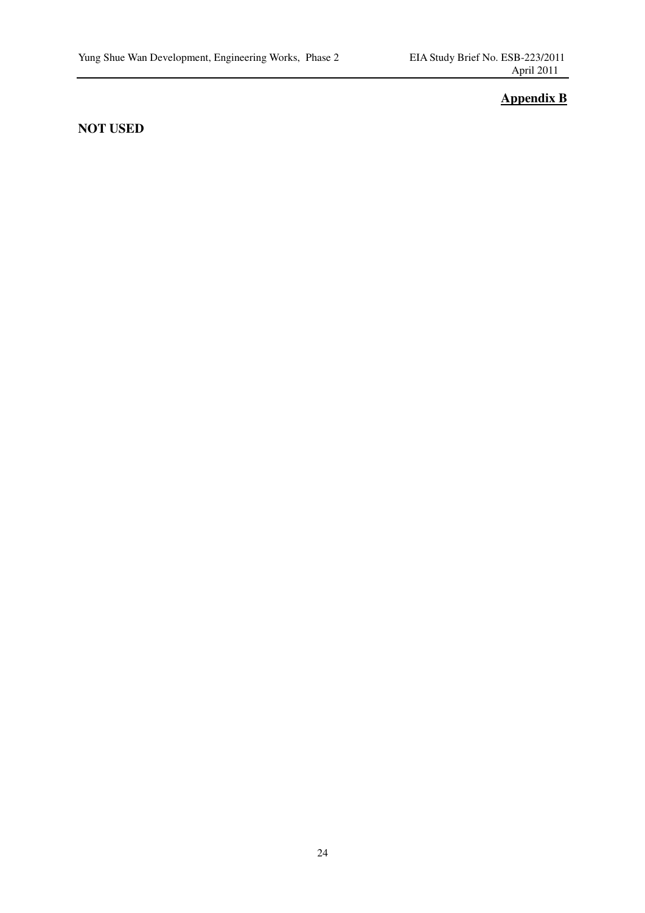## **Appendix B**

## **NOT USED**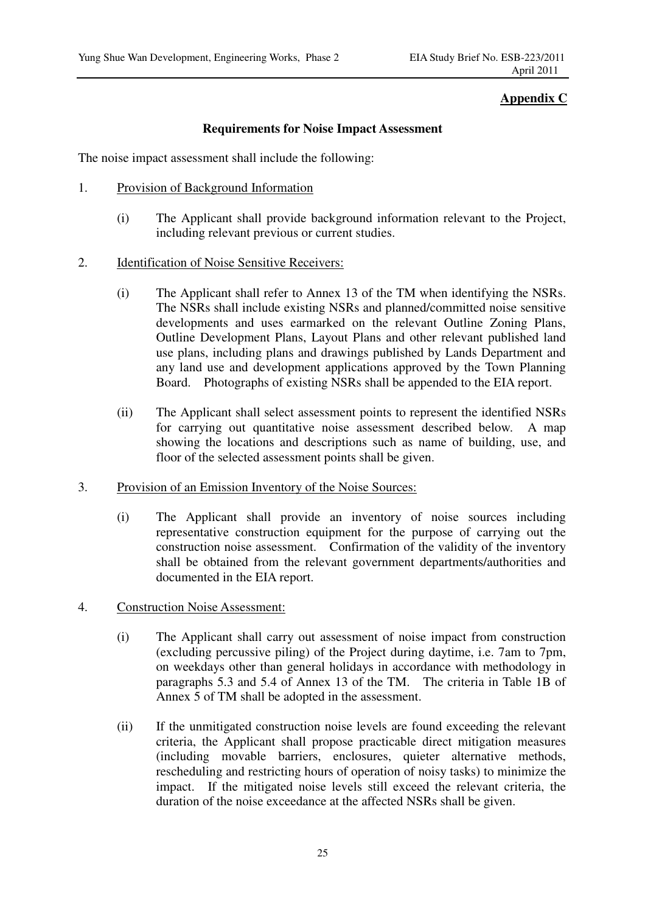## **Appendix C**

## **Requirements for Noise Impact Assessment**

The noise impact assessment shall include the following:

- 1. Provision of Background Information
	- (i) The Applicant shall provide background information relevant to the Project, including relevant previous or current studies.
- 2. Identification of Noise Sensitive Receivers:
	- (i) The Applicant shall refer to Annex 13 of the TM when identifying the NSRs. The NSRs shall include existing NSRs and planned/committed noise sensitive developments and uses earmarked on the relevant Outline Zoning Plans, Outline Development Plans, Layout Plans and other relevant published land use plans, including plans and drawings published by Lands Department and any land use and development applications approved by the Town Planning Board. Photographs of existing NSRs shall be appended to the EIA report.
	- (ii) The Applicant shall select assessment points to represent the identified NSRs for carrying out quantitative noise assessment described below. A map showing the locations and descriptions such as name of building, use, and floor of the selected assessment points shall be given.
- 3. Provision of an Emission Inventory of the Noise Sources:
	- (i) The Applicant shall provide an inventory of noise sources including representative construction equipment for the purpose of carrying out the construction noise assessment. Confirmation of the validity of the inventory shall be obtained from the relevant government departments/authorities and documented in the EIA report.
- 4. Construction Noise Assessment:
	- (i) The Applicant shall carry out assessment of noise impact from construction (excluding percussive piling) of the Project during daytime, i.e. 7am to 7pm, on weekdays other than general holidays in accordance with methodology in paragraphs 5.3 and 5.4 of Annex 13 of the TM. The criteria in Table 1B of Annex 5 of TM shall be adopted in the assessment.
	- (ii) If the unmitigated construction noise levels are found exceeding the relevant criteria, the Applicant shall propose practicable direct mitigation measures (including movable barriers, enclosures, quieter alternative methods, rescheduling and restricting hours of operation of noisy tasks) to minimize the impact. If the mitigated noise levels still exceed the relevant criteria, the duration of the noise exceedance at the affected NSRs shall be given.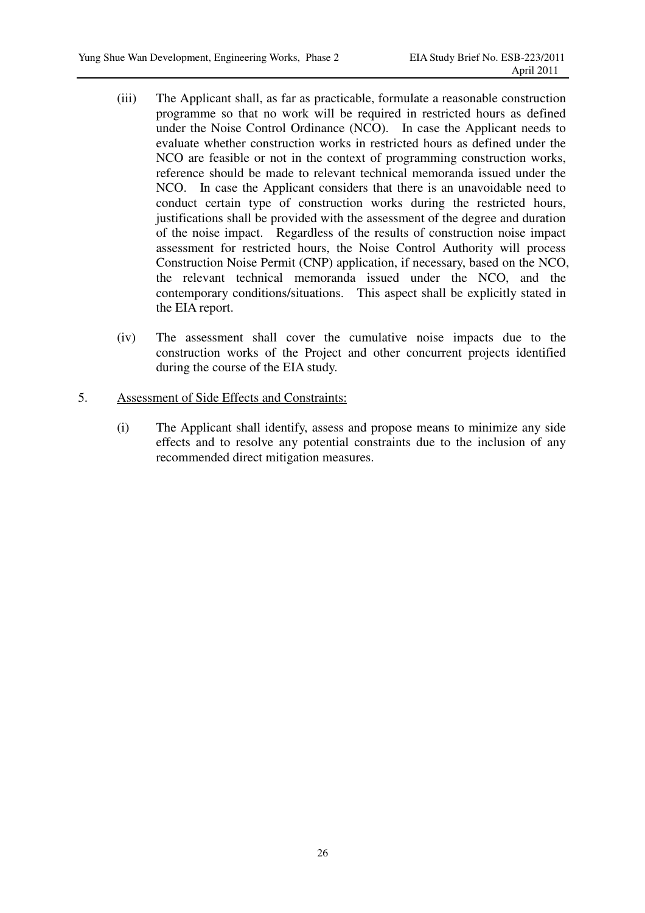- (iii) The Applicant shall, as far as practicable, formulate a reasonable construction programme so that no work will be required in restricted hours as defined under the Noise Control Ordinance (NCO). In case the Applicant needs to evaluate whether construction works in restricted hours as defined under the NCO are feasible or not in the context of programming construction works, reference should be made to relevant technical memoranda issued under the NCO. In case the Applicant considers that there is an unavoidable need to conduct certain type of construction works during the restricted hours, justifications shall be provided with the assessment of the degree and duration of the noise impact. Regardless of the results of construction noise impact assessment for restricted hours, the Noise Control Authority will process Construction Noise Permit (CNP) application, if necessary, based on the NCO, the relevant technical memoranda issued under the NCO, and the contemporary conditions/situations. This aspect shall be explicitly stated in the EIA report.
- (iv) The assessment shall cover the cumulative noise impacts due to the construction works of the Project and other concurrent projects identified during the course of the EIA study.
- 5. Assessment of Side Effects and Constraints:
	- (i) The Applicant shall identify, assess and propose means to minimize any side effects and to resolve any potential constraints due to the inclusion of any recommended direct mitigation measures.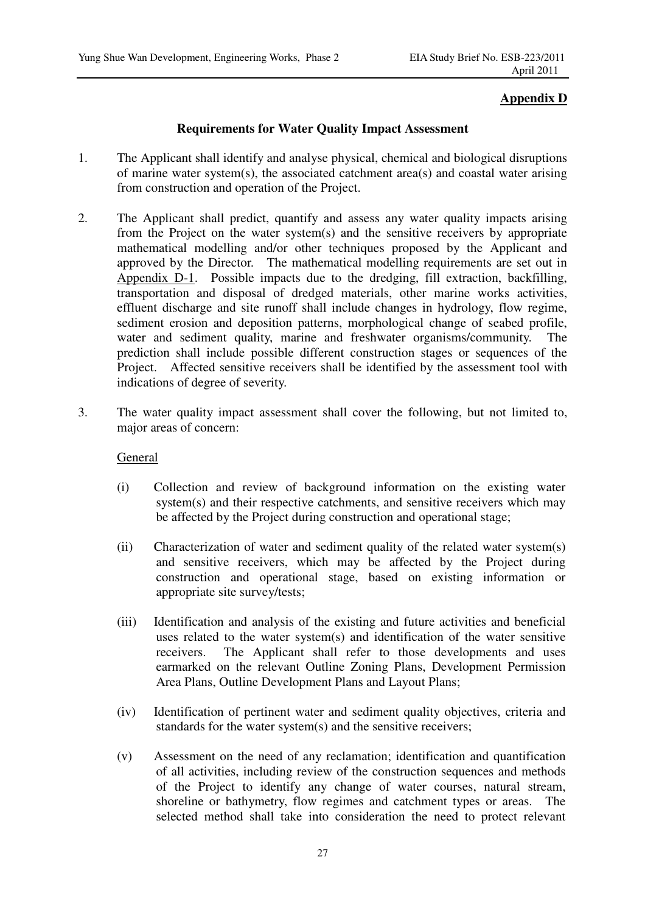## **Appendix D**

## **Requirements for Water Quality Impact Assessment**

- 1. The Applicant shall identify and analyse physical, chemical and biological disruptions of marine water system(s), the associated catchment area(s) and coastal water arising from construction and operation of the Project.
- 2. The Applicant shall predict, quantify and assess any water quality impacts arising from the Project on the water system(s) and the sensitive receivers by appropriate mathematical modelling and/or other techniques proposed by the Applicant and approved by the Director. The mathematical modelling requirements are set out in Appendix D-1. Possible impacts due to the dredging, fill extraction, backfilling, transportation and disposal of dredged materials, other marine works activities, effluent discharge and site runoff shall include changes in hydrology, flow regime, sediment erosion and deposition patterns, morphological change of seabed profile, water and sediment quality, marine and freshwater organisms/community. The prediction shall include possible different construction stages or sequences of the Project. Affected sensitive receivers shall be identified by the assessment tool with indications of degree of severity.
- 3. The water quality impact assessment shall cover the following, but not limited to, major areas of concern:

## General

- (i) Collection and review of background information on the existing water system(s) and their respective catchments, and sensitive receivers which may be affected by the Project during construction and operational stage;
- (ii) Characterization of water and sediment quality of the related water system(s) and sensitive receivers, which may be affected by the Project during construction and operational stage, based on existing information or appropriate site survey/tests;
- (iii) Identification and analysis of the existing and future activities and beneficial uses related to the water system(s) and identification of the water sensitive receivers. The Applicant shall refer to those developments and uses earmarked on the relevant Outline Zoning Plans, Development Permission Area Plans, Outline Development Plans and Layout Plans;
- (iv) Identification of pertinent water and sediment quality objectives, criteria and standards for the water system(s) and the sensitive receivers;
- (v) Assessment on the need of any reclamation; identification and quantification of all activities, including review of the construction sequences and methods of the Project to identify any change of water courses, natural stream, shoreline or bathymetry, flow regimes and catchment types or areas. The selected method shall take into consideration the need to protect relevant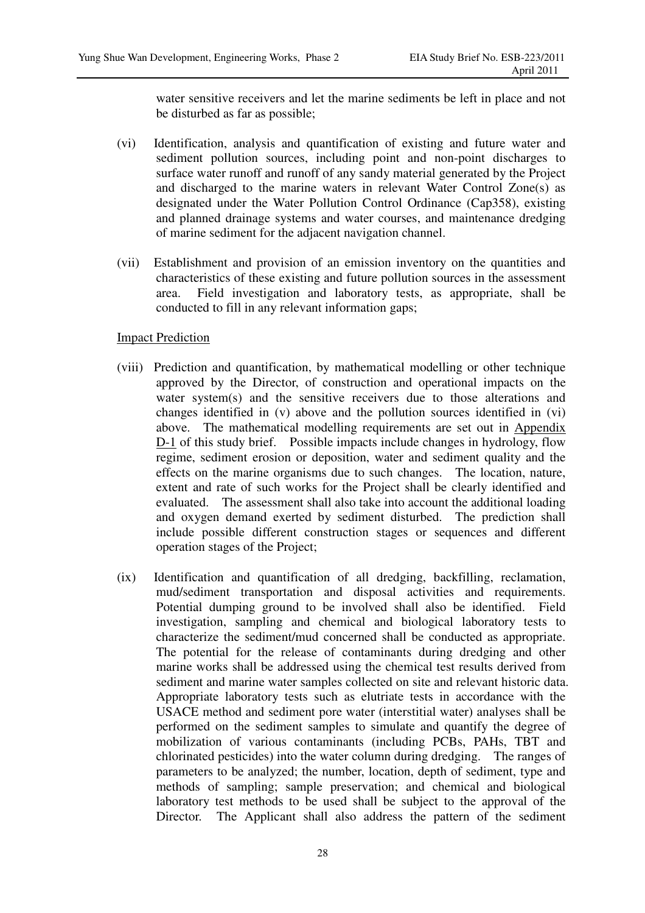water sensitive receivers and let the marine sediments be left in place and not be disturbed as far as possible;

- (vi) Identification, analysis and quantification of existing and future water and sediment pollution sources, including point and non-point discharges to surface water runoff and runoff of any sandy material generated by the Project and discharged to the marine waters in relevant Water Control Zone(s) as designated under the Water Pollution Control Ordinance (Cap358), existing and planned drainage systems and water courses, and maintenance dredging of marine sediment for the adjacent navigation channel.
- (vii) Establishment and provision of an emission inventory on the quantities and characteristics of these existing and future pollution sources in the assessment area. Field investigation and laboratory tests, as appropriate, shall be conducted to fill in any relevant information gaps;

### Impact Prediction

- (viii) Prediction and quantification, by mathematical modelling or other technique approved by the Director, of construction and operational impacts on the water system(s) and the sensitive receivers due to those alterations and changes identified in (v) above and the pollution sources identified in (vi) above. The mathematical modelling requirements are set out in Appendix D-1 of this study brief. Possible impacts include changes in hydrology, flow regime, sediment erosion or deposition, water and sediment quality and the effects on the marine organisms due to such changes. The location, nature, extent and rate of such works for the Project shall be clearly identified and evaluated. The assessment shall also take into account the additional loading and oxygen demand exerted by sediment disturbed. The prediction shall include possible different construction stages or sequences and different operation stages of the Project;
- (ix) Identification and quantification of all dredging, backfilling, reclamation, mud/sediment transportation and disposal activities and requirements. Potential dumping ground to be involved shall also be identified. Field investigation, sampling and chemical and biological laboratory tests to characterize the sediment/mud concerned shall be conducted as appropriate. The potential for the release of contaminants during dredging and other marine works shall be addressed using the chemical test results derived from sediment and marine water samples collected on site and relevant historic data. Appropriate laboratory tests such as elutriate tests in accordance with the USACE method and sediment pore water (interstitial water) analyses shall be performed on the sediment samples to simulate and quantify the degree of mobilization of various contaminants (including PCBs, PAHs, TBT and chlorinated pesticides) into the water column during dredging. The ranges of parameters to be analyzed; the number, location, depth of sediment, type and methods of sampling; sample preservation; and chemical and biological laboratory test methods to be used shall be subject to the approval of the Director. The Applicant shall also address the pattern of the sediment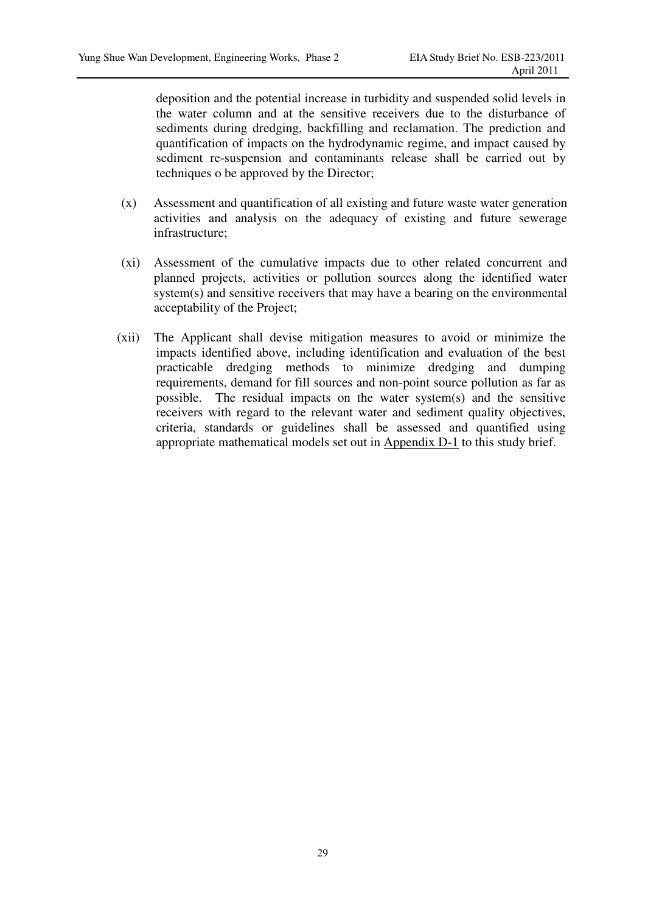deposition and the potential increase in turbidity and suspended solid levels in the water column and at the sensitive receivers due to the disturbance of sediments during dredging, backfilling and reclamation. The prediction and quantification of impacts on the hydrodynamic regime, and impact caused by sediment re-suspension and contaminants release shall be carried out by techniques o be approved by the Director;

- (x) Assessment and quantification of all existing and future waste water generation activities and analysis on the adequacy of existing and future sewerage infrastructure;
- (xi) Assessment of the cumulative impacts due to other related concurrent and planned projects, activities or pollution sources along the identified water system(s) and sensitive receivers that may have a bearing on the environmental acceptability of the Project;
- (xii) The Applicant shall devise mitigation measures to avoid or minimize the impacts identified above, including identification and evaluation of the best practicable dredging methods to minimize dredging and dumping requirements, demand for fill sources and non-point source pollution as far as possible. The residual impacts on the water system(s) and the sensitive receivers with regard to the relevant water and sediment quality objectives, criteria, standards or guidelines shall be assessed and quantified using appropriate mathematical models set out in Appendix D-1 to this study brief.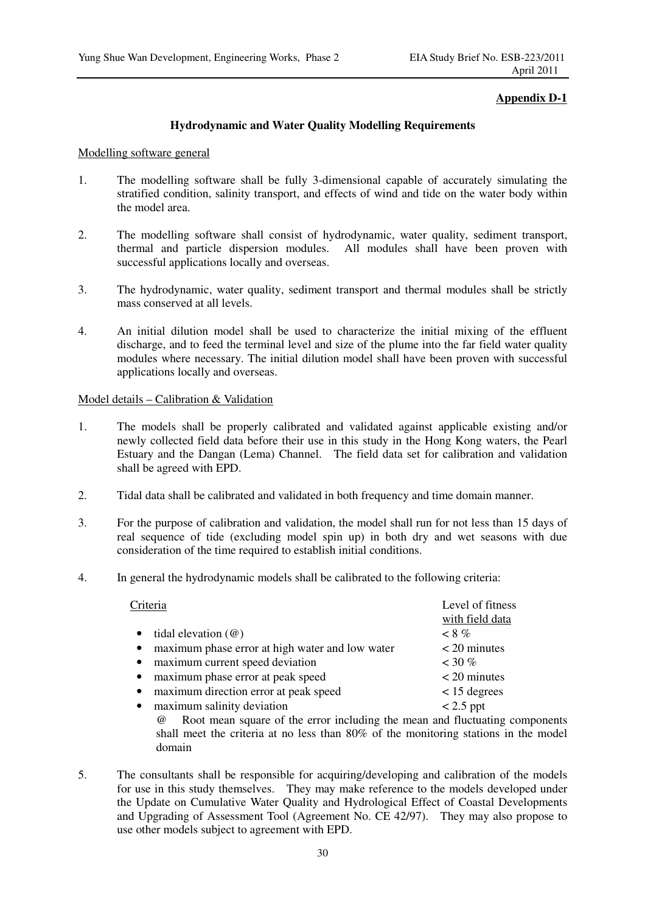### **Appendix D-1**

#### **Hydrodynamic and Water Quality Modelling Requirements**

#### Modelling software general

- 1. The modelling software shall be fully 3-dimensional capable of accurately simulating the stratified condition, salinity transport, and effects of wind and tide on the water body within the model area.
- 2. The modelling software shall consist of hydrodynamic, water quality, sediment transport, thermal and particle dispersion modules. All modules shall have been proven with successful applications locally and overseas.
- 3. The hydrodynamic, water quality, sediment transport and thermal modules shall be strictly mass conserved at all levels.
- 4. An initial dilution model shall be used to characterize the initial mixing of the effluent discharge, and to feed the terminal level and size of the plume into the far field water quality modules where necessary. The initial dilution model shall have been proven with successful applications locally and overseas.

#### Model details – Calibration & Validation

- 1. The models shall be properly calibrated and validated against applicable existing and/or newly collected field data before their use in this study in the Hong Kong waters, the Pearl Estuary and the Dangan (Lema) Channel. The field data set for calibration and validation shall be agreed with EPD.
- 2. Tidal data shall be calibrated and validated in both frequency and time domain manner.
- 3. For the purpose of calibration and validation, the model shall run for not less than 15 days of real sequence of tide (excluding model spin up) in both dry and wet seasons with due consideration of the time required to establish initial conditions.
- 4. In general the hydrodynamic models shall be calibrated to the following criteria:

| Criteria                                                     | Level of fitness<br>with field data |  |
|--------------------------------------------------------------|-------------------------------------|--|
| tidal elevation $(\omega)$<br>$\bullet$                      | $< 8\%$                             |  |
| maximum phase error at high water and low water<br>$\bullet$ | $<$ 20 minutes                      |  |
| maximum current speed deviation<br>$\bullet$                 | $~130\%$                            |  |
| maximum phase error at peak speed<br>$\bullet$               | $<$ 20 minutes                      |  |
| maximum direction error at peak speed<br>$\bullet$           | $< 15$ degrees                      |  |
| maximum salinity deviation<br>$\bullet$                      | $< 2.5$ ppt                         |  |
| 1.11                                                         | $1 \times 1$                        |  |

@ Root mean square of the error including the mean and fluctuating components shall meet the criteria at no less than 80% of the monitoring stations in the model domain

5. The consultants shall be responsible for acquiring/developing and calibration of the models for use in this study themselves. They may make reference to the models developed under the Update on Cumulative Water Quality and Hydrological Effect of Coastal Developments and Upgrading of Assessment Tool (Agreement No. CE 42/97). They may also propose to use other models subject to agreement with EPD.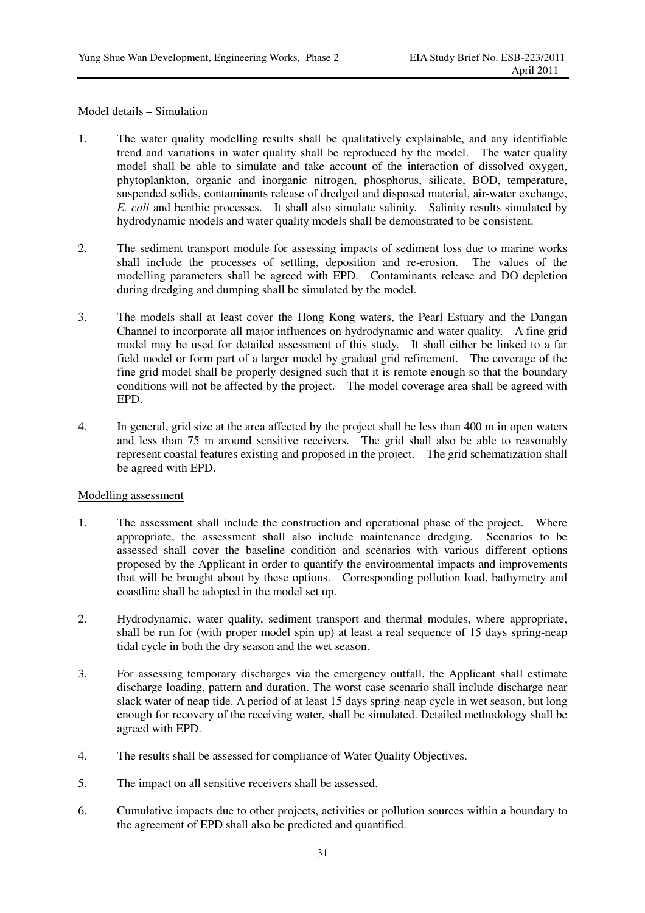#### Model details – Simulation

- 1. The water quality modelling results shall be qualitatively explainable, and any identifiable trend and variations in water quality shall be reproduced by the model. The water quality model shall be able to simulate and take account of the interaction of dissolved oxygen, phytoplankton, organic and inorganic nitrogen, phosphorus, silicate, BOD, temperature, suspended solids, contaminants release of dredged and disposed material, air-water exchange, *E. coli* and benthic processes. It shall also simulate salinity. Salinity results simulated by hydrodynamic models and water quality models shall be demonstrated to be consistent.
- 2. The sediment transport module for assessing impacts of sediment loss due to marine works shall include the processes of settling, deposition and re-erosion. The values of the modelling parameters shall be agreed with EPD. Contaminants release and DO depletion during dredging and dumping shall be simulated by the model.
- 3. The models shall at least cover the Hong Kong waters, the Pearl Estuary and the Dangan Channel to incorporate all major influences on hydrodynamic and water quality. A fine grid model may be used for detailed assessment of this study. It shall either be linked to a far field model or form part of a larger model by gradual grid refinement. The coverage of the fine grid model shall be properly designed such that it is remote enough so that the boundary conditions will not be affected by the project. The model coverage area shall be agreed with EPD.
- 4. In general, grid size at the area affected by the project shall be less than 400 m in open waters and less than 75 m around sensitive receivers. The grid shall also be able to reasonably represent coastal features existing and proposed in the project. The grid schematization shall be agreed with EPD.

#### Modelling assessment

- 1. The assessment shall include the construction and operational phase of the project. Where appropriate, the assessment shall also include maintenance dredging. Scenarios to be assessed shall cover the baseline condition and scenarios with various different options proposed by the Applicant in order to quantify the environmental impacts and improvements that will be brought about by these options. Corresponding pollution load, bathymetry and coastline shall be adopted in the model set up.
- 2. Hydrodynamic, water quality, sediment transport and thermal modules, where appropriate, shall be run for (with proper model spin up) at least a real sequence of 15 days spring-neap tidal cycle in both the dry season and the wet season.
- 3. For assessing temporary discharges via the emergency outfall, the Applicant shall estimate discharge loading, pattern and duration. The worst case scenario shall include discharge near slack water of neap tide. A period of at least 15 days spring-neap cycle in wet season, but long enough for recovery of the receiving water, shall be simulated. Detailed methodology shall be agreed with EPD.
- 4. The results shall be assessed for compliance of Water Quality Objectives.
- 5. The impact on all sensitive receivers shall be assessed.
- 6. Cumulative impacts due to other projects, activities or pollution sources within a boundary to the agreement of EPD shall also be predicted and quantified.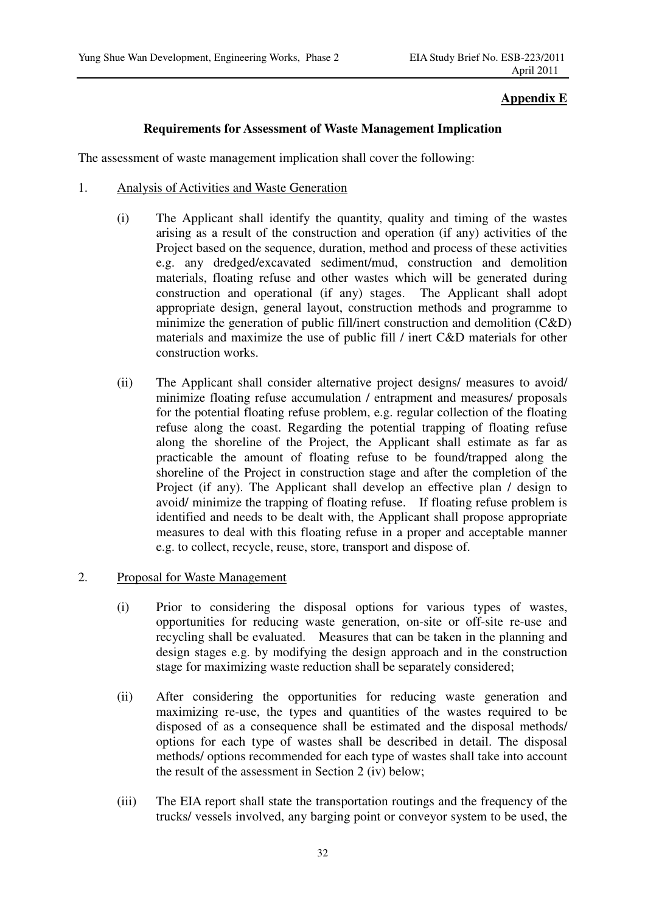## **Appendix E**

## **Requirements for Assessment of Waste Management Implication**

The assessment of waste management implication shall cover the following:

- 1. Analysis of Activities and Waste Generation
	- (i) The Applicant shall identify the quantity, quality and timing of the wastes arising as a result of the construction and operation (if any) activities of the Project based on the sequence, duration, method and process of these activities e.g. any dredged/excavated sediment/mud, construction and demolition materials, floating refuse and other wastes which will be generated during construction and operational (if any) stages. The Applicant shall adopt appropriate design, general layout, construction methods and programme to minimize the generation of public fill/inert construction and demolition (C&D) materials and maximize the use of public fill / inert C&D materials for other construction works.
	- (ii) The Applicant shall consider alternative project designs/ measures to avoid/ minimize floating refuse accumulation / entrapment and measures/ proposals for the potential floating refuse problem, e.g. regular collection of the floating refuse along the coast. Regarding the potential trapping of floating refuse along the shoreline of the Project, the Applicant shall estimate as far as practicable the amount of floating refuse to be found/trapped along the shoreline of the Project in construction stage and after the completion of the Project (if any). The Applicant shall develop an effective plan / design to avoid/ minimize the trapping of floating refuse. If floating refuse problem is identified and needs to be dealt with, the Applicant shall propose appropriate measures to deal with this floating refuse in a proper and acceptable manner e.g. to collect, recycle, reuse, store, transport and dispose of.
- 2. Proposal for Waste Management
	- (i) Prior to considering the disposal options for various types of wastes, opportunities for reducing waste generation, on-site or off-site re-use and recycling shall be evaluated. Measures that can be taken in the planning and design stages e.g. by modifying the design approach and in the construction stage for maximizing waste reduction shall be separately considered;
	- (ii) After considering the opportunities for reducing waste generation and maximizing re-use, the types and quantities of the wastes required to be disposed of as a consequence shall be estimated and the disposal methods/ options for each type of wastes shall be described in detail. The disposal methods/ options recommended for each type of wastes shall take into account the result of the assessment in Section 2 (iv) below;
	- (iii) The EIA report shall state the transportation routings and the frequency of the trucks/ vessels involved, any barging point or conveyor system to be used, the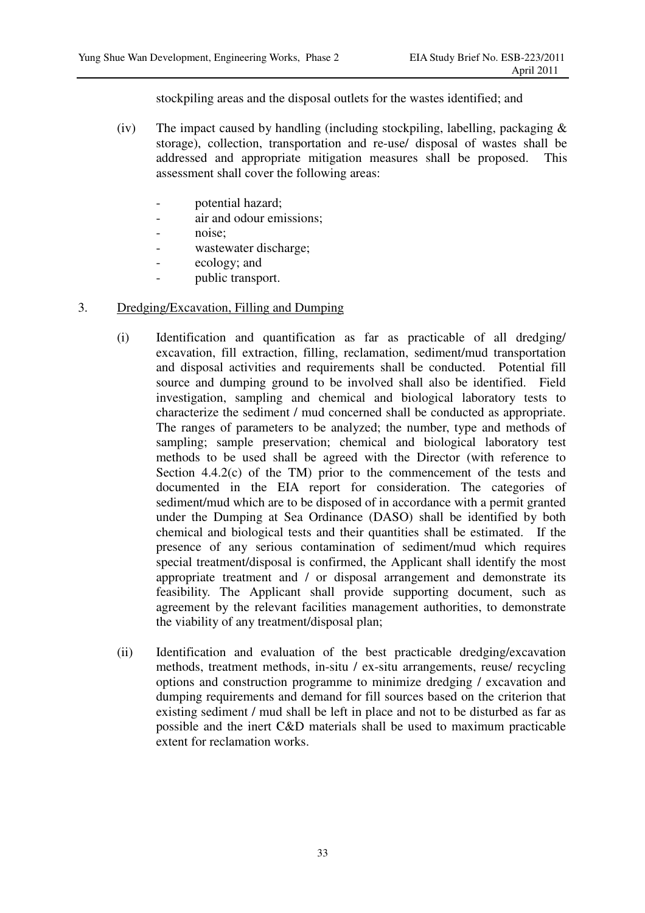stockpiling areas and the disposal outlets for the wastes identified; and

- (iv) The impact caused by handling (including stockpiling, labelling, packaging  $\&$ storage), collection, transportation and re-use/ disposal of wastes shall be addressed and appropriate mitigation measures shall be proposed. This assessment shall cover the following areas:
	- potential hazard;
	- air and odour emissions:
	- noise;
	- wastewater discharge;
	- ecology; and
	- public transport.

## 3. Dredging/Excavation, Filling and Dumping

- (i) Identification and quantification as far as practicable of all dredging/ excavation, fill extraction, filling, reclamation, sediment/mud transportation and disposal activities and requirements shall be conducted. Potential fill source and dumping ground to be involved shall also be identified. Field investigation, sampling and chemical and biological laboratory tests to characterize the sediment / mud concerned shall be conducted as appropriate. The ranges of parameters to be analyzed; the number, type and methods of sampling; sample preservation; chemical and biological laboratory test methods to be used shall be agreed with the Director (with reference to Section  $4.4.2(c)$  of the TM) prior to the commencement of the tests and documented in the EIA report for consideration. The categories of sediment/mud which are to be disposed of in accordance with a permit granted under the Dumping at Sea Ordinance (DASO) shall be identified by both chemical and biological tests and their quantities shall be estimated. If the presence of any serious contamination of sediment/mud which requires special treatment/disposal is confirmed, the Applicant shall identify the most appropriate treatment and / or disposal arrangement and demonstrate its feasibility. The Applicant shall provide supporting document, such as agreement by the relevant facilities management authorities, to demonstrate the viability of any treatment/disposal plan;
- (ii) Identification and evaluation of the best practicable dredging/excavation methods, treatment methods, in-situ / ex-situ arrangements, reuse/ recycling options and construction programme to minimize dredging / excavation and dumping requirements and demand for fill sources based on the criterion that existing sediment / mud shall be left in place and not to be disturbed as far as possible and the inert C&D materials shall be used to maximum practicable extent for reclamation works.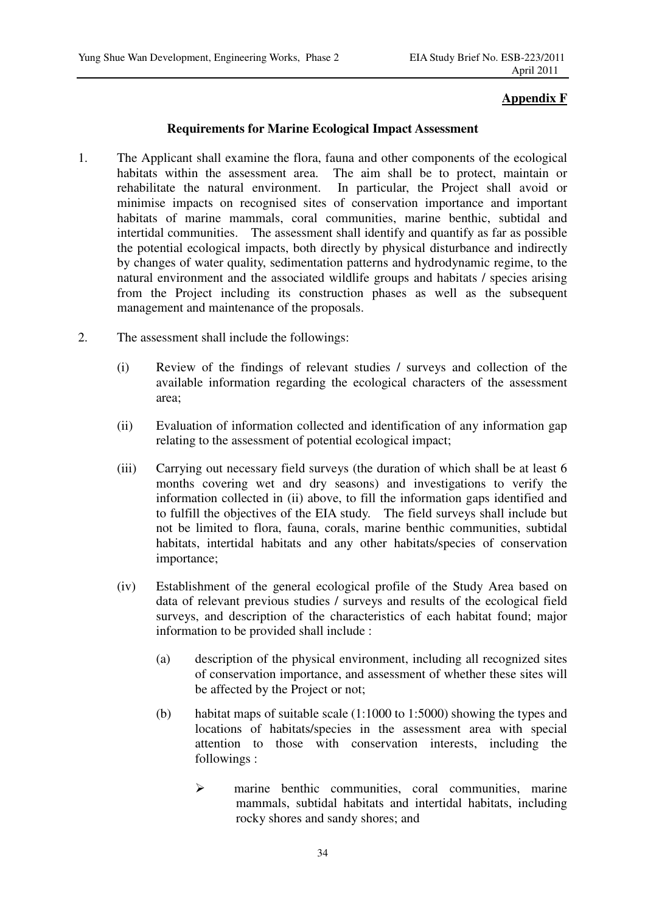## **Appendix F**

**Requirements for Marine Ecological Impact Assessment** 

- 1. The Applicant shall examine the flora, fauna and other components of the ecological habitats within the assessment area. The aim shall be to protect, maintain or rehabilitate the natural environment. In particular, the Project shall avoid or minimise impacts on recognised sites of conservation importance and important habitats of marine mammals, coral communities, marine benthic, subtidal and intertidal communities. The assessment shall identify and quantify as far as possible the potential ecological impacts, both directly by physical disturbance and indirectly by changes of water quality, sedimentation patterns and hydrodynamic regime, to the natural environment and the associated wildlife groups and habitats / species arising from the Project including its construction phases as well as the subsequent management and maintenance of the proposals.
- 2. The assessment shall include the followings:
	- (i) Review of the findings of relevant studies / surveys and collection of the available information regarding the ecological characters of the assessment area;
	- (ii) Evaluation of information collected and identification of any information gap relating to the assessment of potential ecological impact;
	- (iii) Carrying out necessary field surveys (the duration of which shall be at least 6 months covering wet and dry seasons) and investigations to verify the information collected in (ii) above, to fill the information gaps identified and to fulfill the objectives of the EIA study. The field surveys shall include but not be limited to flora, fauna, corals, marine benthic communities, subtidal habitats, intertidal habitats and any other habitats/species of conservation importance;
	- (iv) Establishment of the general ecological profile of the Study Area based on data of relevant previous studies / surveys and results of the ecological field surveys, and description of the characteristics of each habitat found; major information to be provided shall include :
		- (a) description of the physical environment, including all recognized sites of conservation importance, and assessment of whether these sites will be affected by the Project or not;
		- (b) habitat maps of suitable scale (1:1000 to 1:5000) showing the types and locations of habitats/species in the assessment area with special attention to those with conservation interests, including the followings :
			- $\triangleright$  marine benthic communities, coral communities, marine mammals, subtidal habitats and intertidal habitats, including rocky shores and sandy shores; and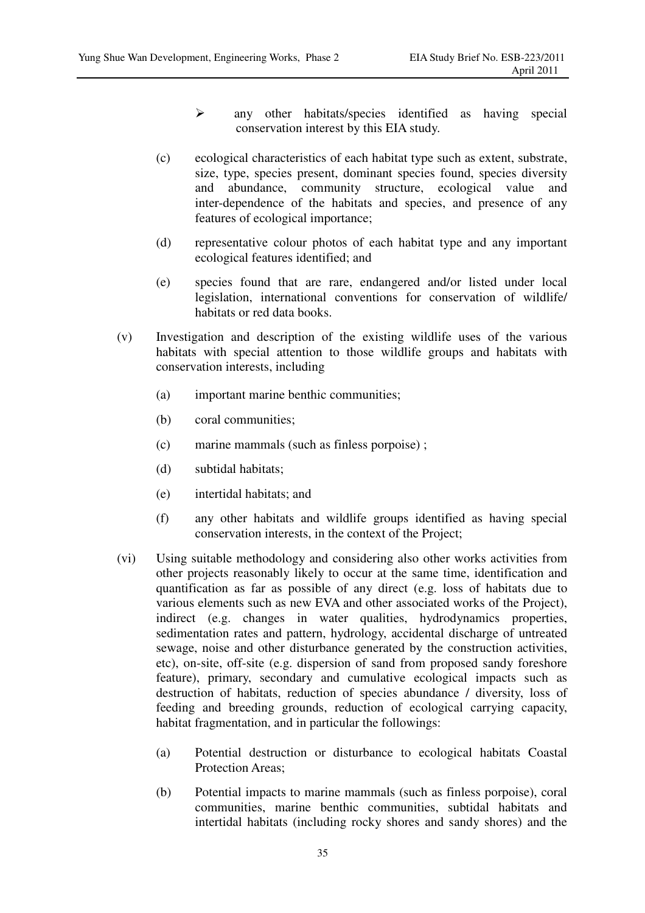- any other habitats/species identified as having special conservation interest by this EIA study.
- (c) ecological characteristics of each habitat type such as extent, substrate, size, type, species present, dominant species found, species diversity and abundance, community structure, ecological value and inter-dependence of the habitats and species, and presence of any features of ecological importance;
- (d) representative colour photos of each habitat type and any important ecological features identified; and
- (e) species found that are rare, endangered and/or listed under local legislation, international conventions for conservation of wildlife/ habitats or red data books.
- (v) Investigation and description of the existing wildlife uses of the various habitats with special attention to those wildlife groups and habitats with conservation interests, including
	- (a) important marine benthic communities;
	- (b) coral communities;
	- (c) marine mammals (such as finless porpoise) ;
	- (d) subtidal habitats;
	- (e) intertidal habitats; and
	- (f) any other habitats and wildlife groups identified as having special conservation interests, in the context of the Project;
- (vi) Using suitable methodology and considering also other works activities from other projects reasonably likely to occur at the same time, identification and quantification as far as possible of any direct (e.g. loss of habitats due to various elements such as new EVA and other associated works of the Project), indirect (e.g. changes in water qualities, hydrodynamics properties, sedimentation rates and pattern, hydrology, accidental discharge of untreated sewage, noise and other disturbance generated by the construction activities, etc), on-site, off-site (e.g. dispersion of sand from proposed sandy foreshore feature), primary, secondary and cumulative ecological impacts such as destruction of habitats, reduction of species abundance / diversity, loss of feeding and breeding grounds, reduction of ecological carrying capacity, habitat fragmentation, and in particular the followings:
	- (a) Potential destruction or disturbance to ecological habitats Coastal Protection Areas;
	- (b) Potential impacts to marine mammals (such as finless porpoise), coral communities, marine benthic communities, subtidal habitats and intertidal habitats (including rocky shores and sandy shores) and the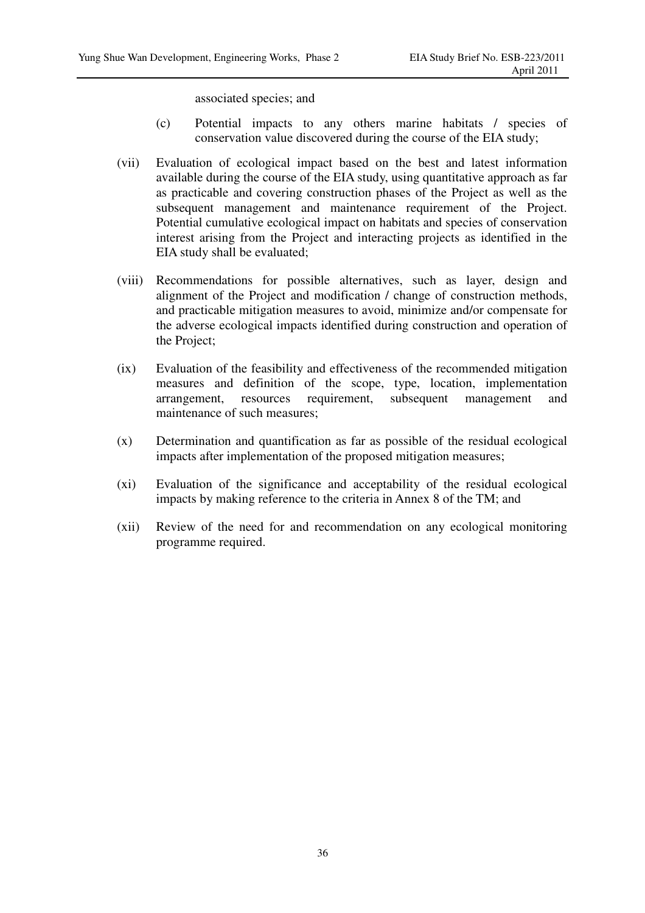associated species; and

- (c) Potential impacts to any others marine habitats / species of conservation value discovered during the course of the EIA study;
- (vii) Evaluation of ecological impact based on the best and latest information available during the course of the EIA study, using quantitative approach as far as practicable and covering construction phases of the Project as well as the subsequent management and maintenance requirement of the Project. Potential cumulative ecological impact on habitats and species of conservation interest arising from the Project and interacting projects as identified in the EIA study shall be evaluated;
- (viii) Recommendations for possible alternatives, such as layer, design and alignment of the Project and modification / change of construction methods, and practicable mitigation measures to avoid, minimize and/or compensate for the adverse ecological impacts identified during construction and operation of the Project;
- (ix) Evaluation of the feasibility and effectiveness of the recommended mitigation measures and definition of the scope, type, location, implementation arrangement, resources requirement, subsequent management and maintenance of such measures;
- (x) Determination and quantification as far as possible of the residual ecological impacts after implementation of the proposed mitigation measures;
- (xi) Evaluation of the significance and acceptability of the residual ecological impacts by making reference to the criteria in Annex 8 of the TM; and
- (xii) Review of the need for and recommendation on any ecological monitoring programme required.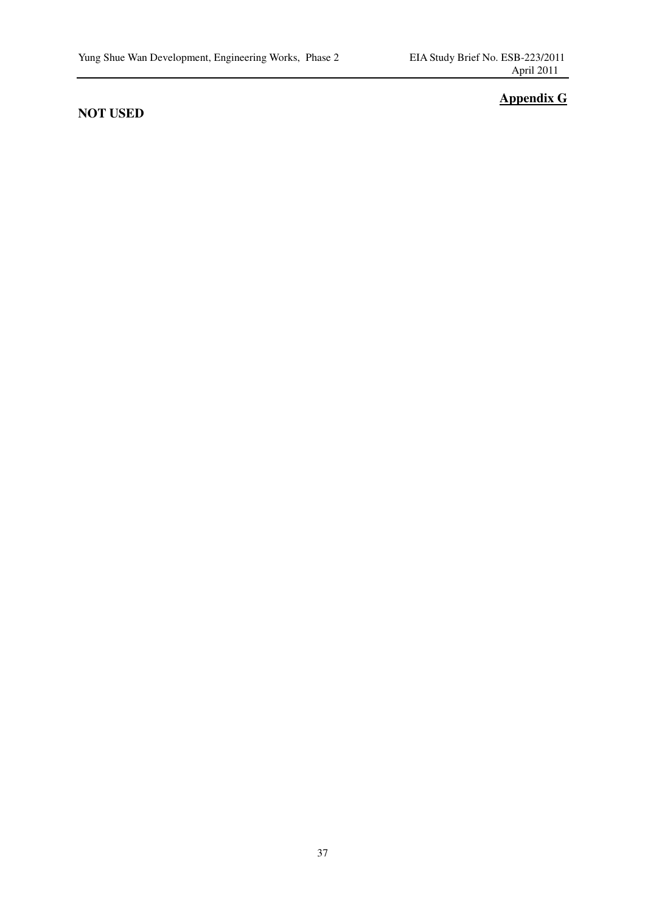## **NOT USED**

## **Appendix G**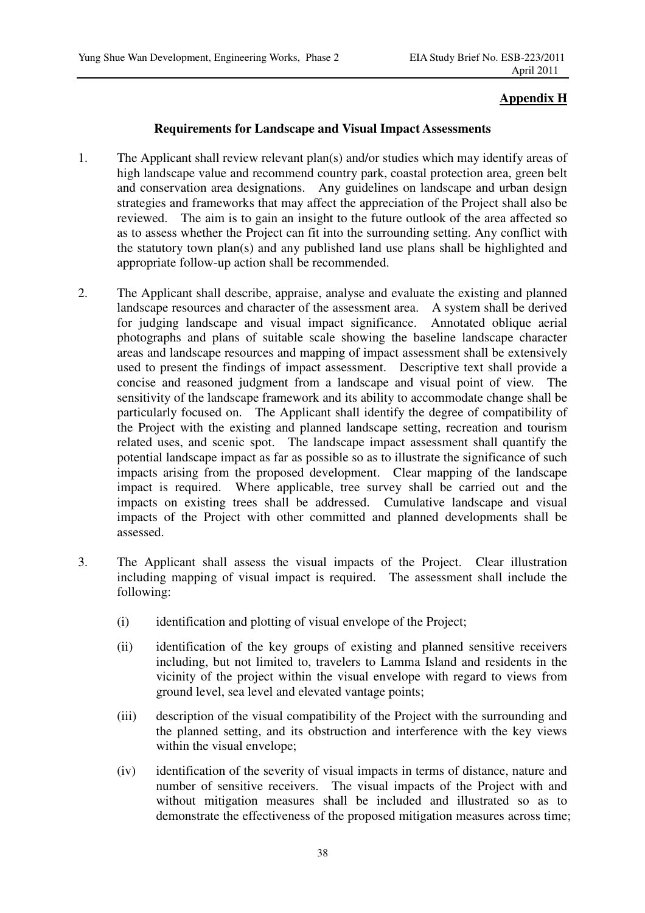## **Appendix H**

### **Requirements for Landscape and Visual Impact Assessments**

- 1. The Applicant shall review relevant plan(s) and/or studies which may identify areas of high landscape value and recommend country park, coastal protection area, green belt and conservation area designations. Any guidelines on landscape and urban design strategies and frameworks that may affect the appreciation of the Project shall also be reviewed. The aim is to gain an insight to the future outlook of the area affected so as to assess whether the Project can fit into the surrounding setting. Any conflict with the statutory town plan(s) and any published land use plans shall be highlighted and appropriate follow-up action shall be recommended.
- 2. The Applicant shall describe, appraise, analyse and evaluate the existing and planned landscape resources and character of the assessment area. A system shall be derived for judging landscape and visual impact significance. Annotated oblique aerial photographs and plans of suitable scale showing the baseline landscape character areas and landscape resources and mapping of impact assessment shall be extensively used to present the findings of impact assessment. Descriptive text shall provide a concise and reasoned judgment from a landscape and visual point of view. The sensitivity of the landscape framework and its ability to accommodate change shall be particularly focused on. The Applicant shall identify the degree of compatibility of the Project with the existing and planned landscape setting, recreation and tourism related uses, and scenic spot. The landscape impact assessment shall quantify the potential landscape impact as far as possible so as to illustrate the significance of such impacts arising from the proposed development. Clear mapping of the landscape impact is required. Where applicable, tree survey shall be carried out and the impacts on existing trees shall be addressed. Cumulative landscape and visual impacts of the Project with other committed and planned developments shall be assessed.
- 3. The Applicant shall assess the visual impacts of the Project. Clear illustration including mapping of visual impact is required. The assessment shall include the following:
	- (i) identification and plotting of visual envelope of the Project;
	- (ii) identification of the key groups of existing and planned sensitive receivers including, but not limited to, travelers to Lamma Island and residents in the vicinity of the project within the visual envelope with regard to views from ground level, sea level and elevated vantage points;
	- (iii) description of the visual compatibility of the Project with the surrounding and the planned setting, and its obstruction and interference with the key views within the visual envelope;
	- (iv) identification of the severity of visual impacts in terms of distance, nature and number of sensitive receivers. The visual impacts of the Project with and without mitigation measures shall be included and illustrated so as to demonstrate the effectiveness of the proposed mitigation measures across time;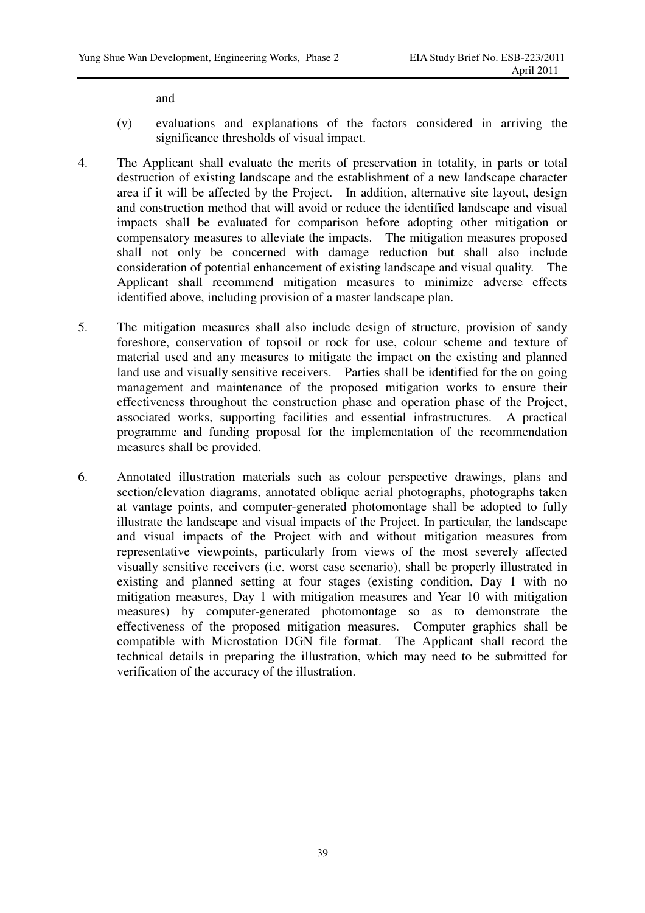and

- (v) evaluations and explanations of the factors considered in arriving the significance thresholds of visual impact.
- 4. The Applicant shall evaluate the merits of preservation in totality, in parts or total destruction of existing landscape and the establishment of a new landscape character area if it will be affected by the Project. In addition, alternative site layout, design and construction method that will avoid or reduce the identified landscape and visual impacts shall be evaluated for comparison before adopting other mitigation or compensatory measures to alleviate the impacts. The mitigation measures proposed shall not only be concerned with damage reduction but shall also include consideration of potential enhancement of existing landscape and visual quality. The Applicant shall recommend mitigation measures to minimize adverse effects identified above, including provision of a master landscape plan.
- 5. The mitigation measures shall also include design of structure, provision of sandy foreshore, conservation of topsoil or rock for use, colour scheme and texture of material used and any measures to mitigate the impact on the existing and planned land use and visually sensitive receivers. Parties shall be identified for the on going management and maintenance of the proposed mitigation works to ensure their effectiveness throughout the construction phase and operation phase of the Project, associated works, supporting facilities and essential infrastructures. A practical programme and funding proposal for the implementation of the recommendation measures shall be provided.
- 6. Annotated illustration materials such as colour perspective drawings, plans and section/elevation diagrams, annotated oblique aerial photographs, photographs taken at vantage points, and computer-generated photomontage shall be adopted to fully illustrate the landscape and visual impacts of the Project. In particular, the landscape and visual impacts of the Project with and without mitigation measures from representative viewpoints, particularly from views of the most severely affected visually sensitive receivers (i.e. worst case scenario), shall be properly illustrated in existing and planned setting at four stages (existing condition, Day 1 with no mitigation measures, Day 1 with mitigation measures and Year 10 with mitigation measures) by computer-generated photomontage so as to demonstrate the effectiveness of the proposed mitigation measures. Computer graphics shall be compatible with Microstation DGN file format. The Applicant shall record the technical details in preparing the illustration, which may need to be submitted for verification of the accuracy of the illustration.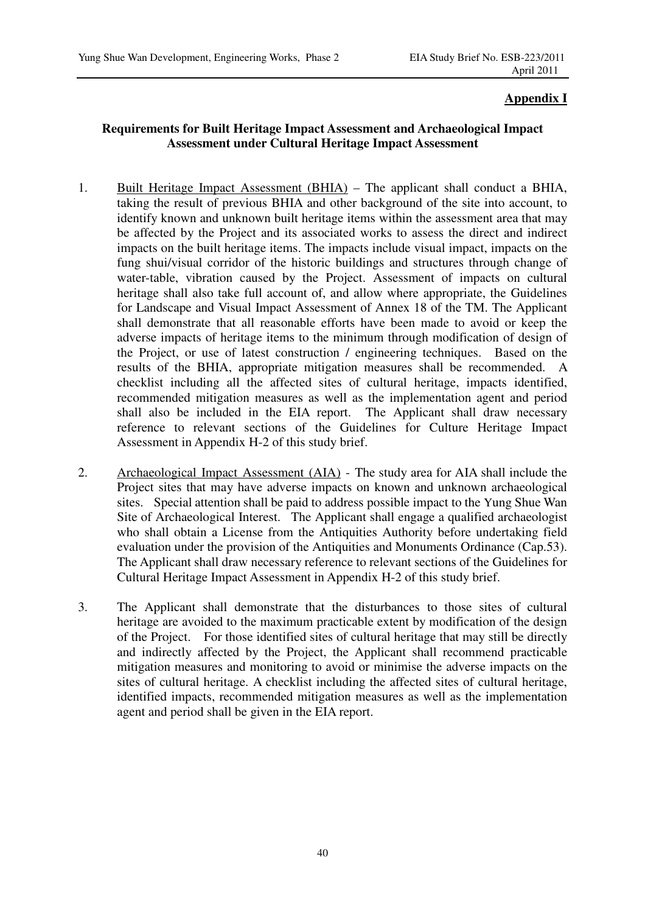## **Appendix I**

## **Requirements for Built Heritage Impact Assessment and Archaeological Impact Assessment under Cultural Heritage Impact Assessment**

- 1. Built Heritage Impact Assessment (BHIA) The applicant shall conduct a BHIA, taking the result of previous BHIA and other background of the site into account, to identify known and unknown built heritage items within the assessment area that may be affected by the Project and its associated works to assess the direct and indirect impacts on the built heritage items. The impacts include visual impact, impacts on the fung shui/visual corridor of the historic buildings and structures through change of water-table, vibration caused by the Project. Assessment of impacts on cultural heritage shall also take full account of, and allow where appropriate, the Guidelines for Landscape and Visual Impact Assessment of Annex 18 of the TM. The Applicant shall demonstrate that all reasonable efforts have been made to avoid or keep the adverse impacts of heritage items to the minimum through modification of design of the Project, or use of latest construction / engineering techniques. Based on the results of the BHIA, appropriate mitigation measures shall be recommended. A checklist including all the affected sites of cultural heritage, impacts identified, recommended mitigation measures as well as the implementation agent and period shall also be included in the EIA report. The Applicant shall draw necessary reference to relevant sections of the Guidelines for Culture Heritage Impact Assessment in Appendix H-2 of this study brief.
- 2. Archaeological Impact Assessment (AIA) The study area for AIA shall include the Project sites that may have adverse impacts on known and unknown archaeological sites. Special attention shall be paid to address possible impact to the Yung Shue Wan Site of Archaeological Interest. The Applicant shall engage a qualified archaeologist who shall obtain a License from the Antiquities Authority before undertaking field evaluation under the provision of the Antiquities and Monuments Ordinance (Cap.53). The Applicant shall draw necessary reference to relevant sections of the Guidelines for Cultural Heritage Impact Assessment in Appendix H-2 of this study brief.
- 3. The Applicant shall demonstrate that the disturbances to those sites of cultural heritage are avoided to the maximum practicable extent by modification of the design of the Project. For those identified sites of cultural heritage that may still be directly and indirectly affected by the Project, the Applicant shall recommend practicable mitigation measures and monitoring to avoid or minimise the adverse impacts on the sites of cultural heritage. A checklist including the affected sites of cultural heritage, identified impacts, recommended mitigation measures as well as the implementation agent and period shall be given in the EIA report.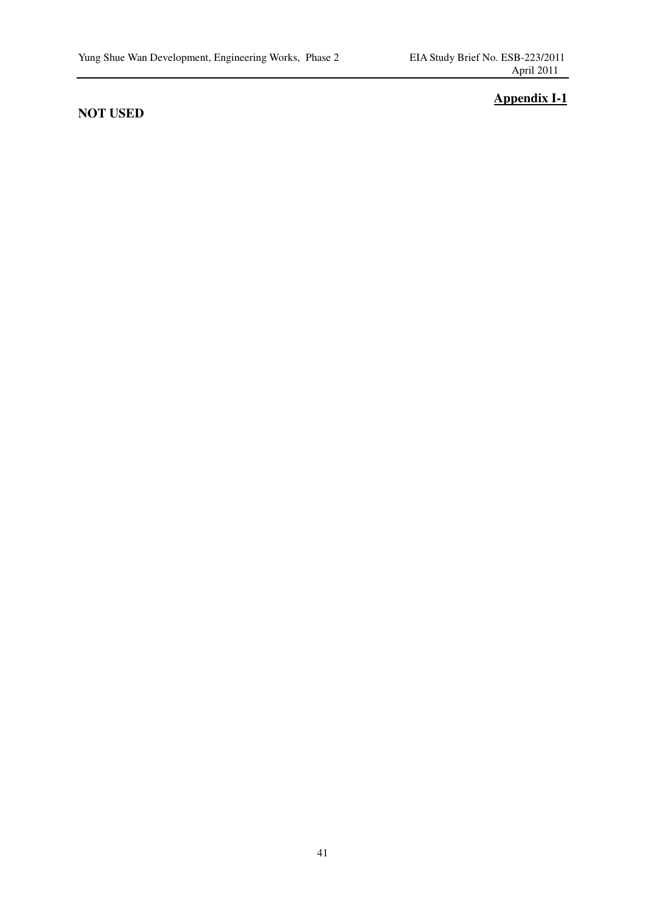## **NOT USED**

## **Appendix I-1**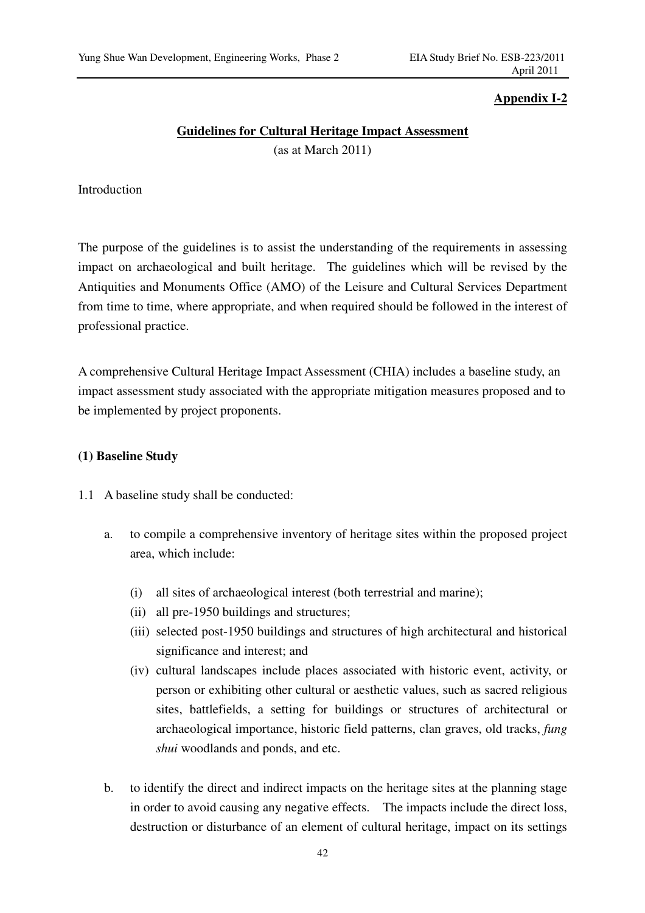## **Appendix I-2**

## **Guidelines for Cultural Heritage Impact Assessment** (as at March 2011)

## Introduction

The purpose of the guidelines is to assist the understanding of the requirements in assessing impact on archaeological and built heritage. The guidelines which will be revised by the Antiquities and Monuments Office (AMO) of the Leisure and Cultural Services Department from time to time, where appropriate, and when required should be followed in the interest of professional practice.

A comprehensive Cultural Heritage Impact Assessment (CHIA) includes a baseline study, an impact assessment study associated with the appropriate mitigation measures proposed and to be implemented by project proponents.

### **(1) Baseline Study**

- 1.1 A baseline study shall be conducted:
	- a. to compile a comprehensive inventory of heritage sites within the proposed project area, which include:
		- (i) all sites of archaeological interest (both terrestrial and marine);
		- (ii) all pre-1950 buildings and structures;
		- (iii) selected post-1950 buildings and structures of high architectural and historical significance and interest; and
		- (iv) cultural landscapes include places associated with historic event, activity, or person or exhibiting other cultural or aesthetic values, such as sacred religious sites, battlefields, a setting for buildings or structures of architectural or archaeological importance, historic field patterns, clan graves, old tracks, *fung shui* woodlands and ponds, and etc.
	- b. to identify the direct and indirect impacts on the heritage sites at the planning stage in order to avoid causing any negative effects. The impacts include the direct loss, destruction or disturbance of an element of cultural heritage, impact on its settings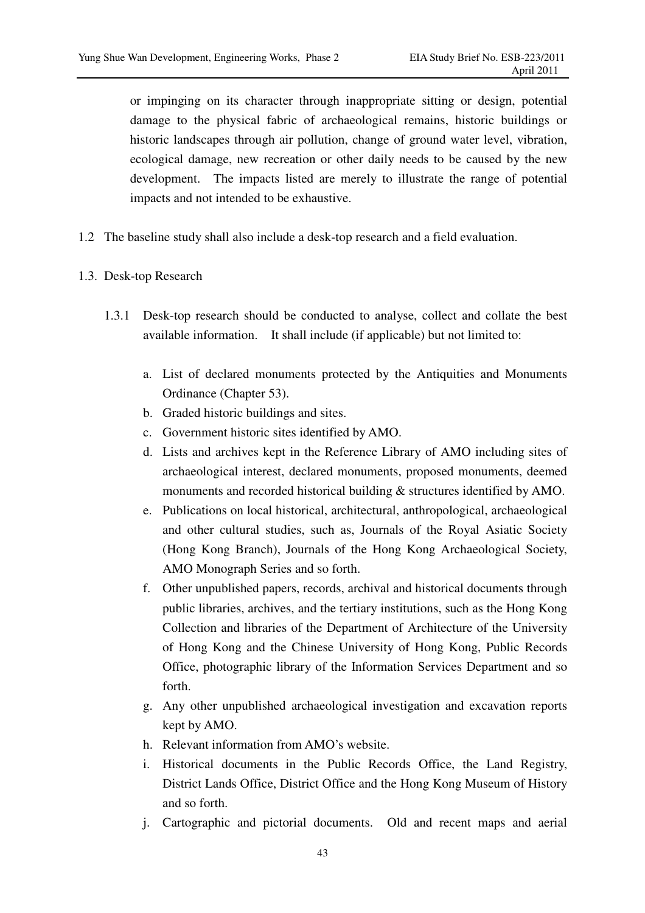or impinging on its character through inappropriate sitting or design, potential damage to the physical fabric of archaeological remains, historic buildings or historic landscapes through air pollution, change of ground water level, vibration, ecological damage, new recreation or other daily needs to be caused by the new development. The impacts listed are merely to illustrate the range of potential impacts and not intended to be exhaustive.

- 1.2 The baseline study shall also include a desk-top research and a field evaluation.
- 1.3. Desk-top Research
	- 1.3.1 Desk-top research should be conducted to analyse, collect and collate the best available information. It shall include (if applicable) but not limited to:
		- a. List of declared monuments protected by the Antiquities and Monuments Ordinance (Chapter 53).
		- b. Graded historic buildings and sites.
		- c. Government historic sites identified by AMO.
		- d. Lists and archives kept in the Reference Library of AMO including sites of archaeological interest, declared monuments, proposed monuments, deemed monuments and recorded historical building & structures identified by AMO.
		- e. Publications on local historical, architectural, anthropological, archaeological and other cultural studies, such as, Journals of the Royal Asiatic Society (Hong Kong Branch), Journals of the Hong Kong Archaeological Society, AMO Monograph Series and so forth.
		- f. Other unpublished papers, records, archival and historical documents through public libraries, archives, and the tertiary institutions, such as the Hong Kong Collection and libraries of the Department of Architecture of the University of Hong Kong and the Chinese University of Hong Kong, Public Records Office, photographic library of the Information Services Department and so forth.
		- g. Any other unpublished archaeological investigation and excavation reports kept by AMO.
		- h. Relevant information from AMO's website.
		- i. Historical documents in the Public Records Office, the Land Registry, District Lands Office, District Office and the Hong Kong Museum of History and so forth.
		- j. Cartographic and pictorial documents. Old and recent maps and aerial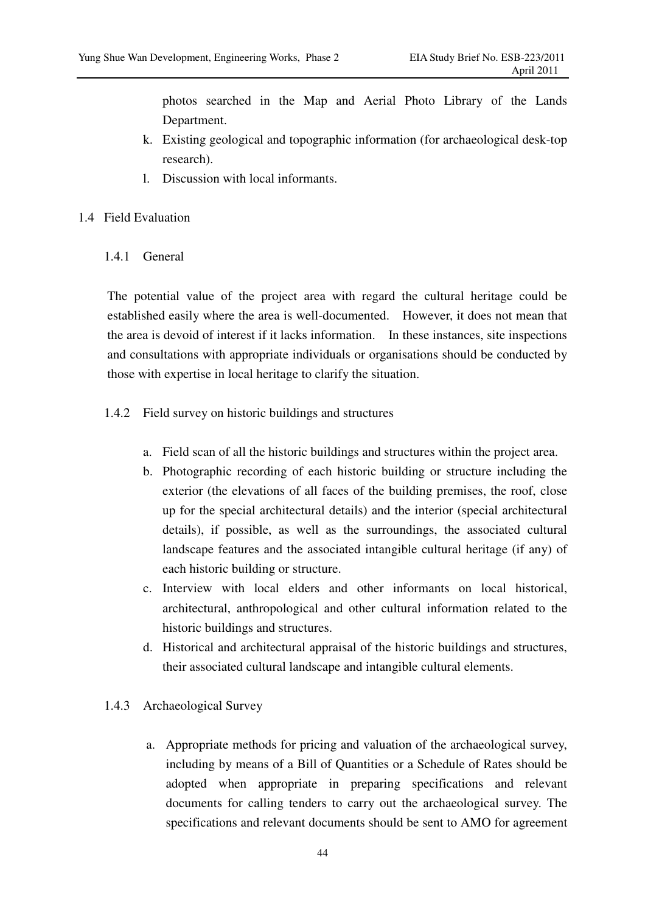photos searched in the Map and Aerial Photo Library of the Lands Department.

- k. Existing geological and topographic information (for archaeological desk-top research).
- l. Discussion with local informants.
- 1.4 Field Evaluation
	- 1.4.1 General

The potential value of the project area with regard the cultural heritage could be established easily where the area is well-documented. However, it does not mean that the area is devoid of interest if it lacks information. In these instances, site inspections and consultations with appropriate individuals or organisations should be conducted by those with expertise in local heritage to clarify the situation.

- 1.4.2 Field survey on historic buildings and structures
	- a. Field scan of all the historic buildings and structures within the project area.
	- b. Photographic recording of each historic building or structure including the exterior (the elevations of all faces of the building premises, the roof, close up for the special architectural details) and the interior (special architectural details), if possible, as well as the surroundings, the associated cultural landscape features and the associated intangible cultural heritage (if any) of each historic building or structure.
	- c. Interview with local elders and other informants on local historical, architectural, anthropological and other cultural information related to the historic buildings and structures.
	- d. Historical and architectural appraisal of the historic buildings and structures, their associated cultural landscape and intangible cultural elements.
- 1.4.3 Archaeological Survey
	- a. Appropriate methods for pricing and valuation of the archaeological survey, including by means of a Bill of Quantities or a Schedule of Rates should be adopted when appropriate in preparing specifications and relevant documents for calling tenders to carry out the archaeological survey. The specifications and relevant documents should be sent to AMO for agreement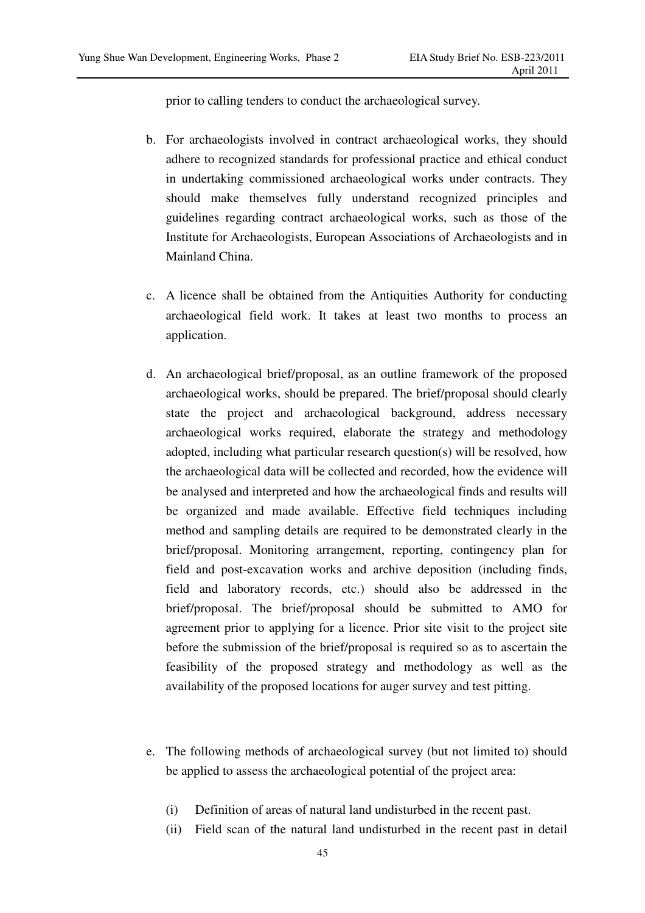prior to calling tenders to conduct the archaeological survey.

- b. For archaeologists involved in contract archaeological works, they should adhere to recognized standards for professional practice and ethical conduct in undertaking commissioned archaeological works under contracts. They should make themselves fully understand recognized principles and guidelines regarding contract archaeological works, such as those of the Institute for Archaeologists, European Associations of Archaeologists and in Mainland China.
- c. A licence shall be obtained from the Antiquities Authority for conducting archaeological field work. It takes at least two months to process an application.
- d. An archaeological brief/proposal, as an outline framework of the proposed archaeological works, should be prepared. The brief/proposal should clearly state the project and archaeological background, address necessary archaeological works required, elaborate the strategy and methodology adopted, including what particular research question(s) will be resolved, how the archaeological data will be collected and recorded, how the evidence will be analysed and interpreted and how the archaeological finds and results will be organized and made available. Effective field techniques including method and sampling details are required to be demonstrated clearly in the brief/proposal. Monitoring arrangement, reporting, contingency plan for field and post-excavation works and archive deposition (including finds, field and laboratory records, etc.) should also be addressed in the brief/proposal. The brief/proposal should be submitted to AMO for agreement prior to applying for a licence. Prior site visit to the project site before the submission of the brief/proposal is required so as to ascertain the feasibility of the proposed strategy and methodology as well as the availability of the proposed locations for auger survey and test pitting.
- e. The following methods of archaeological survey (but not limited to) should be applied to assess the archaeological potential of the project area:
	- (i) Definition of areas of natural land undisturbed in the recent past.
	- (ii) Field scan of the natural land undisturbed in the recent past in detail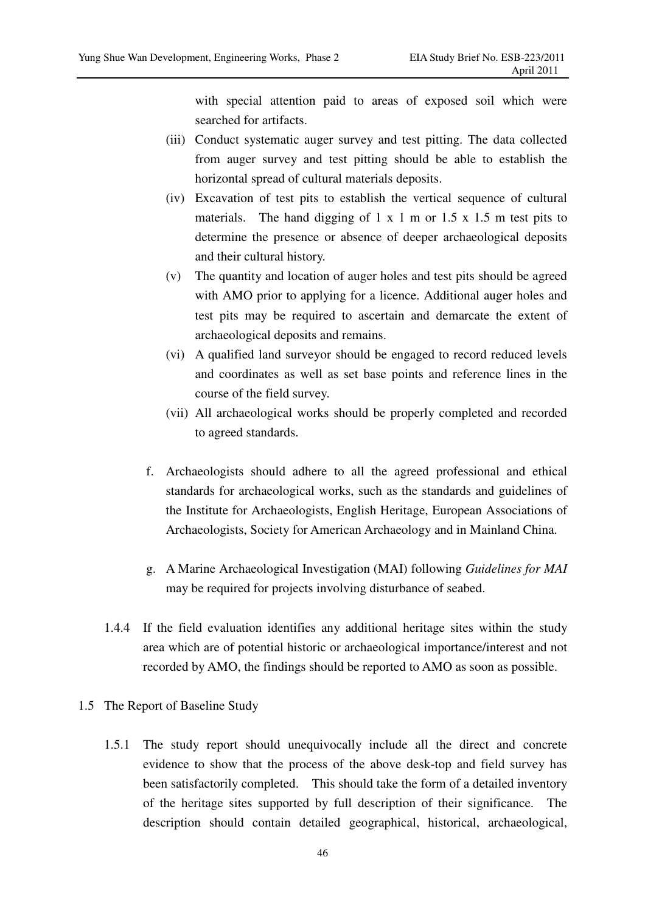with special attention paid to areas of exposed soil which were searched for artifacts.

- (iii) Conduct systematic auger survey and test pitting. The data collected from auger survey and test pitting should be able to establish the horizontal spread of cultural materials deposits.
- (iv) Excavation of test pits to establish the vertical sequence of cultural materials. The hand digging of  $1 \times 1$  m or  $1.5 \times 1.5$  m test pits to determine the presence or absence of deeper archaeological deposits and their cultural history.
- (v) The quantity and location of auger holes and test pits should be agreed with AMO prior to applying for a licence. Additional auger holes and test pits may be required to ascertain and demarcate the extent of archaeological deposits and remains.
- (vi) A qualified land surveyor should be engaged to record reduced levels and coordinates as well as set base points and reference lines in the course of the field survey.
- (vii) All archaeological works should be properly completed and recorded to agreed standards.
- f. Archaeologists should adhere to all the agreed professional and ethical standards for archaeological works, such as the standards and guidelines of the Institute for Archaeologists, English Heritage, European Associations of Archaeologists, Society for American Archaeology and in Mainland China.
- g. A Marine Archaeological Investigation (MAI) following *Guidelines for MAI* may be required for projects involving disturbance of seabed.
- 1.4.4 If the field evaluation identifies any additional heritage sites within the study area which are of potential historic or archaeological importance/interest and not recorded by AMO, the findings should be reported to AMO as soon as possible.
- 1.5 The Report of Baseline Study
	- 1.5.1 The study report should unequivocally include all the direct and concrete evidence to show that the process of the above desk-top and field survey has been satisfactorily completed. This should take the form of a detailed inventory of the heritage sites supported by full description of their significance. The description should contain detailed geographical, historical, archaeological,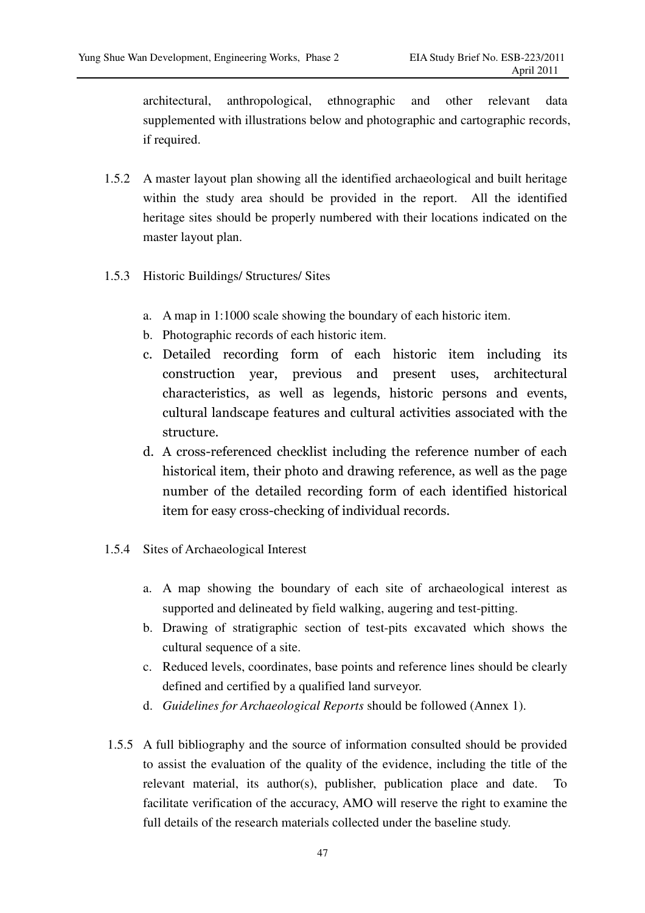architectural, anthropological, ethnographic and other relevant data supplemented with illustrations below and photographic and cartographic records, if required.

- 1.5.2 A master layout plan showing all the identified archaeological and built heritage within the study area should be provided in the report. All the identified heritage sites should be properly numbered with their locations indicated on the master layout plan.
- 1.5.3 Historic Buildings/ Structures/ Sites
	- a. A map in 1:1000 scale showing the boundary of each historic item.
	- b. Photographic records of each historic item.
	- c. Detailed recording form of each historic item including its construction year, previous and present uses, architectural characteristics, as well as legends, historic persons and events, cultural landscape features and cultural activities associated with the structure.
	- d. A cross-referenced checklist including the reference number of each historical item, their photo and drawing reference, as well as the page number of the detailed recording form of each identified historical item for easy cross-checking of individual records.
- 1.5.4 Sites of Archaeological Interest
	- a. A map showing the boundary of each site of archaeological interest as supported and delineated by field walking, augering and test-pitting.
	- b. Drawing of stratigraphic section of test-pits excavated which shows the cultural sequence of a site.
	- c. Reduced levels, coordinates, base points and reference lines should be clearly defined and certified by a qualified land surveyor.
	- d. *Guidelines for Archaeological Reports* should be followed (Annex 1).
- 1.5.5 A full bibliography and the source of information consulted should be provided to assist the evaluation of the quality of the evidence, including the title of the relevant material, its author(s), publisher, publication place and date. To facilitate verification of the accuracy, AMO will reserve the right to examine the full details of the research materials collected under the baseline study.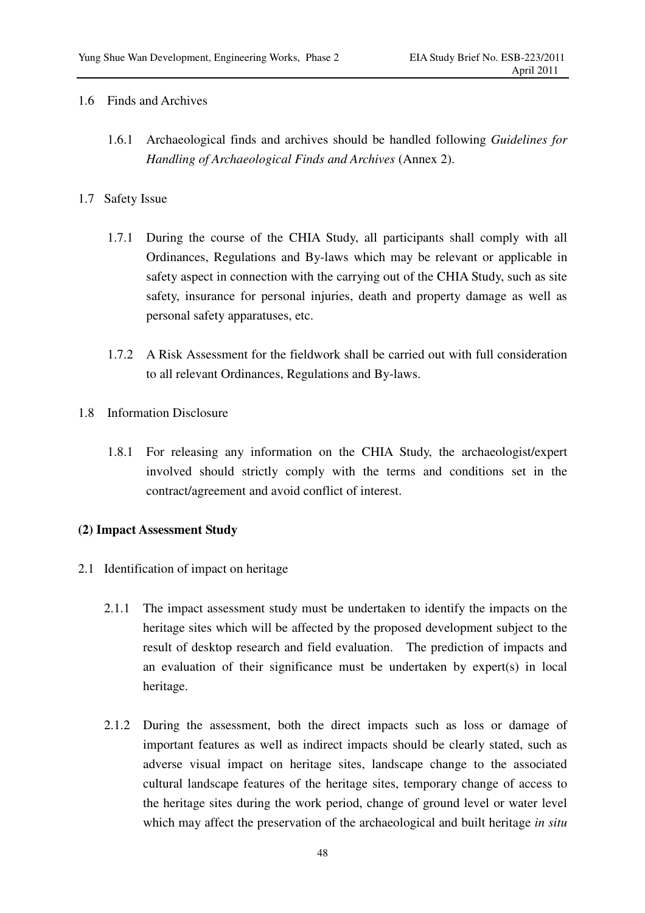#### 1.6 Finds and Archives

1.6.1 Archaeological finds and archives should be handled following *Guidelines for Handling of Archaeological Finds and Archives* (Annex 2).

## 1.7 Safety Issue

- 1.7.1 During the course of the CHIA Study, all participants shall comply with all Ordinances, Regulations and By-laws which may be relevant or applicable in safety aspect in connection with the carrying out of the CHIA Study, such as site safety, insurance for personal injuries, death and property damage as well as personal safety apparatuses, etc.
- 1.7.2 A Risk Assessment for the fieldwork shall be carried out with full consideration to all relevant Ordinances, Regulations and By-laws.
- 1.8 Information Disclosure
	- 1.8.1 For releasing any information on the CHIA Study, the archaeologist/expert involved should strictly comply with the terms and conditions set in the contract/agreement and avoid conflict of interest.

## **(2) Impact Assessment Study**

- 2.1 Identification of impact on heritage
	- 2.1.1 The impact assessment study must be undertaken to identify the impacts on the heritage sites which will be affected by the proposed development subject to the result of desktop research and field evaluation. The prediction of impacts and an evaluation of their significance must be undertaken by expert(s) in local heritage.
	- 2.1.2 During the assessment, both the direct impacts such as loss or damage of important features as well as indirect impacts should be clearly stated, such as adverse visual impact on heritage sites, landscape change to the associated cultural landscape features of the heritage sites, temporary change of access to the heritage sites during the work period, change of ground level or water level which may affect the preservation of the archaeological and built heritage *in situ*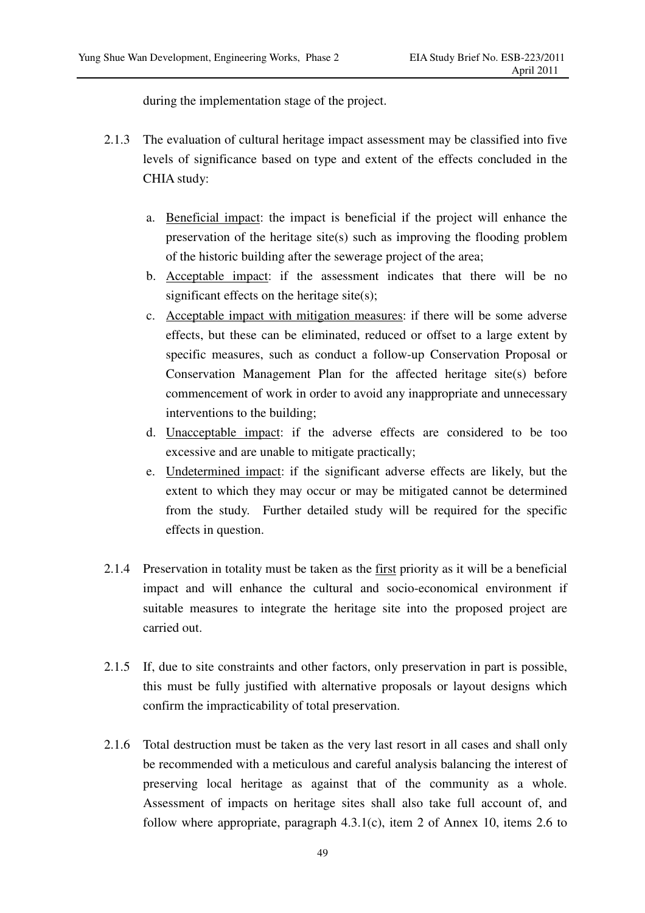during the implementation stage of the project.

- 2.1.3 The evaluation of cultural heritage impact assessment may be classified into five levels of significance based on type and extent of the effects concluded in the CHIA study:
	- a. Beneficial impact: the impact is beneficial if the project will enhance the preservation of the heritage site(s) such as improving the flooding problem of the historic building after the sewerage project of the area;
	- b. Acceptable impact: if the assessment indicates that there will be no significant effects on the heritage site(s);
	- c. Acceptable impact with mitigation measures: if there will be some adverse effects, but these can be eliminated, reduced or offset to a large extent by specific measures, such as conduct a follow-up Conservation Proposal or Conservation Management Plan for the affected heritage site(s) before commencement of work in order to avoid any inappropriate and unnecessary interventions to the building;
	- d. Unacceptable impact: if the adverse effects are considered to be too excessive and are unable to mitigate practically;
	- e. Undetermined impact: if the significant adverse effects are likely, but the extent to which they may occur or may be mitigated cannot be determined from the study. Further detailed study will be required for the specific effects in question.
- 2.1.4 Preservation in totality must be taken as the first priority as it will be a beneficial impact and will enhance the cultural and socio-economical environment if suitable measures to integrate the heritage site into the proposed project are carried out.
- 2.1.5 If, due to site constraints and other factors, only preservation in part is possible, this must be fully justified with alternative proposals or layout designs which confirm the impracticability of total preservation.
- 2.1.6 Total destruction must be taken as the very last resort in all cases and shall only be recommended with a meticulous and careful analysis balancing the interest of preserving local heritage as against that of the community as a whole. Assessment of impacts on heritage sites shall also take full account of, and follow where appropriate, paragraph 4.3.1(c), item 2 of Annex 10, items 2.6 to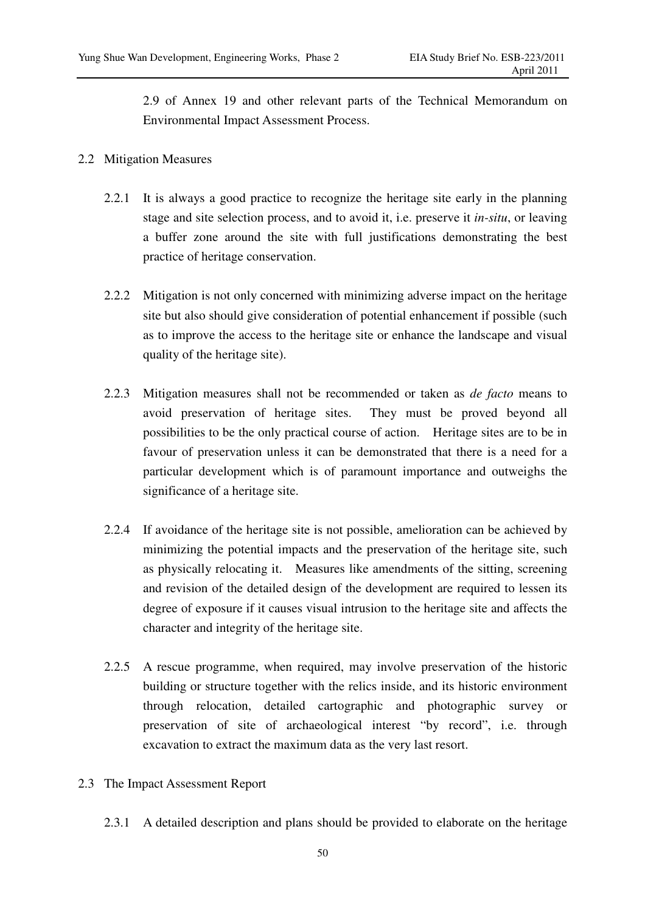2.9 of Annex 19 and other relevant parts of the Technical Memorandum on Environmental Impact Assessment Process.

## 2.2 Mitigation Measures

- 2.2.1 It is always a good practice to recognize the heritage site early in the planning stage and site selection process, and to avoid it, i.e. preserve it *in-situ*, or leaving a buffer zone around the site with full justifications demonstrating the best practice of heritage conservation.
- 2.2.2 Mitigation is not only concerned with minimizing adverse impact on the heritage site but also should give consideration of potential enhancement if possible (such as to improve the access to the heritage site or enhance the landscape and visual quality of the heritage site).
- 2.2.3 Mitigation measures shall not be recommended or taken as *de facto* means to avoid preservation of heritage sites. They must be proved beyond all possibilities to be the only practical course of action. Heritage sites are to be in favour of preservation unless it can be demonstrated that there is a need for a particular development which is of paramount importance and outweighs the significance of a heritage site.
- 2.2.4 If avoidance of the heritage site is not possible, amelioration can be achieved by minimizing the potential impacts and the preservation of the heritage site, such as physically relocating it. Measures like amendments of the sitting, screening and revision of the detailed design of the development are required to lessen its degree of exposure if it causes visual intrusion to the heritage site and affects the character and integrity of the heritage site.
- 2.2.5 A rescue programme, when required, may involve preservation of the historic building or structure together with the relics inside, and its historic environment through relocation, detailed cartographic and photographic survey or preservation of site of archaeological interest "by record", i.e. through excavation to extract the maximum data as the very last resort.
- 2.3 The Impact Assessment Report
	- 2.3.1 A detailed description and plans should be provided to elaborate on the heritage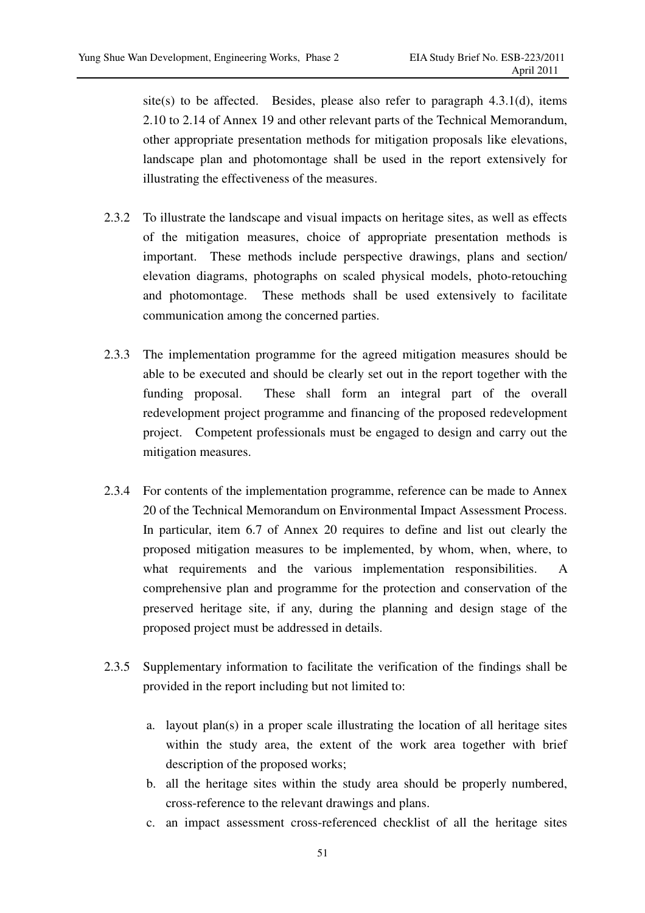site(s) to be affected. Besides, please also refer to paragraph  $4.3.1(d)$ , items 2.10 to 2.14 of Annex 19 and other relevant parts of the Technical Memorandum, other appropriate presentation methods for mitigation proposals like elevations, landscape plan and photomontage shall be used in the report extensively for illustrating the effectiveness of the measures.

- 2.3.2 To illustrate the landscape and visual impacts on heritage sites, as well as effects of the mitigation measures, choice of appropriate presentation methods is important. These methods include perspective drawings, plans and section/ elevation diagrams, photographs on scaled physical models, photo-retouching and photomontage. These methods shall be used extensively to facilitate communication among the concerned parties.
- 2.3.3 The implementation programme for the agreed mitigation measures should be able to be executed and should be clearly set out in the report together with the funding proposal. These shall form an integral part of the overall redevelopment project programme and financing of the proposed redevelopment project. Competent professionals must be engaged to design and carry out the mitigation measures.
- 2.3.4 For contents of the implementation programme, reference can be made to Annex 20 of the Technical Memorandum on Environmental Impact Assessment Process. In particular, item 6.7 of Annex 20 requires to define and list out clearly the proposed mitigation measures to be implemented, by whom, when, where, to what requirements and the various implementation responsibilities. A comprehensive plan and programme for the protection and conservation of the preserved heritage site, if any, during the planning and design stage of the proposed project must be addressed in details.
- 2.3.5 Supplementary information to facilitate the verification of the findings shall be provided in the report including but not limited to:
	- a. layout plan(s) in a proper scale illustrating the location of all heritage sites within the study area, the extent of the work area together with brief description of the proposed works;
	- b. all the heritage sites within the study area should be properly numbered, cross-reference to the relevant drawings and plans.
	- c. an impact assessment cross-referenced checklist of all the heritage sites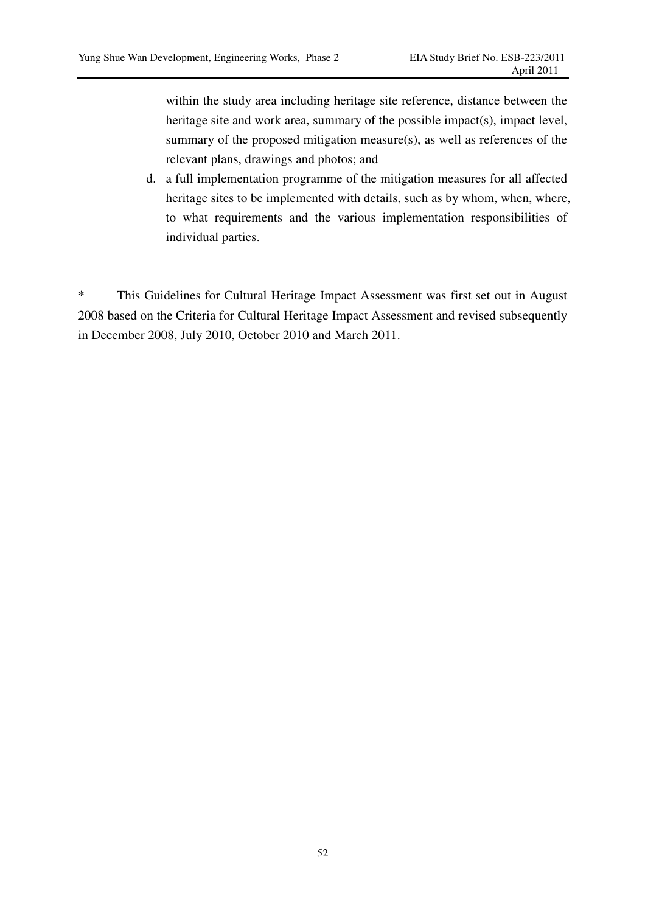within the study area including heritage site reference, distance between the heritage site and work area, summary of the possible impact(s), impact level, summary of the proposed mitigation measure(s), as well as references of the relevant plans, drawings and photos; and

d. a full implementation programme of the mitigation measures for all affected heritage sites to be implemented with details, such as by whom, when, where, to what requirements and the various implementation responsibilities of individual parties.

\* This Guidelines for Cultural Heritage Impact Assessment was first set out in August 2008 based on the Criteria for Cultural Heritage Impact Assessment and revised subsequently in December 2008, July 2010, October 2010 and March 2011.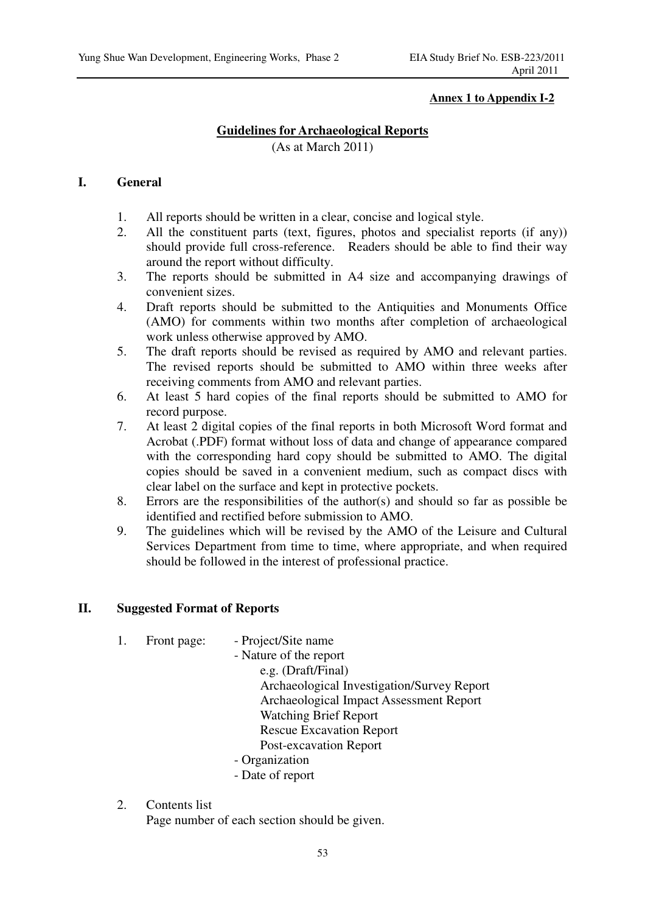### **Annex 1 to Appendix I-2**

## **Guidelines for Archaeological Reports**

(As at March 2011)

## **I. General**

- 1. All reports should be written in a clear, concise and logical style.
- 2. All the constituent parts (text, figures, photos and specialist reports (if any)) should provide full cross-reference. Readers should be able to find their way around the report without difficulty.
- 3. The reports should be submitted in A4 size and accompanying drawings of convenient sizes.
- 4. Draft reports should be submitted to the Antiquities and Monuments Office (AMO) for comments within two months after completion of archaeological work unless otherwise approved by AMO.
- 5. The draft reports should be revised as required by AMO and relevant parties. The revised reports should be submitted to AMO within three weeks after receiving comments from AMO and relevant parties.
- 6. At least 5 hard copies of the final reports should be submitted to AMO for record purpose.
- 7. At least 2 digital copies of the final reports in both Microsoft Word format and Acrobat (.PDF) format without loss of data and change of appearance compared with the corresponding hard copy should be submitted to AMO. The digital copies should be saved in a convenient medium, such as compact discs with clear label on the surface and kept in protective pockets.
- 8. Errors are the responsibilities of the author(s) and should so far as possible be identified and rectified before submission to AMO.
- 9. The guidelines which will be revised by the AMO of the Leisure and Cultural Services Department from time to time, where appropriate, and when required should be followed in the interest of professional practice.

## **II. Suggested Format of Reports**

- 1. Front page: Project/Site name
	- Nature of the report
		- e.g. (Draft/Final) Archaeological Investigation/Survey Report Archaeological Impact Assessment Report Watching Brief Report Rescue Excavation Report Post-excavation Report
	- Organization
	- Date of report
- 2. Contents list

Page number of each section should be given.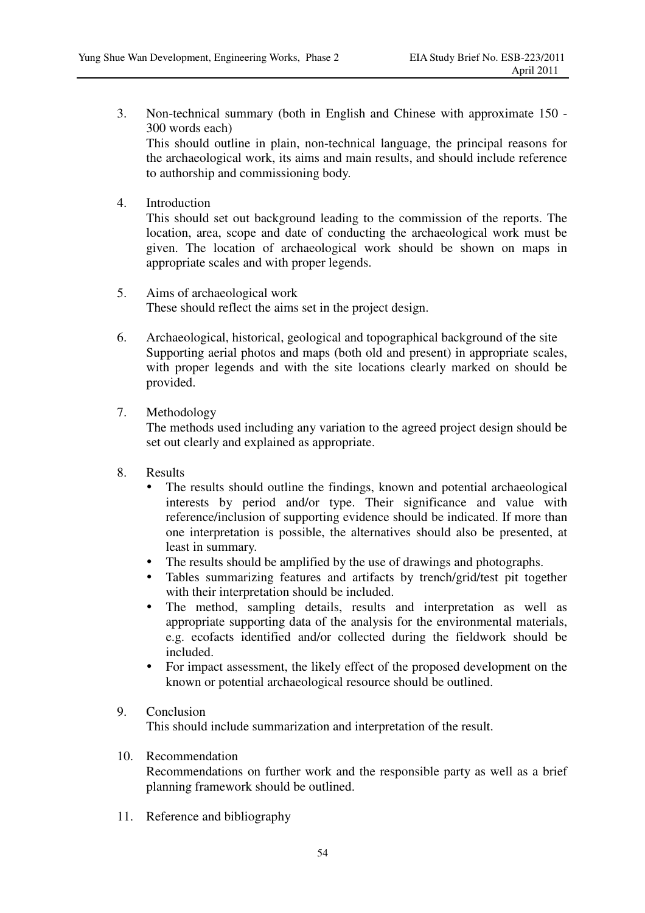- 3. Non-technical summary (both in English and Chinese with approximate 150 300 words each) This should outline in plain, non-technical language, the principal reasons for the archaeological work, its aims and main results, and should include reference to authorship and commissioning body.
- 4. Introduction

This should set out background leading to the commission of the reports. The location, area, scope and date of conducting the archaeological work must be given. The location of archaeological work should be shown on maps in appropriate scales and with proper legends.

- 5. Aims of archaeological work These should reflect the aims set in the project design.
- 6. Archaeological, historical, geological and topographical background of the site Supporting aerial photos and maps (both old and present) in appropriate scales, with proper legends and with the site locations clearly marked on should be provided.

## 7. Methodology

The methods used including any variation to the agreed project design should be set out clearly and explained as appropriate.

- 8. Results
	- - The results should outline the findings, known and potential archaeological interests by period and/or type. Their significance and value with reference/inclusion of supporting evidence should be indicated. If more than one interpretation is possible, the alternatives should also be presented, at least in summary.
	- The results should be amplified by the use of drawings and photographs.
	- Tables summarizing features and artifacts by trench/grid/test pit together with their interpretation should be included.
	- $\bullet$  The method, sampling details, results and interpretation as well as appropriate supporting data of the analysis for the environmental materials, e.g. ecofacts identified and/or collected during the fieldwork should be included.
	- - For impact assessment, the likely effect of the proposed development on the known or potential archaeological resource should be outlined.

# 9. Conclusion

This should include summarization and interpretation of the result.

10. Recommendation

Recommendations on further work and the responsible party as well as a brief planning framework should be outlined.

11. Reference and bibliography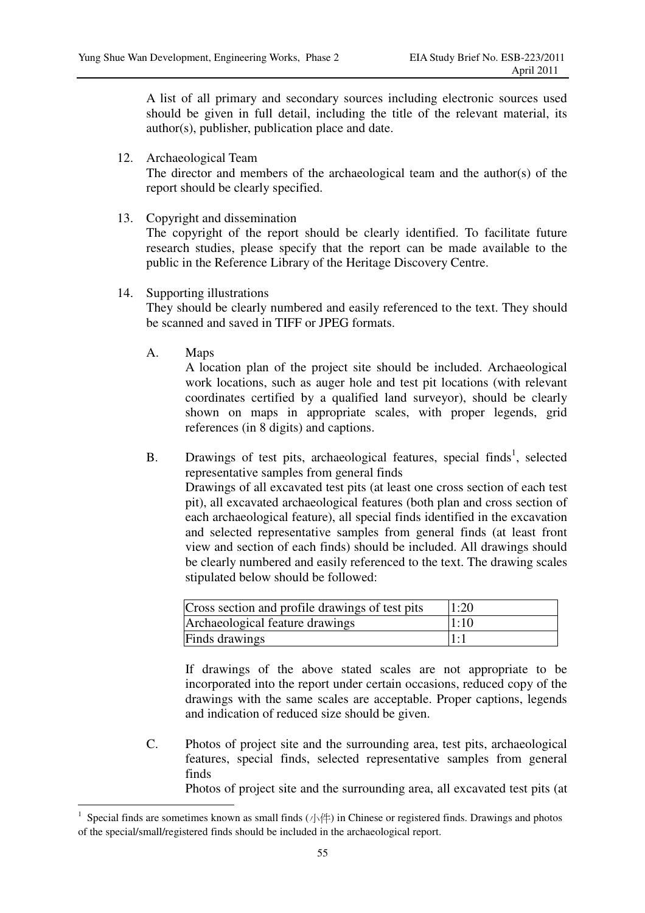A list of all primary and secondary sources including electronic sources used should be given in full detail, including the title of the relevant material, its author(s), publisher, publication place and date.

12. Archaeological Team

The director and members of the archaeological team and the author(s) of the report should be clearly specified.

13. Copyright and dissemination

The copyright of the report should be clearly identified. To facilitate future research studies, please specify that the report can be made available to the public in the Reference Library of the Heritage Discovery Centre.

14. Supporting illustrations

They should be clearly numbered and easily referenced to the text. They should be scanned and saved in TIFF or JPEG formats.

A. Maps

 $\overline{a}$ 

 A location plan of the project site should be included. Archaeological work locations, such as auger hole and test pit locations (with relevant coordinates certified by a qualified land surveyor), should be clearly shown on maps in appropriate scales, with proper legends, grid references (in 8 digits) and captions.

B. Drawings of test pits, archaeological features, special finds<sup>1</sup>, selected representative samples from general finds Drawings of all excavated test pits (at least one cross section of each test pit), all excavated archaeological features (both plan and cross section of each archaeological feature), all special finds identified in the excavation and selected representative samples from general finds (at least front view and section of each finds) should be included. All drawings should be clearly numbered and easily referenced to the text. The drawing scales stipulated below should be followed:

| Cross section and profile drawings of test pits | 1:20 |
|-------------------------------------------------|------|
| Archaeological feature drawings                 | 1:10 |
| Finds drawings                                  | 1:   |

 If drawings of the above stated scales are not appropriate to be incorporated into the report under certain occasions, reduced copy of the drawings with the same scales are acceptable. Proper captions, legends and indication of reduced size should be given.

C. Photos of project site and the surrounding area, test pits, archaeological features, special finds, selected representative samples from general finds

Photos of project site and the surrounding area, all excavated test pits (at

<sup>1</sup> Special finds are sometimes known as small finds  $(\sqrt{|\cdot|})$  in Chinese or registered finds. Drawings and photos of the special/small/registered finds should be included in the archaeological report.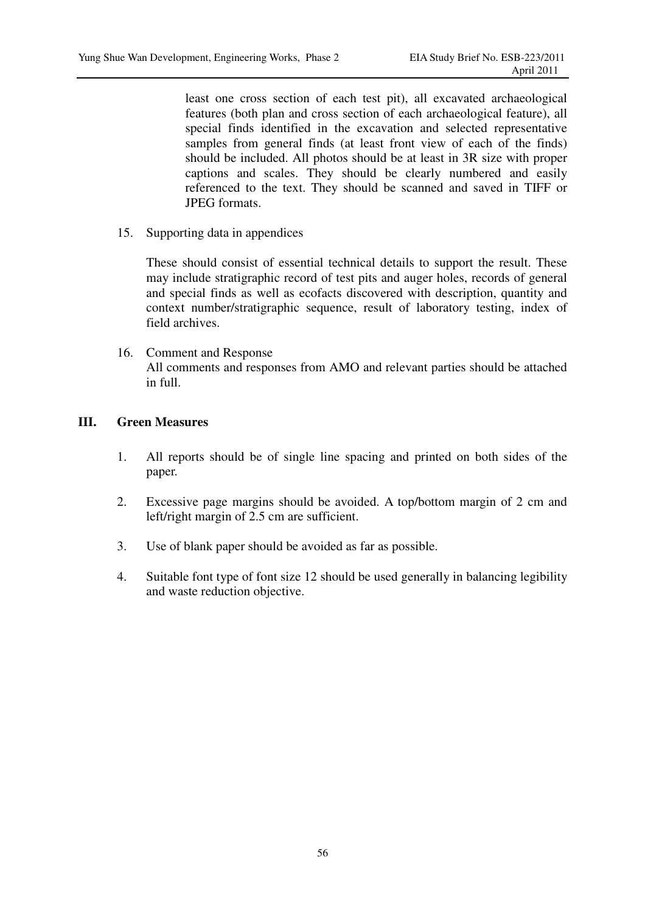least one cross section of each test pit), all excavated archaeological features (both plan and cross section of each archaeological feature), all special finds identified in the excavation and selected representative samples from general finds (at least front view of each of the finds) should be included. All photos should be at least in 3R size with proper captions and scales. They should be clearly numbered and easily referenced to the text. They should be scanned and saved in TIFF or JPEG formats.

15. Supporting data in appendices

These should consist of essential technical details to support the result. These may include stratigraphic record of test pits and auger holes, records of general and special finds as well as ecofacts discovered with description, quantity and context number/stratigraphic sequence, result of laboratory testing, index of field archives.

16. Comment and Response All comments and responses from AMO and relevant parties should be attached in full.

## **III. Green Measures**

- 1. All reports should be of single line spacing and printed on both sides of the paper.
- 2. Excessive page margins should be avoided. A top/bottom margin of 2 cm and left/right margin of 2.5 cm are sufficient.
- 3. Use of blank paper should be avoided as far as possible.
- 4. Suitable font type of font size 12 should be used generally in balancing legibility and waste reduction objective.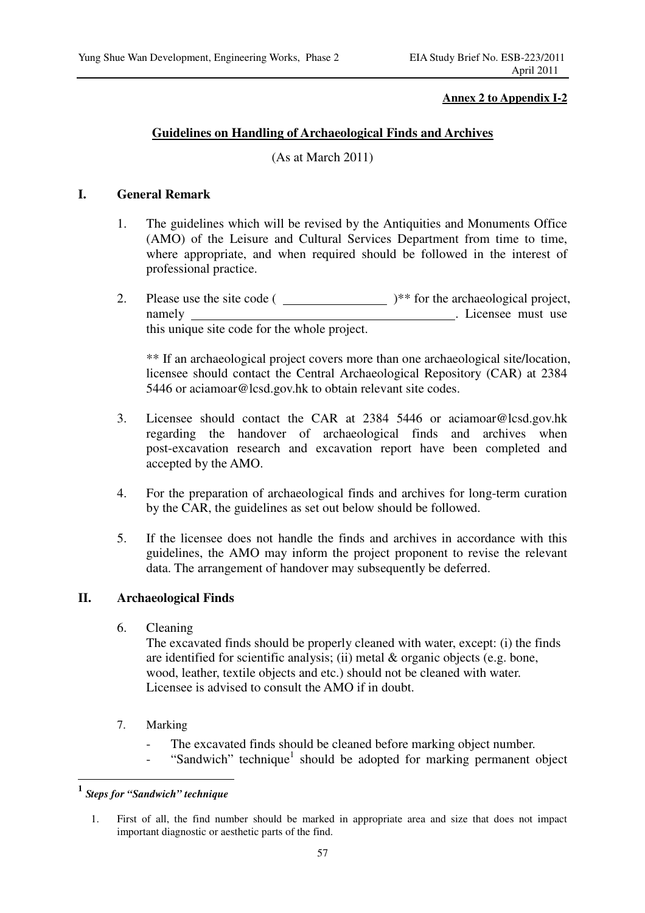#### **Annex 2 to Appendix I-2**

## **Guidelines on Handling of Archaeological Finds and Archives**

(As at March 2011)

## **I. General Remark**

- 1. The guidelines which will be revised by the Antiquities and Monuments Office (AMO) of the Leisure and Cultural Services Department from time to time, where appropriate, and when required should be followed in the interest of professional practice.
- 2. Please use the site code ( )\*\* for the archaeological project, namely . Licensee must use this unique site code for the whole project.

\*\* If an archaeological project covers more than one archaeological site/location, licensee should contact the Central Archaeological Repository (CAR) at 2384 5446 or aciamoar@lcsd.gov.hk to obtain relevant site codes.

- 3. Licensee should contact the CAR at 2384 5446 or aciamoar@lcsd.gov.hk regarding the handover of archaeological finds and archives when post-excavation research and excavation report have been completed and accepted by the AMO.
- 4. For the preparation of archaeological finds and archives for long-term curation by the CAR, the guidelines as set out below should be followed.
- 5. If the licensee does not handle the finds and archives in accordance with this guidelines, the AMO may inform the project proponent to revise the relevant data. The arrangement of handover may subsequently be deferred.

#### **II. Archaeological Finds**

6. Cleaning

The excavated finds should be properly cleaned with water, except: (i) the finds are identified for scientific analysis; (ii) metal & organic objects (e.g. bone, wood, leather, textile objects and etc.) should not be cleaned with water. Licensee is advised to consult the AMO if in doubt.

- 7. Marking
	- The excavated finds should be cleaned before marking object number.
	- "Sandwich" technique<sup>1</sup> should be adopted for marking permanent object

 $\overline{a}$ 

**<sup>1</sup>** *Steps for "Sandwich" technique* 

<sup>1.</sup> First of all, the find number should be marked in appropriate area and size that does not impact important diagnostic or aesthetic parts of the find.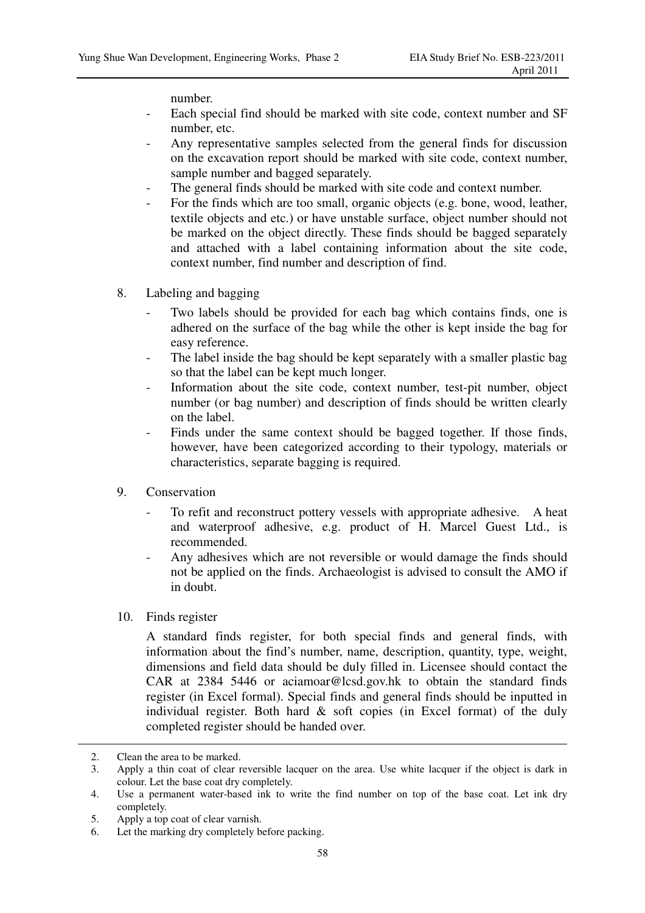number.

- Each special find should be marked with site code, context number and SF number, etc.
- Any representative samples selected from the general finds for discussion on the excavation report should be marked with site code, context number, sample number and bagged separately.
- The general finds should be marked with site code and context number.
- For the finds which are too small, organic objects (e.g. bone, wood, leather, textile objects and etc.) or have unstable surface, object number should not be marked on the object directly. These finds should be bagged separately and attached with a label containing information about the site code, context number, find number and description of find.
- 8. Labeling and bagging
	- Two labels should be provided for each bag which contains finds, one is adhered on the surface of the bag while the other is kept inside the bag for easy reference.
	- The label inside the bag should be kept separately with a smaller plastic bag so that the label can be kept much longer.
	- Information about the site code, context number, test-pit number, object number (or bag number) and description of finds should be written clearly on the label.
	- Finds under the same context should be bagged together. If those finds, however, have been categorized according to their typology, materials or characteristics, separate bagging is required.
- 9. Conservation
	- To refit and reconstruct pottery vessels with appropriate adhesive. A heat and waterproof adhesive, e.g. product of H. Marcel Guest Ltd., is recommended.
	- Any adhesives which are not reversible or would damage the finds should not be applied on the finds. Archaeologist is advised to consult the AMO if in doubt.
- 10. Finds register

A standard finds register, for both special finds and general finds, with information about the find's number, name, description, quantity, type, weight, dimensions and field data should be duly filled in. Licensee should contact the CAR at 2384 5446 or aciamoar@lcsd.gov.hk to obtain the standard finds register (in Excel formal). Special finds and general finds should be inputted in individual register. Both hard  $\&$  soft copies (in Excel format) of the duly completed register should be handed over.

 $\overline{a}$ 

<sup>2.</sup> Clean the area to be marked.

<sup>3.</sup> Apply a thin coat of clear reversible lacquer on the area. Use white lacquer if the object is dark in colour. Let the base coat dry completely.

<sup>4.</sup> Use a permanent water-based ink to write the find number on top of the base coat. Let ink dry completely.

<sup>5.</sup> Apply a top coat of clear varnish.

<sup>6.</sup> Let the marking dry completely before packing.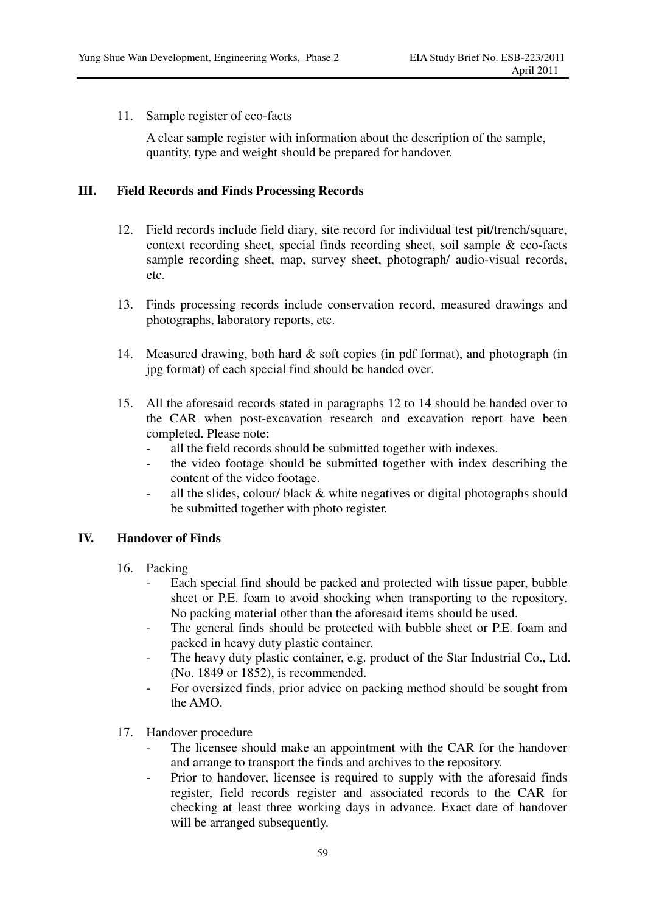11. Sample register of eco-facts

A clear sample register with information about the description of the sample, quantity, type and weight should be prepared for handover.

## **III. Field Records and Finds Processing Records**

- 12. Field records include field diary, site record for individual test pit/trench/square, context recording sheet, special finds recording sheet, soil sample & eco-facts sample recording sheet, map, survey sheet, photograph/ audio-visual records, etc.
- 13. Finds processing records include conservation record, measured drawings and photographs, laboratory reports, etc.
- 14. Measured drawing, both hard & soft copies (in pdf format), and photograph (in jpg format) of each special find should be handed over.
- 15. All the aforesaid records stated in paragraphs 12 to 14 should be handed over to the CAR when post-excavation research and excavation report have been completed. Please note:
	- all the field records should be submitted together with indexes.
	- the video footage should be submitted together with index describing the content of the video footage.
	- all the slides, colour/ black & white negatives or digital photographs should be submitted together with photo register.

## **IV. Handover of Finds**

- 16. Packing
	- Each special find should be packed and protected with tissue paper, bubble sheet or P.E. foam to avoid shocking when transporting to the repository. No packing material other than the aforesaid items should be used.
	- The general finds should be protected with bubble sheet or P.E. foam and packed in heavy duty plastic container.
	- The heavy duty plastic container, e.g. product of the Star Industrial Co., Ltd. (No. 1849 or 1852), is recommended.
	- For oversized finds, prior advice on packing method should be sought from the AMO.
- 17. Handover procedure
	- The licensee should make an appointment with the CAR for the handover and arrange to transport the finds and archives to the repository.
	- Prior to handover, licensee is required to supply with the aforesaid finds register, field records register and associated records to the CAR for checking at least three working days in advance. Exact date of handover will be arranged subsequently.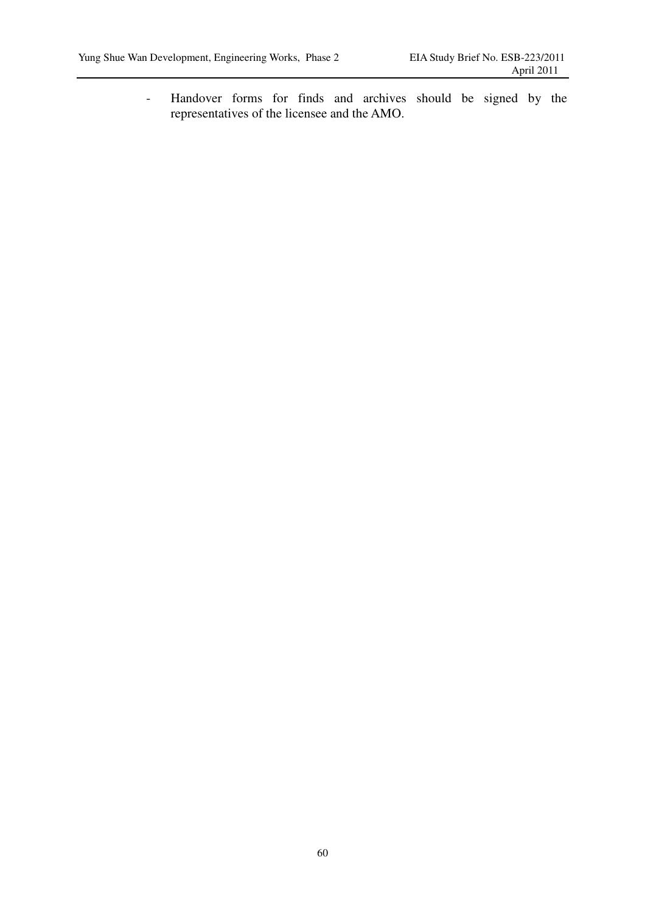- Handover forms for finds and archives should be signed by the representatives of the licensee and the AMO.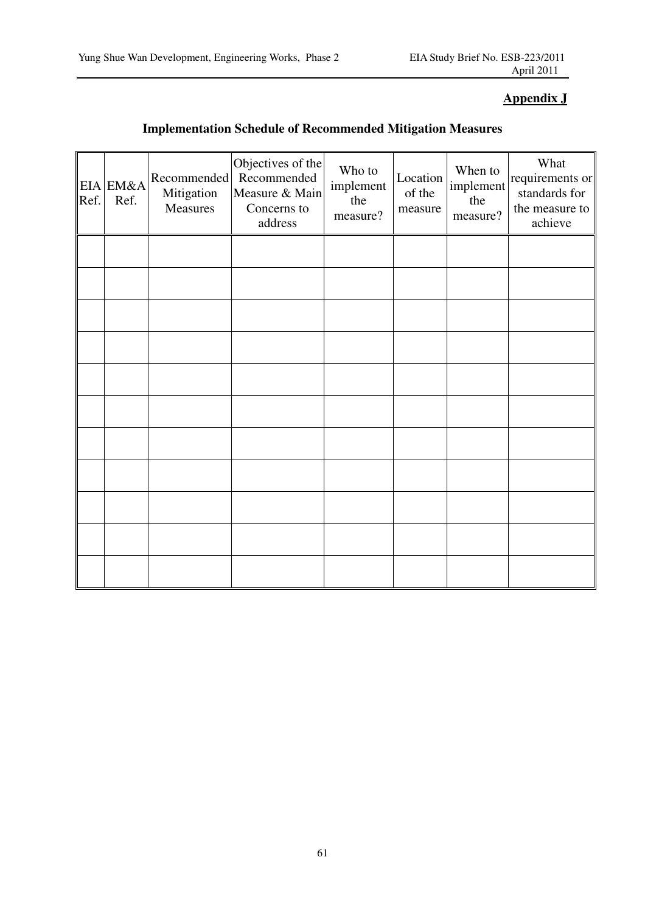## **Appendix J**

## **Implementation Schedule of Recommended Mitigation Measures**

| Ref. | EIA EM&A<br>Ref. | Recommended<br>Mitigation<br>Measures | Objectives of the<br>Recommended<br>Measure & Main<br>Concerns to<br>address | Who to<br>implement<br>the<br>measure? | Location<br>of the<br>measure | When to<br>implement<br>the<br>measure? | What<br>requirements or<br>standards for<br>the measure to<br>achieve |
|------|------------------|---------------------------------------|------------------------------------------------------------------------------|----------------------------------------|-------------------------------|-----------------------------------------|-----------------------------------------------------------------------|
|      |                  |                                       |                                                                              |                                        |                               |                                         |                                                                       |
|      |                  |                                       |                                                                              |                                        |                               |                                         |                                                                       |
|      |                  |                                       |                                                                              |                                        |                               |                                         |                                                                       |
|      |                  |                                       |                                                                              |                                        |                               |                                         |                                                                       |
|      |                  |                                       |                                                                              |                                        |                               |                                         |                                                                       |
|      |                  |                                       |                                                                              |                                        |                               |                                         |                                                                       |
|      |                  |                                       |                                                                              |                                        |                               |                                         |                                                                       |
|      |                  |                                       |                                                                              |                                        |                               |                                         |                                                                       |
|      |                  |                                       |                                                                              |                                        |                               |                                         |                                                                       |
|      |                  |                                       |                                                                              |                                        |                               |                                         |                                                                       |
|      |                  |                                       |                                                                              |                                        |                               |                                         |                                                                       |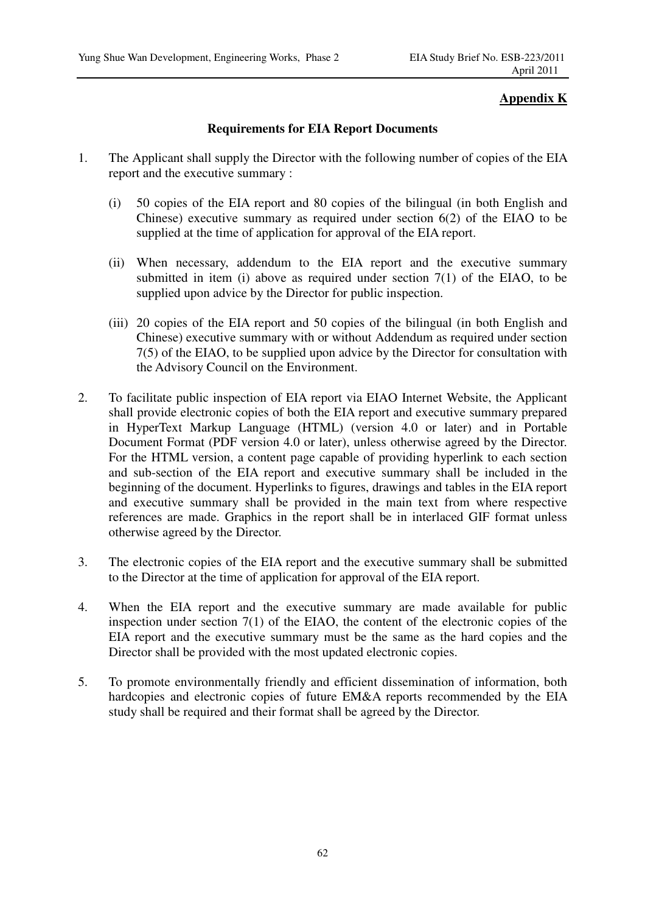## **Appendix K**

## **Requirements for EIA Report Documents**

- 1. The Applicant shall supply the Director with the following number of copies of the EIA report and the executive summary :
	- (i) 50 copies of the EIA report and 80 copies of the bilingual (in both English and Chinese) executive summary as required under section 6(2) of the EIAO to be supplied at the time of application for approval of the EIA report.
	- (ii) When necessary, addendum to the EIA report and the executive summary submitted in item (i) above as required under section  $7(1)$  of the EIAO, to be supplied upon advice by the Director for public inspection.
	- (iii) 20 copies of the EIA report and 50 copies of the bilingual (in both English and Chinese) executive summary with or without Addendum as required under section 7(5) of the EIAO, to be supplied upon advice by the Director for consultation with the Advisory Council on the Environment.
- 2. To facilitate public inspection of EIA report via EIAO Internet Website, the Applicant shall provide electronic copies of both the EIA report and executive summary prepared in HyperText Markup Language (HTML) (version 4.0 or later) and in Portable Document Format (PDF version 4.0 or later), unless otherwise agreed by the Director. For the HTML version, a content page capable of providing hyperlink to each section and sub-section of the EIA report and executive summary shall be included in the beginning of the document. Hyperlinks to figures, drawings and tables in the EIA report and executive summary shall be provided in the main text from where respective references are made. Graphics in the report shall be in interlaced GIF format unless otherwise agreed by the Director.
- 3. The electronic copies of the EIA report and the executive summary shall be submitted to the Director at the time of application for approval of the EIA report.
- 4. When the EIA report and the executive summary are made available for public inspection under section 7(1) of the EIAO, the content of the electronic copies of the EIA report and the executive summary must be the same as the hard copies and the Director shall be provided with the most updated electronic copies.
- 5. To promote environmentally friendly and efficient dissemination of information, both hardcopies and electronic copies of future EM&A reports recommended by the EIA study shall be required and their format shall be agreed by the Director.